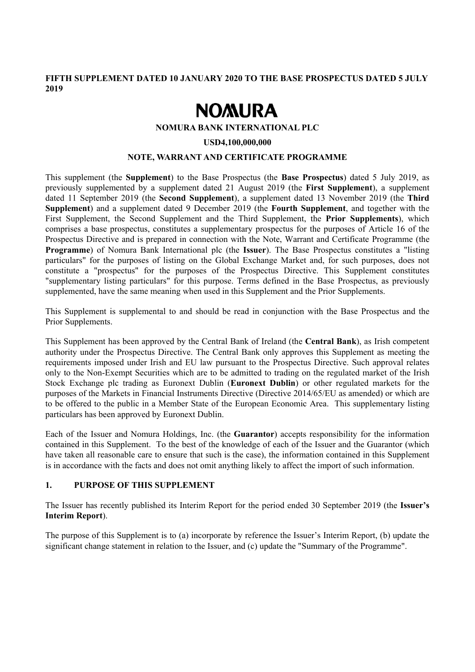**FIFTH SUPPLEMENT DATED 10 JANUARY 2020 TO THE BASE PROSPECTUS DATED 5 JULY 2019** 

# **NOMURA**

#### **NOMURA BANK INTERNATIONAL PLC**

#### **USD4,100,000,000**

### **NOTE, WARRANT AND CERTIFICATE PROGRAMME**

This supplement (the **Supplement**) to the Base Prospectus (the **Base Prospectus**) dated 5 July 2019, as previously supplemented by a supplement dated 21 August 2019 (the **First Supplement**), a supplement dated 11 September 2019 (the **Second Supplement**), a supplement dated 13 November 2019 (the **Third Supplement**) and a supplement dated 9 December 2019 (the **Fourth Supplement**, and together with the First Supplement, the Second Supplement and the Third Supplement, the **Prior Supplements**), which comprises a base prospectus, constitutes a supplementary prospectus for the purposes of Article 16 of the Prospectus Directive and is prepared in connection with the Note, Warrant and Certificate Programme (the **Programme**) of Nomura Bank International plc (the **Issuer**). The Base Prospectus constitutes a "listing particulars" for the purposes of listing on the Global Exchange Market and, for such purposes, does not constitute a "prospectus" for the purposes of the Prospectus Directive. This Supplement constitutes "supplementary listing particulars" for this purpose. Terms defined in the Base Prospectus, as previously supplemented, have the same meaning when used in this Supplement and the Prior Supplements.

This Supplement is supplemental to and should be read in conjunction with the Base Prospectus and the Prior Supplements.

This Supplement has been approved by the Central Bank of Ireland (the **Central Bank**), as Irish competent authority under the Prospectus Directive. The Central Bank only approves this Supplement as meeting the requirements imposed under Irish and EU law pursuant to the Prospectus Directive. Such approval relates only to the Non-Exempt Securities which are to be admitted to trading on the regulated market of the Irish Stock Exchange plc trading as Euronext Dublin (**Euronext Dublin**) or other regulated markets for the purposes of the Markets in Financial Instruments Directive (Directive 2014/65/EU as amended) or which are to be offered to the public in a Member State of the European Economic Area. This supplementary listing particulars has been approved by Euronext Dublin.

Each of the Issuer and Nomura Holdings, Inc. (the **Guarantor**) accepts responsibility for the information contained in this Supplement. To the best of the knowledge of each of the Issuer and the Guarantor (which have taken all reasonable care to ensure that such is the case), the information contained in this Supplement is in accordance with the facts and does not omit anything likely to affect the import of such information.

# **1. PURPOSE OF THIS SUPPLEMENT**

The Issuer has recently published its Interim Report for the period ended 30 September 2019 (the **Issuer's Interim Report**).

The purpose of this Supplement is to (a) incorporate by reference the Issuer's Interim Report, (b) update the significant change statement in relation to the Issuer, and (c) update the "Summary of the Programme".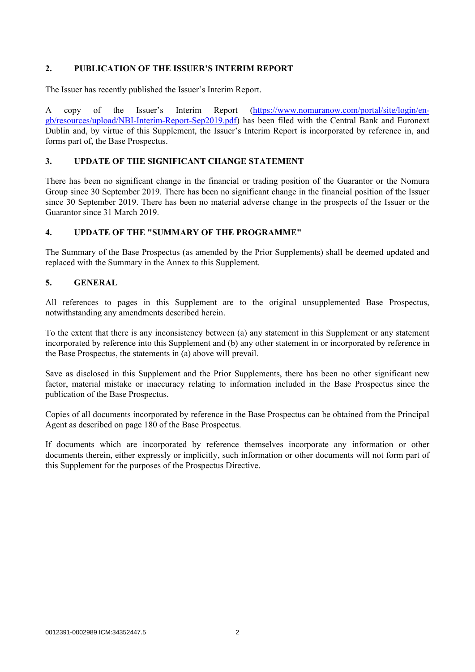# **2. PUBLICATION OF THE ISSUER'S INTERIM REPORT**

The Issuer has recently published the Issuer's Interim Report.

A copy of the Issuer's Interim Report (https://www.nomuranow.com/portal/site/login/engb/resources/upload/NBI-Interim-Report-Sep2019.pdf) has been filed with the Central Bank and Euronext Dublin and, by virtue of this Supplement, the Issuer's Interim Report is incorporated by reference in, and forms part of, the Base Prospectus.

## **3. UPDATE OF THE SIGNIFICANT CHANGE STATEMENT**

There has been no significant change in the financial or trading position of the Guarantor or the Nomura Group since 30 September 2019. There has been no significant change in the financial position of the Issuer since 30 September 2019. There has been no material adverse change in the prospects of the Issuer or the Guarantor since 31 March 2019.

## **4. UPDATE OF THE "SUMMARY OF THE PROGRAMME"**

The Summary of the Base Prospectus (as amended by the Prior Supplements) shall be deemed updated and replaced with the Summary in the Annex to this Supplement.

#### **5. GENERAL**

All references to pages in this Supplement are to the original unsupplemented Base Prospectus, notwithstanding any amendments described herein.

To the extent that there is any inconsistency between (a) any statement in this Supplement or any statement incorporated by reference into this Supplement and (b) any other statement in or incorporated by reference in the Base Prospectus, the statements in (a) above will prevail.

Save as disclosed in this Supplement and the Prior Supplements, there has been no other significant new factor, material mistake or inaccuracy relating to information included in the Base Prospectus since the publication of the Base Prospectus.

Copies of all documents incorporated by reference in the Base Prospectus can be obtained from the Principal Agent as described on page 180 of the Base Prospectus.

If documents which are incorporated by reference themselves incorporate any information or other documents therein, either expressly or implicitly, such information or other documents will not form part of this Supplement for the purposes of the Prospectus Directive.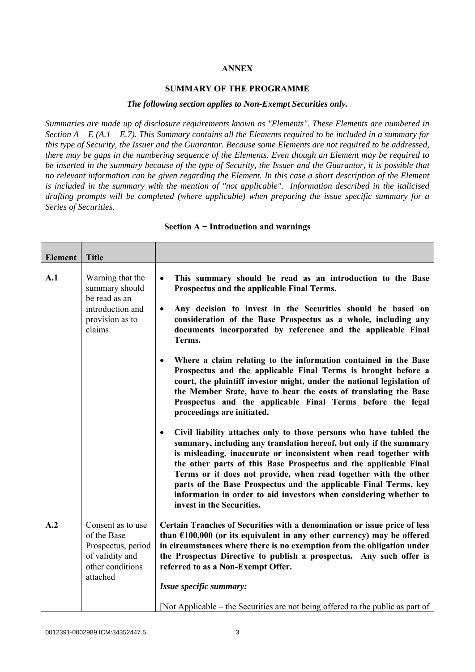### **ANNEX**

#### **SUMMARY OF THE PROGRAMME**

#### *The following section applies to Non-Exempt Securities only.*

*Summaries are made up of disclosure requirements known as "Elements". These Elements are numbered in Section A – E (A.1 – E.7). This Summary contains all the Elements required to be included in a summary for this type of Security, the Issuer and the Guarantor. Because some Elements are not required to be addressed, there may be gaps in the numbering sequence of the Elements. Even though an Element may be required to be inserted in the summary because of the type of Security, the Issuer and the Guarantor, it is possible that no relevant information can be given regarding the Element. In this case a short description of the Element is included in the summary with the mention of "not applicable". Information described in the italicised drafting prompts will be completed (where applicable) when preparing the issue specific summary for a Series of Securities.*

| <b>Element</b> | <b>Title</b>                                                                                              |                                                                                                                                                                                                                                                                                                                                                                                                                                                                                                                                         |
|----------------|-----------------------------------------------------------------------------------------------------------|-----------------------------------------------------------------------------------------------------------------------------------------------------------------------------------------------------------------------------------------------------------------------------------------------------------------------------------------------------------------------------------------------------------------------------------------------------------------------------------------------------------------------------------------|
| A.1            | Warning that the<br>summary should<br>be read as an                                                       | This summary should be read as an introduction to the Base<br>$\bullet$<br>Prospectus and the applicable Final Terms.                                                                                                                                                                                                                                                                                                                                                                                                                   |
|                | introduction and<br>provision as to<br>claims                                                             | Any decision to invest in the Securities should be based on<br>$\bullet$<br>consideration of the Base Prospectus as a whole, including any<br>documents incorporated by reference and the applicable Final<br>Terms.                                                                                                                                                                                                                                                                                                                    |
|                |                                                                                                           | Where a claim relating to the information contained in the Base<br>$\bullet$<br>Prospectus and the applicable Final Terms is brought before a<br>court, the plaintiff investor might, under the national legislation of<br>the Member State, have to bear the costs of translating the Base<br>Prospectus and the applicable Final Terms before the legal<br>proceedings are initiated.                                                                                                                                                 |
|                |                                                                                                           | Civil liability attaches only to those persons who have tabled the<br>$\bullet$<br>summary, including any translation hereof, but only if the summary<br>is misleading, inaccurate or inconsistent when read together with<br>the other parts of this Base Prospectus and the applicable Final<br>Terms or it does not provide, when read together with the other<br>parts of the Base Prospectus and the applicable Final Terms, key<br>information in order to aid investors when considering whether to<br>invest in the Securities. |
| A.2            | Consent as to use<br>of the Base<br>Prospectus, period<br>of validity and<br>other conditions<br>attached | Certain Tranches of Securities with a denomination or issue price of less<br>than $£100,000$ (or its equivalent in any other currency) may be offered<br>in circumstances where there is no exemption from the obligation under<br>the Prospectus Directive to publish a prospectus. Any such offer is<br>referred to as a Non-Exempt Offer.                                                                                                                                                                                            |
|                |                                                                                                           | Issue specific summary:<br>[Not Applicable – the Securities are not being offered to the public as part of                                                                                                                                                                                                                                                                                                                                                                                                                              |

#### **Section A − Introduction and warnings**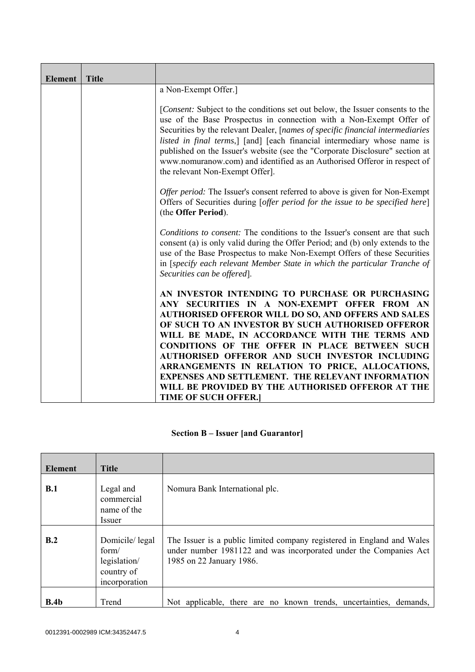| <b>Element</b> | <b>Title</b> |                                                                                                                                                                                                                                                                                                                                                                                                                                                                                                                                                                                  |
|----------------|--------------|----------------------------------------------------------------------------------------------------------------------------------------------------------------------------------------------------------------------------------------------------------------------------------------------------------------------------------------------------------------------------------------------------------------------------------------------------------------------------------------------------------------------------------------------------------------------------------|
|                |              | a Non-Exempt Offer.]                                                                                                                                                                                                                                                                                                                                                                                                                                                                                                                                                             |
|                |              | [Consent: Subject to the conditions set out below, the Issuer consents to the<br>use of the Base Prospectus in connection with a Non-Exempt Offer of<br>Securities by the relevant Dealer, [names of specific financial intermediaries<br>listed in final terms,] [and] [each financial intermediary whose name is<br>published on the Issuer's website (see the "Corporate Disclosure" section at<br>www.nomuranow.com) and identified as an Authorised Offeror in respect of<br>the relevant Non-Exempt Offer].                                                                |
|                |              | <i>Offer period:</i> The Issuer's consent referred to above is given for Non-Exempt<br>Offers of Securities during [offer period for the issue to be specified here]<br>(the Offer Period).                                                                                                                                                                                                                                                                                                                                                                                      |
|                |              | Conditions to consent: The conditions to the Issuer's consent are that such<br>consent (a) is only valid during the Offer Period; and (b) only extends to the<br>use of the Base Prospectus to make Non-Exempt Offers of these Securities<br>in [specify each relevant Member State in which the particular Tranche of<br>Securities can be offered].                                                                                                                                                                                                                            |
|                |              | AN INVESTOR INTENDING TO PURCHASE OR PURCHASING<br>ANY SECURITIES IN A NON-EXEMPT OFFER FROM AN<br><b>AUTHORISED OFFEROR WILL DO SO, AND OFFERS AND SALES</b><br>OF SUCH TO AN INVESTOR BY SUCH AUTHORISED OFFEROR<br>WILL BE MADE, IN ACCORDANCE WITH THE TERMS AND<br><b>CONDITIONS OF THE OFFER IN PLACE BETWEEN SUCH</b><br>AUTHORISED OFFEROR AND SUCH INVESTOR INCLUDING<br>ARRANGEMENTS IN RELATION TO PRICE, ALLOCATIONS,<br><b>EXPENSES AND SETTLEMENT. THE RELEVANT INFORMATION</b><br>WILL BE PROVIDED BY THE AUTHORISED OFFEROR AT THE<br><b>TIME OF SUCH OFFER.</b> |

# **Section B – Issuer [and Guarantor]**

| <b>Element</b> | <b>Title</b>                                                           |                                                                                                                                                                         |
|----------------|------------------------------------------------------------------------|-------------------------------------------------------------------------------------------------------------------------------------------------------------------------|
| B.1            | Legal and<br>commercial<br>name of the<br><i>Issuer</i>                | Nomura Bank International plc.                                                                                                                                          |
| B.2            | Domicile/legal<br>form/<br>legislation/<br>country of<br>incorporation | The Issuer is a public limited company registered in England and Wales<br>under number 1981122 and was incorporated under the Companies Act<br>1985 on 22 January 1986. |
| B.4b           | Trend                                                                  | Not applicable, there are no known trends, uncertainties, demands,                                                                                                      |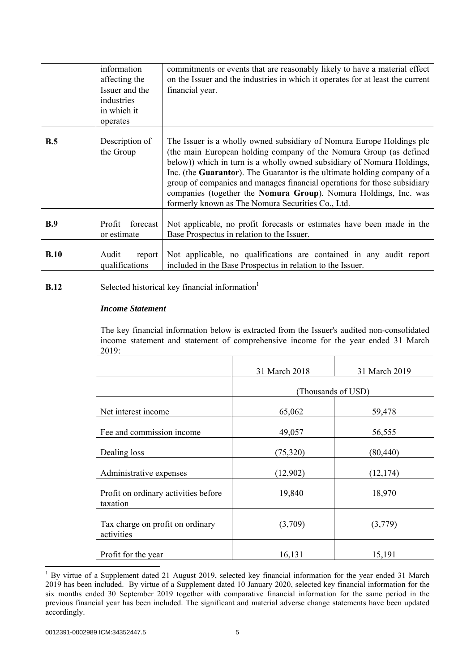|             | information<br>affecting the<br>Issuer and the<br>industries<br>in which it<br>operates | financial year.                                                                                                                                                                                                                                                                                                                                                                                                                                                                                        | commitments or events that are reasonably likely to have a material effect<br>on the Issuer and the industries in which it operates for at least the current                      |                    |
|-------------|-----------------------------------------------------------------------------------------|--------------------------------------------------------------------------------------------------------------------------------------------------------------------------------------------------------------------------------------------------------------------------------------------------------------------------------------------------------------------------------------------------------------------------------------------------------------------------------------------------------|-----------------------------------------------------------------------------------------------------------------------------------------------------------------------------------|--------------------|
| B.5         | Description of<br>the Group                                                             | The Issuer is a wholly owned subsidiary of Nomura Europe Holdings plc<br>(the main European holding company of the Nomura Group (as defined<br>below)) which in turn is a wholly owned subsidiary of Nomura Holdings,<br>Inc. (the Guarantor). The Guarantor is the ultimate holding company of a<br>group of companies and manages financial operations for those subsidiary<br>companies (together the Nomura Group). Nomura Holdings, Inc. was<br>formerly known as The Nomura Securities Co., Ltd. |                                                                                                                                                                                   |                    |
| B.9         | forecast<br>Profit<br>or estimate                                                       | Not applicable, no profit forecasts or estimates have been made in the<br>Base Prospectus in relation to the Issuer.                                                                                                                                                                                                                                                                                                                                                                                   |                                                                                                                                                                                   |                    |
| B.10        | Audit<br>report<br>qualifications                                                       |                                                                                                                                                                                                                                                                                                                                                                                                                                                                                                        | Not applicable, no qualifications are contained in any audit report<br>included in the Base Prospectus in relation to the Issuer.                                                 |                    |
| <b>B.12</b> | Selected historical key financial information <sup>1</sup>                              |                                                                                                                                                                                                                                                                                                                                                                                                                                                                                                        |                                                                                                                                                                                   |                    |
|             | <b>Income Statement</b>                                                                 |                                                                                                                                                                                                                                                                                                                                                                                                                                                                                                        |                                                                                                                                                                                   |                    |
|             | 2019:                                                                                   |                                                                                                                                                                                                                                                                                                                                                                                                                                                                                                        | The key financial information below is extracted from the Issuer's audited non-consolidated<br>income statement and statement of comprehensive income for the year ended 31 March |                    |
|             |                                                                                         |                                                                                                                                                                                                                                                                                                                                                                                                                                                                                                        | 31 March 2018                                                                                                                                                                     | 31 March 2019      |
|             |                                                                                         |                                                                                                                                                                                                                                                                                                                                                                                                                                                                                                        |                                                                                                                                                                                   | (Thousands of USD) |
|             | Net interest income                                                                     |                                                                                                                                                                                                                                                                                                                                                                                                                                                                                                        | 65,062                                                                                                                                                                            | 59,478             |
|             | Fee and commission income                                                               |                                                                                                                                                                                                                                                                                                                                                                                                                                                                                                        | 49,057                                                                                                                                                                            | 56,555             |
|             | Dealing loss                                                                            |                                                                                                                                                                                                                                                                                                                                                                                                                                                                                                        | (75,320)                                                                                                                                                                          | (80, 440)          |
|             | Administrative expenses                                                                 |                                                                                                                                                                                                                                                                                                                                                                                                                                                                                                        | (12,902)                                                                                                                                                                          | (12, 174)          |
|             | Profit on ordinary activities before<br>taxation                                        |                                                                                                                                                                                                                                                                                                                                                                                                                                                                                                        | 19,840                                                                                                                                                                            | 18,970             |
|             | Tax charge on profit on ordinary<br>activities                                          |                                                                                                                                                                                                                                                                                                                                                                                                                                                                                                        | (3,709)                                                                                                                                                                           | (3,779)            |
|             | Profit for the year                                                                     |                                                                                                                                                                                                                                                                                                                                                                                                                                                                                                        | 16,131                                                                                                                                                                            | 15,191             |

<sup>&</sup>lt;sup>1</sup> By virtue of a Supplement dated 21 August 2019, selected key financial information for the year ended 31 March 2019 has been included. By virtue of a Supplement dated 10 January 2020, selected key financial information for the six months ended 30 September 2019 together with comparative financial information for the same period in the previous financial year has been included. The significant and material adverse change statements have been updated accordingly.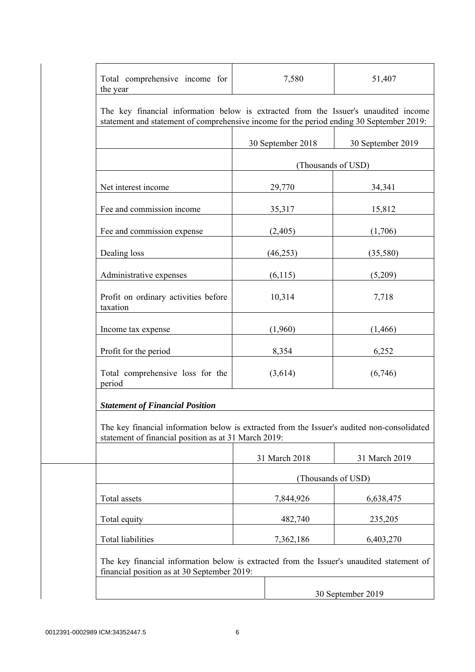| Total comprehensive income for<br>the year                                                                                                                                      | 7,580             | 51,407             |
|---------------------------------------------------------------------------------------------------------------------------------------------------------------------------------|-------------------|--------------------|
| The key financial information below is extracted from the Issuer's unaudited income<br>statement and statement of comprehensive income for the period ending 30 September 2019: |                   |                    |
|                                                                                                                                                                                 | 30 September 2018 | 30 September 2019  |
|                                                                                                                                                                                 |                   | (Thousands of USD) |
| Net interest income                                                                                                                                                             | 29,770            | 34,341             |
| Fee and commission income                                                                                                                                                       | 35,317            | 15,812             |
| Fee and commission expense                                                                                                                                                      | (2,405)           | (1,706)            |
| Dealing loss                                                                                                                                                                    | (46, 253)         | (35,580)           |
| Administrative expenses                                                                                                                                                         | (6,115)           | (5,209)            |
| Profit on ordinary activities before<br>taxation                                                                                                                                | 10,314            | 7,718              |
| Income tax expense                                                                                                                                                              | (1,960)           | (1, 466)           |
| Profit for the period                                                                                                                                                           | 8,354             | 6,252              |
| Total comprehensive loss for the<br>period                                                                                                                                      | (3,614)           | (6,746)            |
| <b>Statement of Financial Position</b>                                                                                                                                          |                   |                    |
| The key financial information below is extracted from the Issuer's audited non-consolidated<br>statement of financial position as at 31 March 2019:                             |                   |                    |
|                                                                                                                                                                                 | 31 March 2018     | 31 March 2019      |
|                                                                                                                                                                                 |                   | (Thousands of USD) |
| Total assets                                                                                                                                                                    | 7,844,926         | 6,638,475          |
| Total equity                                                                                                                                                                    | 482,740           | 235,205            |
| Total liabilities                                                                                                                                                               | 7,362,186         | 6,403,270          |
| The key financial information below is extracted from the Issuer's unaudited statement of<br>financial position as at 30 September 2019:                                        |                   |                    |
|                                                                                                                                                                                 |                   | 30 September 2019  |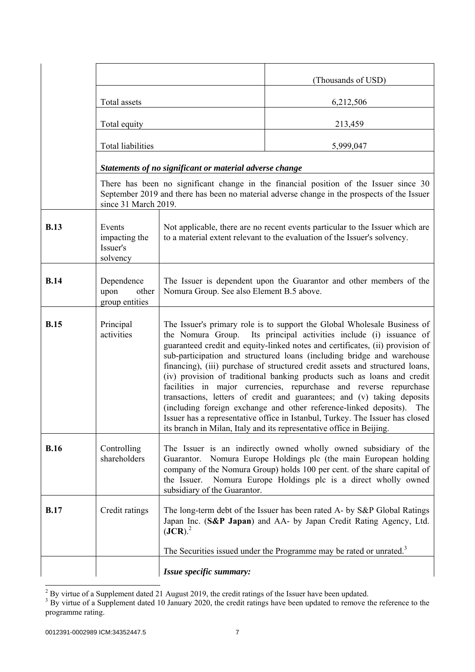|             |                                                 |                                                                                                                                                                                                                                                                                                                                                                                                                                                                                                                                                                                                                                                                                                                                                                                                                                                        | (Thousands of USD)                                                                                                                                                                                                                                           |
|-------------|-------------------------------------------------|--------------------------------------------------------------------------------------------------------------------------------------------------------------------------------------------------------------------------------------------------------------------------------------------------------------------------------------------------------------------------------------------------------------------------------------------------------------------------------------------------------------------------------------------------------------------------------------------------------------------------------------------------------------------------------------------------------------------------------------------------------------------------------------------------------------------------------------------------------|--------------------------------------------------------------------------------------------------------------------------------------------------------------------------------------------------------------------------------------------------------------|
|             | Total assets                                    |                                                                                                                                                                                                                                                                                                                                                                                                                                                                                                                                                                                                                                                                                                                                                                                                                                                        | 6,212,506                                                                                                                                                                                                                                                    |
|             | Total equity                                    |                                                                                                                                                                                                                                                                                                                                                                                                                                                                                                                                                                                                                                                                                                                                                                                                                                                        | 213,459                                                                                                                                                                                                                                                      |
|             | Total liabilities                               |                                                                                                                                                                                                                                                                                                                                                                                                                                                                                                                                                                                                                                                                                                                                                                                                                                                        | 5,999,047                                                                                                                                                                                                                                                    |
|             |                                                 | Statements of no significant or material adverse change                                                                                                                                                                                                                                                                                                                                                                                                                                                                                                                                                                                                                                                                                                                                                                                                |                                                                                                                                                                                                                                                              |
|             | since 31 March 2019.                            |                                                                                                                                                                                                                                                                                                                                                                                                                                                                                                                                                                                                                                                                                                                                                                                                                                                        | There has been no significant change in the financial position of the Issuer since 30<br>September 2019 and there has been no material adverse change in the prospects of the Issuer                                                                         |
| <b>B.13</b> | Events<br>impacting the<br>Issuer's<br>solvency |                                                                                                                                                                                                                                                                                                                                                                                                                                                                                                                                                                                                                                                                                                                                                                                                                                                        | Not applicable, there are no recent events particular to the Issuer which are<br>to a material extent relevant to the evaluation of the Issuer's solvency.                                                                                                   |
| <b>B.14</b> | Dependence<br>upon<br>other<br>group entities   | Nomura Group. See also Element B.5 above.                                                                                                                                                                                                                                                                                                                                                                                                                                                                                                                                                                                                                                                                                                                                                                                                              | The Issuer is dependent upon the Guarantor and other members of the                                                                                                                                                                                          |
| <b>B.15</b> | Principal<br>activities                         | The Issuer's primary role is to support the Global Wholesale Business of<br>the Nomura Group. Its principal activities include (i) issuance of<br>guaranteed credit and equity-linked notes and certificates, (ii) provision of<br>sub-participation and structured loans (including bridge and warehouse<br>financing), (iii) purchase of structured credit assets and structured loans,<br>(iv) provision of traditional banking products such as loans and credit<br>facilities in major currencies, repurchase and reverse repurchase<br>transactions, letters of credit and guarantees; and (v) taking deposits<br>(including foreign exchange and other reference-linked deposits). The<br>Issuer has a representative office in Istanbul, Turkey. The Issuer has closed<br>its branch in Milan, Italy and its representative office in Beijing. |                                                                                                                                                                                                                                                              |
| <b>B.16</b> | Controlling<br>shareholders                     | Guarantor.<br>the Issuer.<br>subsidiary of the Guarantor.                                                                                                                                                                                                                                                                                                                                                                                                                                                                                                                                                                                                                                                                                                                                                                                              | The Issuer is an indirectly owned wholly owned subsidiary of the<br>Nomura Europe Holdings plc (the main European holding<br>company of the Nomura Group) holds 100 per cent. of the share capital of<br>Nomura Europe Holdings plc is a direct wholly owned |
| <b>B.17</b> | Credit ratings                                  | (JCR). <sup>2</sup>                                                                                                                                                                                                                                                                                                                                                                                                                                                                                                                                                                                                                                                                                                                                                                                                                                    | The long-term debt of the Issuer has been rated A- by S&P Global Ratings<br>Japan Inc. (S&P Japan) and AA- by Japan Credit Rating Agency, Ltd.<br>The Securities issued under the Programme may be rated or unrated. <sup>3</sup>                            |
|             |                                                 | Issue specific summary:                                                                                                                                                                                                                                                                                                                                                                                                                                                                                                                                                                                                                                                                                                                                                                                                                                |                                                                                                                                                                                                                                                              |

 $\frac{2}{3}$  By virtue of a Supplement dated 21 August 2019, the credit ratings of the Issuer have been updated.<br><sup>3</sup> By virtue of a Supplement dated 10 January 2020, the credit ratings have been updated to remove the referen programme rating.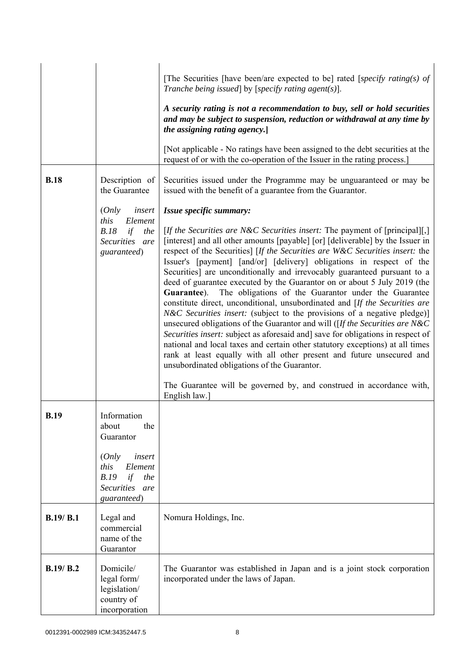|             |                                                                                          | [The Securities [have been/are expected to be] rated [specify rating(s) of<br>Tranche being issued] by [specify rating agent(s)].                                                                                                                                                                                                                                                                                                                                                                                                                                                                                                                                                                                                                                                                                                                                                                                                                                                                                                                                                                                                                                                           |
|-------------|------------------------------------------------------------------------------------------|---------------------------------------------------------------------------------------------------------------------------------------------------------------------------------------------------------------------------------------------------------------------------------------------------------------------------------------------------------------------------------------------------------------------------------------------------------------------------------------------------------------------------------------------------------------------------------------------------------------------------------------------------------------------------------------------------------------------------------------------------------------------------------------------------------------------------------------------------------------------------------------------------------------------------------------------------------------------------------------------------------------------------------------------------------------------------------------------------------------------------------------------------------------------------------------------|
|             |                                                                                          | A security rating is not a recommendation to buy, sell or hold securities<br>and may be subject to suspension, reduction or withdrawal at any time by<br>the assigning rating agency.]                                                                                                                                                                                                                                                                                                                                                                                                                                                                                                                                                                                                                                                                                                                                                                                                                                                                                                                                                                                                      |
|             |                                                                                          | [Not applicable - No ratings have been assigned to the debt securities at the<br>request of or with the co-operation of the Issuer in the rating process.]                                                                                                                                                                                                                                                                                                                                                                                                                                                                                                                                                                                                                                                                                                                                                                                                                                                                                                                                                                                                                                  |
| <b>B.18</b> | Description of<br>the Guarantee                                                          | Securities issued under the Programme may be unguaranteed or may be<br>issued with the benefit of a guarantee from the Guarantor.                                                                                                                                                                                                                                                                                                                                                                                                                                                                                                                                                                                                                                                                                                                                                                                                                                                                                                                                                                                                                                                           |
|             | (Only<br>insert                                                                          | Issue specific summary:                                                                                                                                                                                                                                                                                                                                                                                                                                                                                                                                                                                                                                                                                                                                                                                                                                                                                                                                                                                                                                                                                                                                                                     |
|             | this<br>Element<br>B.18<br>if<br>the<br>Securities are<br>guaranteed)                    | [ <i>If the Securities are N&amp;C Securities insert:</i> The payment of [principal][,]<br>[interest] and all other amounts [payable] [or] [deliverable] by the Issuer in<br>respect of the Securities] [If the Securities are W&C Securities insert: the<br>Issuer's [payment] [and/or] [delivery] obligations in respect of the<br>Securities] are unconditionally and irrevocably guaranteed pursuant to a<br>deed of guarantee executed by the Guarantor on or about 5 July 2019 (the<br>Guarantee). The obligations of the Guarantor under the Guarantee<br>constitute direct, unconditional, unsubordinated and [If the Securities are<br><i>N&amp;C Securities insert:</i> (subject to the provisions of a negative pledge)]<br>unsecured obligations of the Guarantor and will ( $[If the Securities are N&C]$<br>Securities insert: subject as aforesaid and] save for obligations in respect of<br>national and local taxes and certain other statutory exceptions) at all times<br>rank at least equally with all other present and future unsecured and<br>unsubordinated obligations of the Guarantor.<br>The Guarantee will be governed by, and construed in accordance with, |
| <b>B.19</b> | Information<br>the<br>about<br>Guarantor                                                 | English law.]                                                                                                                                                                                                                                                                                                                                                                                                                                                                                                                                                                                                                                                                                                                                                                                                                                                                                                                                                                                                                                                                                                                                                                               |
|             | (Only<br>insert<br>this<br>Element<br>B.19<br>if<br>the<br>Securities are<br>guaranteed) |                                                                                                                                                                                                                                                                                                                                                                                                                                                                                                                                                                                                                                                                                                                                                                                                                                                                                                                                                                                                                                                                                                                                                                                             |
| B.19/B.1    | Legal and<br>commercial<br>name of the<br>Guarantor                                      | Nomura Holdings, Inc.                                                                                                                                                                                                                                                                                                                                                                                                                                                                                                                                                                                                                                                                                                                                                                                                                                                                                                                                                                                                                                                                                                                                                                       |
| B.19/ B.2   | Domicile/<br>legal form/<br>legislation/<br>country of<br>incorporation                  | The Guarantor was established in Japan and is a joint stock corporation<br>incorporated under the laws of Japan.                                                                                                                                                                                                                                                                                                                                                                                                                                                                                                                                                                                                                                                                                                                                                                                                                                                                                                                                                                                                                                                                            |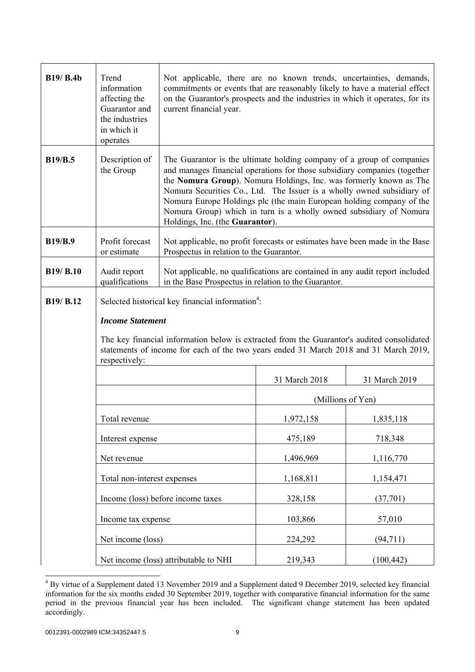| <b>B19/ B.4b</b> | Trend<br>information<br>affecting the<br>Guarantor and<br>the industries<br>in which it<br>operates | Not applicable, there are no known trends, uncertainties, demands,<br>commitments or events that are reasonably likely to have a material effect<br>on the Guarantor's prospects and the industries in which it operates, for its<br>current financial year.                                                                                                                                                                                                                        |                   |               |
|------------------|-----------------------------------------------------------------------------------------------------|-------------------------------------------------------------------------------------------------------------------------------------------------------------------------------------------------------------------------------------------------------------------------------------------------------------------------------------------------------------------------------------------------------------------------------------------------------------------------------------|-------------------|---------------|
| <b>B19/B.5</b>   | Description of<br>the Group                                                                         | The Guarantor is the ultimate holding company of a group of companies<br>and manages financial operations for those subsidiary companies (together<br>the Nomura Group). Nomura Holdings, Inc. was formerly known as The<br>Nomura Securities Co., Ltd. The Issuer is a wholly owned subsidiary of<br>Nomura Europe Holdings plc (the main European holding company of the<br>Nomura Group) which in turn is a wholly owned subsidiary of Nomura<br>Holdings, Inc. (the Guarantor). |                   |               |
| <b>B19/B.9</b>   | Profit forecast<br>or estimate                                                                      | Not applicable, no profit forecasts or estimates have been made in the Base<br>Prospectus in relation to the Guarantor.                                                                                                                                                                                                                                                                                                                                                             |                   |               |
| B19/ B.10        | Audit report<br>qualifications                                                                      | Not applicable, no qualifications are contained in any audit report included<br>in the Base Prospectus in relation to the Guarantor.                                                                                                                                                                                                                                                                                                                                                |                   |               |
| B19/ B.12        | Selected historical key financial information <sup>4</sup> :                                        |                                                                                                                                                                                                                                                                                                                                                                                                                                                                                     |                   |               |
|                  | <b>Income Statement</b>                                                                             |                                                                                                                                                                                                                                                                                                                                                                                                                                                                                     |                   |               |
|                  | respectively:                                                                                       | The key financial information below is extracted from the Guarantor's audited consolidated<br>statements of income for each of the two years ended 31 March 2018 and 31 March 2019,                                                                                                                                                                                                                                                                                                 |                   |               |
|                  |                                                                                                     |                                                                                                                                                                                                                                                                                                                                                                                                                                                                                     | 31 March 2018     | 31 March 2019 |
|                  |                                                                                                     |                                                                                                                                                                                                                                                                                                                                                                                                                                                                                     | (Millions of Yen) |               |
|                  | Total revenue                                                                                       |                                                                                                                                                                                                                                                                                                                                                                                                                                                                                     | 1,972,158         | 1,835,118     |
|                  | Interest expense                                                                                    |                                                                                                                                                                                                                                                                                                                                                                                                                                                                                     | 475,189           | 718,348       |
|                  | Net revenue                                                                                         |                                                                                                                                                                                                                                                                                                                                                                                                                                                                                     | 1,496,969         | 1,116,770     |
|                  | Total non-interest expenses                                                                         |                                                                                                                                                                                                                                                                                                                                                                                                                                                                                     | 1,168,811         | 1,154,471     |
|                  |                                                                                                     | Income (loss) before income taxes                                                                                                                                                                                                                                                                                                                                                                                                                                                   | 328,158           | (37,701)      |
|                  | Income tax expense                                                                                  |                                                                                                                                                                                                                                                                                                                                                                                                                                                                                     | 103,866           | 57,010        |
|                  | Net income (loss)                                                                                   |                                                                                                                                                                                                                                                                                                                                                                                                                                                                                     | 224,292           | (94, 711)     |
|                  |                                                                                                     | Net income (loss) attributable to NHI                                                                                                                                                                                                                                                                                                                                                                                                                                               | 219,343           | (100, 442)    |

<sup>&</sup>lt;sup>4</sup> By virtue of a Supplement dated 13 November 2019 and a Supplement dated 9 December 2019, selected key financial information for the six months ended 30 September 2019, together with comparative financial information for the same period in the previous financial year has been included. The significant change statement has been updated accordingly.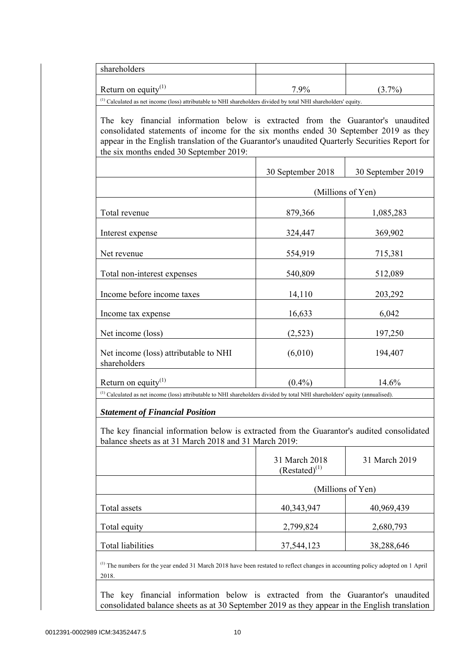| shareholders                                                                                                                                                                                                                                                                                                                                                                                                                                       |                                     |                   |
|----------------------------------------------------------------------------------------------------------------------------------------------------------------------------------------------------------------------------------------------------------------------------------------------------------------------------------------------------------------------------------------------------------------------------------------------------|-------------------------------------|-------------------|
| Return on equity $(1)$                                                                                                                                                                                                                                                                                                                                                                                                                             | 7.9%                                | $(3.7\%)$         |
| <sup>(1)</sup> Calculated as net income (loss) attributable to NHI shareholders divided by total NHI shareholders' equity.<br>The key financial information below is extracted from the Guarantor's unaudited<br>consolidated statements of income for the six months ended 30 September 2019 as they<br>appear in the English translation of the Guarantor's unaudited Quarterly Securities Report for<br>the six months ended 30 September 2019: |                                     |                   |
|                                                                                                                                                                                                                                                                                                                                                                                                                                                    | 30 September 2018                   | 30 September 2019 |
|                                                                                                                                                                                                                                                                                                                                                                                                                                                    |                                     | (Millions of Yen) |
| Total revenue                                                                                                                                                                                                                                                                                                                                                                                                                                      | 879,366                             | 1,085,283         |
| Interest expense                                                                                                                                                                                                                                                                                                                                                                                                                                   | 324,447                             | 369,902           |
| Net revenue                                                                                                                                                                                                                                                                                                                                                                                                                                        | 554,919                             | 715,381           |
| Total non-interest expenses                                                                                                                                                                                                                                                                                                                                                                                                                        | 540,809                             | 512,089           |
| Income before income taxes                                                                                                                                                                                                                                                                                                                                                                                                                         | 14,110                              | 203,292           |
| Income tax expense                                                                                                                                                                                                                                                                                                                                                                                                                                 | 16,633                              | 6,042             |
| Net income (loss)                                                                                                                                                                                                                                                                                                                                                                                                                                  | (2,523)                             | 197,250           |
| Net income (loss) attributable to NHI<br>shareholders                                                                                                                                                                                                                                                                                                                                                                                              | (6,010)                             | 194,407           |
| Return on equity $(1)$                                                                                                                                                                                                                                                                                                                                                                                                                             | $(0.4\%)$                           | 14.6%             |
| <sup>(1)</sup> Calculated as net income (loss) attributable to NHI shareholders divided by total NHI shareholders' equity (annualised).<br><b>Statement of Financial Position</b>                                                                                                                                                                                                                                                                  |                                     |                   |
| The key financial information below is extracted from the Guarantor's audited consolidated<br>balance sheets as at 31 March 2018 and 31 March 2019:                                                                                                                                                                                                                                                                                                |                                     |                   |
|                                                                                                                                                                                                                                                                                                                                                                                                                                                    | 31 March 2018<br>$(Restated)^{(1)}$ | 31 March 2019     |
|                                                                                                                                                                                                                                                                                                                                                                                                                                                    |                                     | (Millions of Yen) |
| Total assets                                                                                                                                                                                                                                                                                                                                                                                                                                       | 40,343,947                          | 40,969,439        |
| Total equity                                                                                                                                                                                                                                                                                                                                                                                                                                       | 2,799,824                           | 2,680,793         |
| <b>Total liabilities</b>                                                                                                                                                                                                                                                                                                                                                                                                                           | 37,544,123                          | 38,288,646        |

 The key financial information below is extracted from the Guarantor's unaudited consolidated balance sheets as at 30 September 2019 as they appear in the English translation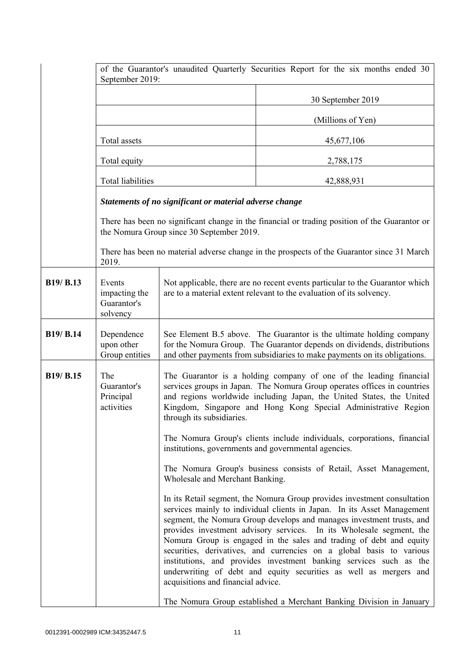|                                   | of the Guarantor's unaudited Quarterly Securities Report for the six months ended 30<br>September 2019: |                                                                                                                                                                                                                                                                                                                                                                                                  |                                                                                                                                                                                                                                                                                                                                                                                                                                                                                                                                                                                                                                                                       |
|-----------------------------------|---------------------------------------------------------------------------------------------------------|--------------------------------------------------------------------------------------------------------------------------------------------------------------------------------------------------------------------------------------------------------------------------------------------------------------------------------------------------------------------------------------------------|-----------------------------------------------------------------------------------------------------------------------------------------------------------------------------------------------------------------------------------------------------------------------------------------------------------------------------------------------------------------------------------------------------------------------------------------------------------------------------------------------------------------------------------------------------------------------------------------------------------------------------------------------------------------------|
|                                   |                                                                                                         |                                                                                                                                                                                                                                                                                                                                                                                                  | 30 September 2019                                                                                                                                                                                                                                                                                                                                                                                                                                                                                                                                                                                                                                                     |
|                                   |                                                                                                         |                                                                                                                                                                                                                                                                                                                                                                                                  | (Millions of Yen)                                                                                                                                                                                                                                                                                                                                                                                                                                                                                                                                                                                                                                                     |
|                                   | Total assets                                                                                            |                                                                                                                                                                                                                                                                                                                                                                                                  | 45,677,106                                                                                                                                                                                                                                                                                                                                                                                                                                                                                                                                                                                                                                                            |
|                                   | Total equity                                                                                            |                                                                                                                                                                                                                                                                                                                                                                                                  | 2,788,175                                                                                                                                                                                                                                                                                                                                                                                                                                                                                                                                                                                                                                                             |
|                                   | Total liabilities                                                                                       |                                                                                                                                                                                                                                                                                                                                                                                                  | 42,888,931                                                                                                                                                                                                                                                                                                                                                                                                                                                                                                                                                                                                                                                            |
|                                   |                                                                                                         | Statements of no significant or material adverse change                                                                                                                                                                                                                                                                                                                                          |                                                                                                                                                                                                                                                                                                                                                                                                                                                                                                                                                                                                                                                                       |
|                                   |                                                                                                         | the Nomura Group since 30 September 2019.                                                                                                                                                                                                                                                                                                                                                        | There has been no significant change in the financial or trading position of the Guarantor or                                                                                                                                                                                                                                                                                                                                                                                                                                                                                                                                                                         |
|                                   | 2019.                                                                                                   |                                                                                                                                                                                                                                                                                                                                                                                                  | There has been no material adverse change in the prospects of the Guarantor since 31 March                                                                                                                                                                                                                                                                                                                                                                                                                                                                                                                                                                            |
| B19/ B.13                         | Events<br>impacting the<br>Guarantor's<br>solvency                                                      |                                                                                                                                                                                                                                                                                                                                                                                                  | Not applicable, there are no recent events particular to the Guarantor which<br>are to a material extent relevant to the evaluation of its solvency.                                                                                                                                                                                                                                                                                                                                                                                                                                                                                                                  |
| <b>B19/ B.14</b>                  | Dependence<br>upon other<br>Group entities                                                              |                                                                                                                                                                                                                                                                                                                                                                                                  | See Element B.5 above. The Guarantor is the ultimate holding company<br>for the Nomura Group. The Guarantor depends on dividends, distributions<br>and other payments from subsidiaries to make payments on its obligations.                                                                                                                                                                                                                                                                                                                                                                                                                                          |
| B <sub>19</sub> /B <sub>.15</sub> | The<br>Guarantor's<br>Principal<br>activities                                                           | The Guarantor is a holding company of one of the leading financial<br>services groups in Japan. The Nomura Group operates offices in countries<br>and regions worldwide including Japan, the United States, the United<br>Kingdom, Singapore and Hong Kong Special Administrative Region<br>through its subsidiaries.<br>The Nomura Group's clients include individuals, corporations, financial |                                                                                                                                                                                                                                                                                                                                                                                                                                                                                                                                                                                                                                                                       |
|                                   |                                                                                                         |                                                                                                                                                                                                                                                                                                                                                                                                  | institutions, governments and governmental agencies.                                                                                                                                                                                                                                                                                                                                                                                                                                                                                                                                                                                                                  |
|                                   |                                                                                                         | Wholesale and Merchant Banking.                                                                                                                                                                                                                                                                                                                                                                  | The Nomura Group's business consists of Retail, Asset Management,                                                                                                                                                                                                                                                                                                                                                                                                                                                                                                                                                                                                     |
|                                   |                                                                                                         | acquisitions and financial advice.                                                                                                                                                                                                                                                                                                                                                               | In its Retail segment, the Nomura Group provides investment consultation<br>services mainly to individual clients in Japan. In its Asset Management<br>segment, the Nomura Group develops and manages investment trusts, and<br>provides investment advisory services. In its Wholesale segment, the<br>Nomura Group is engaged in the sales and trading of debt and equity<br>securities, derivatives, and currencies on a global basis to various<br>institutions, and provides investment banking services such as the<br>underwriting of debt and equity securities as well as mergers and<br>The Nomura Group established a Merchant Banking Division in January |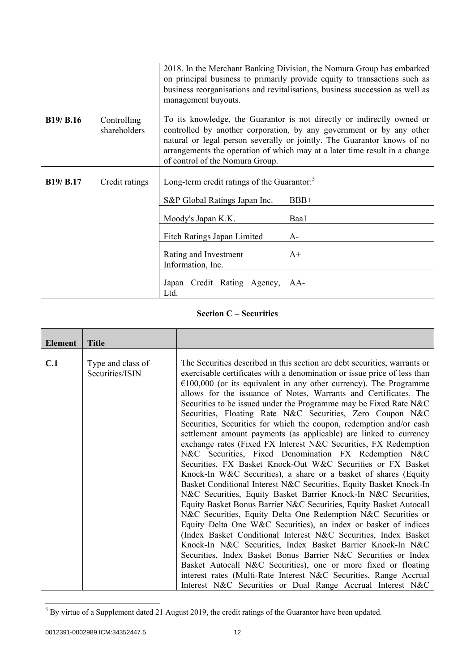|                  |                             | management buyouts.                                     | 2018. In the Merchant Banking Division, the Nomura Group has embarked<br>on principal business to primarily provide equity to transactions such as<br>business reorganisations and revitalisations, business succession as well as                                                                      |
|------------------|-----------------------------|---------------------------------------------------------|---------------------------------------------------------------------------------------------------------------------------------------------------------------------------------------------------------------------------------------------------------------------------------------------------------|
| <b>B19/ B.16</b> | Controlling<br>shareholders | of control of the Nomura Group.                         | To its knowledge, the Guarantor is not directly or indirectly owned or<br>controlled by another corporation, by any government or by any other<br>natural or legal person severally or jointly. The Guarantor knows of no<br>arrangements the operation of which may at a later time result in a change |
| <b>B19/ B.17</b> | Credit ratings              | Long-term credit ratings of the Guarantor. <sup>5</sup> |                                                                                                                                                                                                                                                                                                         |
|                  |                             | S&P Global Ratings Japan Inc.<br>Moody's Japan K.K.     | $BBB+$<br>Baa1                                                                                                                                                                                                                                                                                          |
|                  |                             | Fitch Ratings Japan Limited                             | $A-$                                                                                                                                                                                                                                                                                                    |
|                  |                             | Rating and Investment<br>Information, Inc.              | $A+$                                                                                                                                                                                                                                                                                                    |
|                  |                             | Japan Credit Rating Agency,<br>Ltd.                     | $AA-$                                                                                                                                                                                                                                                                                                   |

# **Section C – Securities**

| <b>Element</b> | <b>Title</b>                         |                                                                                                                                                                                                                                                                                                                                                                                                                                                                                                                                                                                                                                                                                                                                                                                                                                                                                                                                                                                                                                                                                                                                                                                                                                                                  |
|----------------|--------------------------------------|------------------------------------------------------------------------------------------------------------------------------------------------------------------------------------------------------------------------------------------------------------------------------------------------------------------------------------------------------------------------------------------------------------------------------------------------------------------------------------------------------------------------------------------------------------------------------------------------------------------------------------------------------------------------------------------------------------------------------------------------------------------------------------------------------------------------------------------------------------------------------------------------------------------------------------------------------------------------------------------------------------------------------------------------------------------------------------------------------------------------------------------------------------------------------------------------------------------------------------------------------------------|
| C.1            | Type and class of<br>Securities/ISIN | The Securities described in this section are debt securities, warrants or<br>exercisable certificates with a denomination or issue price of less than<br>$€100,000$ (or its equivalent in any other currency). The Programme<br>allows for the issuance of Notes, Warrants and Certificates. The<br>Securities to be issued under the Programme may be Fixed Rate N&C<br>Securities, Floating Rate N&C Securities, Zero Coupon N&C<br>Securities, Securities for which the coupon, redemption and/or cash<br>settlement amount payments (as applicable) are linked to currency<br>exchange rates (Fixed FX Interest N&C Securities, FX Redemption<br>N&C Securities, Fixed Denomination FX Redemption N&C<br>Securities, FX Basket Knock-Out W&C Securities or FX Basket<br>Knock-In W&C Securities), a share or a basket of shares (Equity<br>Basket Conditional Interest N&C Securities, Equity Basket Knock-In<br>N&C Securities, Equity Basket Barrier Knock-In N&C Securities,<br>Equity Basket Bonus Barrier N&C Securities, Equity Basket Autocall<br>N&C Securities, Equity Delta One Redemption N&C Securities or<br>Equity Delta One W&C Securities), an index or basket of indices<br>(Index Basket Conditional Interest N&C Securities, Index Basket |
|                |                                      | Knock-In N&C Securities, Index Basket Barrier Knock-In N&C<br>Securities, Index Basket Bonus Barrier N&C Securities or Index                                                                                                                                                                                                                                                                                                                                                                                                                                                                                                                                                                                                                                                                                                                                                                                                                                                                                                                                                                                                                                                                                                                                     |
|                |                                      | Basket Autocall N&C Securities), one or more fixed or floating<br>interest rates (Multi-Rate Interest N&C Securities, Range Accrual                                                                                                                                                                                                                                                                                                                                                                                                                                                                                                                                                                                                                                                                                                                                                                                                                                                                                                                                                                                                                                                                                                                              |
|                |                                      | Interest N&C Securities or Dual Range Accrual Interest N&C                                                                                                                                                                                                                                                                                                                                                                                                                                                                                                                                                                                                                                                                                                                                                                                                                                                                                                                                                                                                                                                                                                                                                                                                       |

<sup>&</sup>lt;sup>5</sup> By virtue of a Supplement dated 21 August 2019, the credit ratings of the Guarantor have been updated.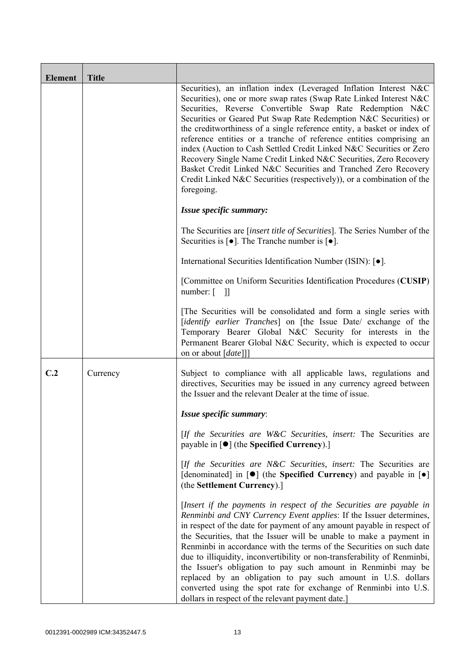| <b>Element</b> | <b>Title</b> |                                                                                                                                                                                                                                                                                                                                                                                                                                                                                                                                                                                                                                                                                                                               |
|----------------|--------------|-------------------------------------------------------------------------------------------------------------------------------------------------------------------------------------------------------------------------------------------------------------------------------------------------------------------------------------------------------------------------------------------------------------------------------------------------------------------------------------------------------------------------------------------------------------------------------------------------------------------------------------------------------------------------------------------------------------------------------|
|                |              | Securities), an inflation index (Leveraged Inflation Interest N&C<br>Securities), one or more swap rates (Swap Rate Linked Interest N&C<br>Securities, Reverse Convertible Swap Rate Redemption N&C<br>Securities or Geared Put Swap Rate Redemption N&C Securities) or<br>the creditworthiness of a single reference entity, a basket or index of<br>reference entities or a tranche of reference entities comprising an<br>index (Auction to Cash Settled Credit Linked N&C Securities or Zero<br>Recovery Single Name Credit Linked N&C Securities, Zero Recovery<br>Basket Credit Linked N&C Securities and Tranched Zero Recovery<br>Credit Linked N&C Securities (respectively)), or a combination of the<br>foregoing. |
|                |              | Issue specific summary:                                                                                                                                                                                                                                                                                                                                                                                                                                                                                                                                                                                                                                                                                                       |
|                |              | The Securities are <i>[insert title of Securities]</i> . The Series Number of the<br>Securities is $[\bullet]$ . The Tranche number is $[\bullet]$ .                                                                                                                                                                                                                                                                                                                                                                                                                                                                                                                                                                          |
|                |              | International Securities Identification Number (ISIN): [ $\bullet$ ].                                                                                                                                                                                                                                                                                                                                                                                                                                                                                                                                                                                                                                                         |
|                |              | [Committee on Uniform Securities Identification Procedures (CUSIP)<br>$number: [$ ]]                                                                                                                                                                                                                                                                                                                                                                                                                                                                                                                                                                                                                                          |
|                |              | [The Securities will be consolidated and form a single series with<br>[identify earlier Tranches] on [the Issue Date/ exchange of the<br>Temporary Bearer Global N&C Security for interests in the<br>Permanent Bearer Global N&C Security, which is expected to occur<br>on or about [date]]]                                                                                                                                                                                                                                                                                                                                                                                                                                |
| C.2            | Currency     | Subject to compliance with all applicable laws, regulations and<br>directives, Securities may be issued in any currency agreed between<br>the Issuer and the relevant Dealer at the time of issue.                                                                                                                                                                                                                                                                                                                                                                                                                                                                                                                            |
|                |              | Issue specific summary:                                                                                                                                                                                                                                                                                                                                                                                                                                                                                                                                                                                                                                                                                                       |
|                |              | [If the Securities are W&C Securities, insert: The Securities are<br>payable in $\lceil \bullet \rceil$ (the Specified Currency).]                                                                                                                                                                                                                                                                                                                                                                                                                                                                                                                                                                                            |
|                |              | [If the Securities are N&C Securities, insert: The Securities are<br>[denominated] in $[\bullet]$ (the Specified Currency) and payable in $[\bullet]$<br>(the Settlement Currency).]                                                                                                                                                                                                                                                                                                                                                                                                                                                                                                                                          |
|                |              | [Insert if the payments in respect of the Securities are payable in<br>Renminbi and CNY Currency Event applies: If the Issuer determines,<br>in respect of the date for payment of any amount payable in respect of<br>the Securities, that the Issuer will be unable to make a payment in<br>Renminbi in accordance with the terms of the Securities on such date<br>due to illiquidity, inconvertibility or non-transferability of Renminbi,<br>the Issuer's obligation to pay such amount in Renminbi may be<br>replaced by an obligation to pay such amount in U.S. dollars<br>converted using the spot rate for exchange of Renminbi into U.S.<br>dollars in respect of the relevant payment date.]                      |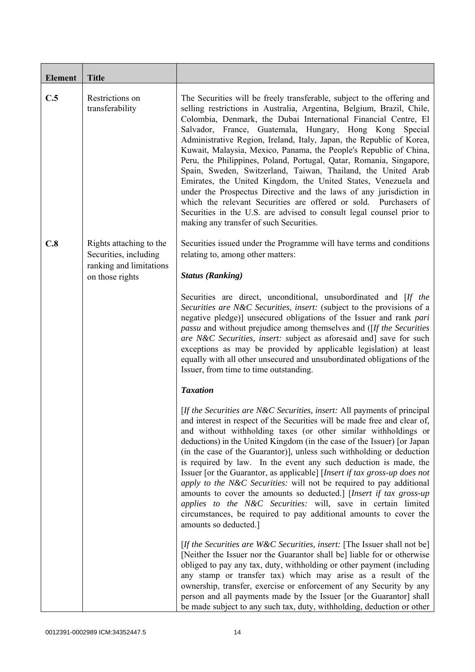| <b>Element</b> | <b>Title</b>                                                                                   |                                                                                                                                                                                                                                                                                                                                                                                                                                                                                                                                                                                                                                                                                                                                                                                                                                                                                                    |
|----------------|------------------------------------------------------------------------------------------------|----------------------------------------------------------------------------------------------------------------------------------------------------------------------------------------------------------------------------------------------------------------------------------------------------------------------------------------------------------------------------------------------------------------------------------------------------------------------------------------------------------------------------------------------------------------------------------------------------------------------------------------------------------------------------------------------------------------------------------------------------------------------------------------------------------------------------------------------------------------------------------------------------|
| C.5            | Restrictions on<br>transferability                                                             | The Securities will be freely transferable, subject to the offering and<br>selling restrictions in Australia, Argentina, Belgium, Brazil, Chile,<br>Colombia, Denmark, the Dubai International Financial Centre, El<br>Salvador, France, Guatemala, Hungary, Hong Kong Special<br>Administrative Region, Ireland, Italy, Japan, the Republic of Korea,<br>Kuwait, Malaysia, Mexico, Panama, the People's Republic of China,<br>Peru, the Philippines, Poland, Portugal, Qatar, Romania, Singapore,<br>Spain, Sweden, Switzerland, Taiwan, Thailand, the United Arab<br>Emirates, the United Kingdom, the United States, Venezuela and<br>under the Prospectus Directive and the laws of any jurisdiction in<br>which the relevant Securities are offered or sold. Purchasers of<br>Securities in the U.S. are advised to consult legal counsel prior to<br>making any transfer of such Securities. |
| C.8            | Rights attaching to the<br>Securities, including<br>ranking and limitations<br>on those rights | Securities issued under the Programme will have terms and conditions<br>relating to, among other matters:<br><b>Status (Ranking)</b>                                                                                                                                                                                                                                                                                                                                                                                                                                                                                                                                                                                                                                                                                                                                                               |
|                |                                                                                                | Securities are direct, unconditional, unsubordinated and [If the<br>Securities are N&C Securities, insert: (subject to the provisions of a<br>negative pledge)] unsecured obligations of the Issuer and rank pari<br><i>passu</i> and without prejudice among themselves and ([If the Securities]<br>are N&C Securities, insert: subject as aforesaid and] save for such<br>exceptions as may be provided by applicable legislation) at least<br>equally with all other unsecured and unsubordinated obligations of the<br>Issuer, from time to time outstanding.<br><b>Taxation</b>                                                                                                                                                                                                                                                                                                               |
|                |                                                                                                | [If the Securities are N&C Securities, insert: All payments of principal<br>and interest in respect of the Securities will be made free and clear of,<br>and without withholding taxes (or other similar withholdings or<br>deductions) in the United Kingdom (in the case of the Issuer) [or Japan<br>(in the case of the Guarantor)], unless such withholding or deduction<br>is required by law. In the event any such deduction is made, the<br>Issuer [or the Guarantor, as applicable] [Insert if tax gross-up does not<br>apply to the N&C Securities: will not be required to pay additional<br>amounts to cover the amounts so deducted.] [Insert if tax gross-up<br>applies to the N&C Securities: will, save in certain limited<br>circumstances, be required to pay additional amounts to cover the<br>amounts so deducted.]                                                           |
|                |                                                                                                | [If the Securities are W&C Securities, insert: [The Issuer shall not be]<br>[Neither the Issuer nor the Guarantor shall be] liable for or otherwise<br>obliged to pay any tax, duty, withholding or other payment (including<br>any stamp or transfer tax) which may arise as a result of the<br>ownership, transfer, exercise or enforcement of any Security by any<br>person and all payments made by the Issuer [or the Guarantor] shall<br>be made subject to any such tax, duty, withholding, deduction or other                                                                                                                                                                                                                                                                                                                                                                              |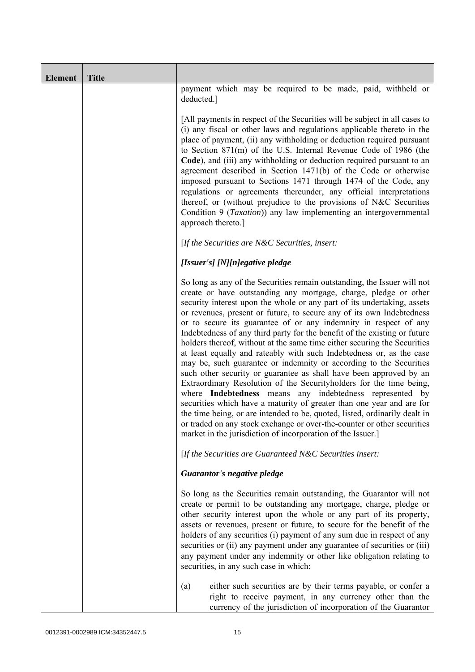| <b>Element</b> | <b>Title</b> |                                                                                                                                                                                                                                                                                                                                                                                                                                                                                                                                                                                                                                                                                                                                                                                                                                                                                                                                                                                                                                                                                                                                                                                       |
|----------------|--------------|---------------------------------------------------------------------------------------------------------------------------------------------------------------------------------------------------------------------------------------------------------------------------------------------------------------------------------------------------------------------------------------------------------------------------------------------------------------------------------------------------------------------------------------------------------------------------------------------------------------------------------------------------------------------------------------------------------------------------------------------------------------------------------------------------------------------------------------------------------------------------------------------------------------------------------------------------------------------------------------------------------------------------------------------------------------------------------------------------------------------------------------------------------------------------------------|
|                |              | payment which may be required to be made, paid, withheld or<br>deducted.]                                                                                                                                                                                                                                                                                                                                                                                                                                                                                                                                                                                                                                                                                                                                                                                                                                                                                                                                                                                                                                                                                                             |
|                |              | [All payments in respect of the Securities will be subject in all cases to<br>(i) any fiscal or other laws and regulations applicable thereto in the<br>place of payment, (ii) any withholding or deduction required pursuant<br>to Section 871(m) of the U.S. Internal Revenue Code of 1986 (the<br>Code), and (iii) any withholding or deduction required pursuant to an<br>agreement described in Section 1471(b) of the Code or otherwise<br>imposed pursuant to Sections 1471 through 1474 of the Code, any<br>regulations or agreements thereunder, any official interpretations<br>thereof, or (without prejudice to the provisions of N&C Securities<br>Condition 9 ( <i>Taxation</i> )) any law implementing an intergovernmental<br>approach thereto.]                                                                                                                                                                                                                                                                                                                                                                                                                      |
|                |              | [If the Securities are $N\&C$ Securities, insert:                                                                                                                                                                                                                                                                                                                                                                                                                                                                                                                                                                                                                                                                                                                                                                                                                                                                                                                                                                                                                                                                                                                                     |
|                |              | [Issuer's] [N][n]egative pledge                                                                                                                                                                                                                                                                                                                                                                                                                                                                                                                                                                                                                                                                                                                                                                                                                                                                                                                                                                                                                                                                                                                                                       |
|                |              | So long as any of the Securities remain outstanding, the Issuer will not<br>create or have outstanding any mortgage, charge, pledge or other<br>security interest upon the whole or any part of its undertaking, assets<br>or revenues, present or future, to secure any of its own Indebtedness<br>or to secure its guarantee of or any indemnity in respect of any<br>Indebtedness of any third party for the benefit of the existing or future<br>holders thereof, without at the same time either securing the Securities<br>at least equally and rateably with such Indebtedness or, as the case<br>may be, such guarantee or indemnity or according to the Securities<br>such other security or guarantee as shall have been approved by an<br>Extraordinary Resolution of the Securityholders for the time being,<br>where Indebtedness means any indebtedness represented by<br>securities which have a maturity of greater than one year and are for<br>the time being, or are intended to be, quoted, listed, ordinarily dealt in<br>or traded on any stock exchange or over-the-counter or other securities<br>market in the jurisdiction of incorporation of the Issuer.] |
|                |              | [If the Securities are Guaranteed N&C Securities insert:                                                                                                                                                                                                                                                                                                                                                                                                                                                                                                                                                                                                                                                                                                                                                                                                                                                                                                                                                                                                                                                                                                                              |
|                |              | Guarantor's negative pledge                                                                                                                                                                                                                                                                                                                                                                                                                                                                                                                                                                                                                                                                                                                                                                                                                                                                                                                                                                                                                                                                                                                                                           |
|                |              | So long as the Securities remain outstanding, the Guarantor will not<br>create or permit to be outstanding any mortgage, charge, pledge or<br>other security interest upon the whole or any part of its property,<br>assets or revenues, present or future, to secure for the benefit of the<br>holders of any securities (i) payment of any sum due in respect of any<br>securities or (ii) any payment under any guarantee of securities or (iii)<br>any payment under any indemnity or other like obligation relating to<br>securities, in any such case in which:                                                                                                                                                                                                                                                                                                                                                                                                                                                                                                                                                                                                                 |
|                |              | either such securities are by their terms payable, or confer a<br>(a)<br>right to receive payment, in any currency other than the<br>currency of the jurisdiction of incorporation of the Guarantor                                                                                                                                                                                                                                                                                                                                                                                                                                                                                                                                                                                                                                                                                                                                                                                                                                                                                                                                                                                   |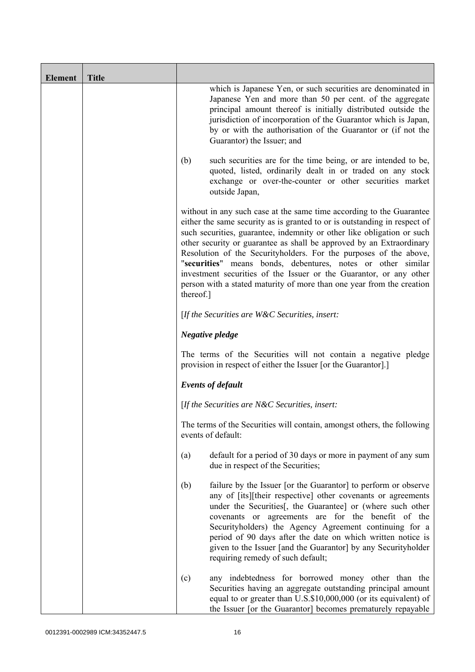| <b>Element</b> | <b>Title</b> |                                                                                                                                                                                                                                                                                                                                                                                                                                                                                                                                                                                                      |
|----------------|--------------|------------------------------------------------------------------------------------------------------------------------------------------------------------------------------------------------------------------------------------------------------------------------------------------------------------------------------------------------------------------------------------------------------------------------------------------------------------------------------------------------------------------------------------------------------------------------------------------------------|
|                |              | which is Japanese Yen, or such securities are denominated in<br>Japanese Yen and more than 50 per cent. of the aggregate<br>principal amount thereof is initially distributed outside the<br>jurisdiction of incorporation of the Guarantor which is Japan,<br>by or with the authorisation of the Guarantor or (if not the<br>Guarantor) the Issuer; and                                                                                                                                                                                                                                            |
|                |              | (b)<br>such securities are for the time being, or are intended to be,<br>quoted, listed, ordinarily dealt in or traded on any stock<br>exchange or over-the-counter or other securities market<br>outside Japan,                                                                                                                                                                                                                                                                                                                                                                                     |
|                |              | without in any such case at the same time according to the Guarantee<br>either the same security as is granted to or is outstanding in respect of<br>such securities, guarantee, indemnity or other like obligation or such<br>other security or guarantee as shall be approved by an Extraordinary<br>Resolution of the Securityholders. For the purposes of the above,<br>"securities" means bonds, debentures, notes or other similar<br>investment securities of the Issuer or the Guarantor, or any other<br>person with a stated maturity of more than one year from the creation<br>thereof.] |
|                |              | [If the Securities are W&C Securities, insert:                                                                                                                                                                                                                                                                                                                                                                                                                                                                                                                                                       |
|                |              | Negative pledge                                                                                                                                                                                                                                                                                                                                                                                                                                                                                                                                                                                      |
|                |              | The terms of the Securities will not contain a negative pledge<br>provision in respect of either the Issuer [or the Guarantor].]                                                                                                                                                                                                                                                                                                                                                                                                                                                                     |
|                |              | <b>Events of default</b>                                                                                                                                                                                                                                                                                                                                                                                                                                                                                                                                                                             |
|                |              | [If the Securities are $N\&C$ Securities, insert:                                                                                                                                                                                                                                                                                                                                                                                                                                                                                                                                                    |
|                |              | The terms of the Securities will contain, amongst others, the following<br>events of default:                                                                                                                                                                                                                                                                                                                                                                                                                                                                                                        |
|                |              | default for a period of 30 days or more in payment of any sum<br>(a)<br>due in respect of the Securities;                                                                                                                                                                                                                                                                                                                                                                                                                                                                                            |
|                |              | (b)<br>failure by the Issuer [or the Guarantor] to perform or observe<br>any of [its][their respective] other covenants or agreements<br>under the Securities[, the Guarantee] or (where such other<br>covenants or agreements are for the benefit of the<br>Securityholders) the Agency Agreement continuing for a<br>period of 90 days after the date on which written notice is<br>given to the Issuer [and the Guarantor] by any Securityholder<br>requiring remedy of such default;                                                                                                             |
|                |              | any indebtedness for borrowed money other than the<br>(c)<br>Securities having an aggregate outstanding principal amount<br>equal to or greater than U.S.\$10,000,000 (or its equivalent) of<br>the Issuer [or the Guarantor] becomes prematurely repayable                                                                                                                                                                                                                                                                                                                                          |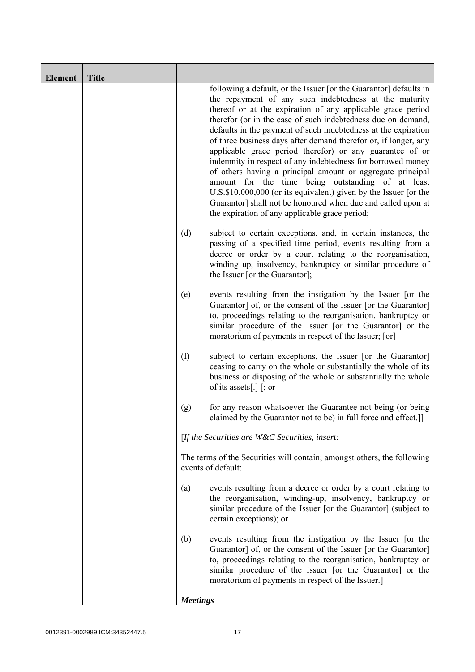| <b>Element</b> | <b>Title</b> |                                                                                                                                                                                                                                                                                                                                                                                                                                                                                                                                                                                                                                                                                                                                                                                                                                     |
|----------------|--------------|-------------------------------------------------------------------------------------------------------------------------------------------------------------------------------------------------------------------------------------------------------------------------------------------------------------------------------------------------------------------------------------------------------------------------------------------------------------------------------------------------------------------------------------------------------------------------------------------------------------------------------------------------------------------------------------------------------------------------------------------------------------------------------------------------------------------------------------|
|                |              | following a default, or the Issuer [or the Guarantor] defaults in<br>the repayment of any such indebtedness at the maturity<br>thereof or at the expiration of any applicable grace period<br>therefor (or in the case of such indebtedness due on demand,<br>defaults in the payment of such indebtedness at the expiration<br>of three business days after demand therefor or, if longer, any<br>applicable grace period therefor) or any guarantee of or<br>indemnity in respect of any indebtedness for borrowed money<br>of others having a principal amount or aggregate principal<br>amount for the time being outstanding of at least<br>U.S.\$10,000,000 (or its equivalent) given by the Issuer [or the<br>Guarantor] shall not be honoured when due and called upon at<br>the expiration of any applicable grace period; |
|                |              | (d)<br>subject to certain exceptions, and, in certain instances, the<br>passing of a specified time period, events resulting from a<br>decree or order by a court relating to the reorganisation,<br>winding up, insolvency, bankruptcy or similar procedure of<br>the Issuer [or the Guarantor];                                                                                                                                                                                                                                                                                                                                                                                                                                                                                                                                   |
|                |              | events resulting from the instigation by the Issuer [or the<br>(e)<br>Guarantor] of, or the consent of the Issuer [or the Guarantor]<br>to, proceedings relating to the reorganisation, bankruptcy or<br>similar procedure of the Issuer [or the Guarantor] or the<br>moratorium of payments in respect of the Issuer; [or]                                                                                                                                                                                                                                                                                                                                                                                                                                                                                                         |
|                |              | (f)<br>subject to certain exceptions, the Issuer [or the Guarantor]<br>ceasing to carry on the whole or substantially the whole of its<br>business or disposing of the whole or substantially the whole<br>of its assets[.] $\lceil$ ; or                                                                                                                                                                                                                                                                                                                                                                                                                                                                                                                                                                                           |
|                |              | for any reason whatsoever the Guarantee not being (or being<br>(g)<br>claimed by the Guarantor not to be) in full force and effect.]                                                                                                                                                                                                                                                                                                                                                                                                                                                                                                                                                                                                                                                                                                |
|                |              | [If the Securities are W&C Securities, insert:                                                                                                                                                                                                                                                                                                                                                                                                                                                                                                                                                                                                                                                                                                                                                                                      |
|                |              | The terms of the Securities will contain; amongst others, the following<br>events of default:                                                                                                                                                                                                                                                                                                                                                                                                                                                                                                                                                                                                                                                                                                                                       |
|                |              | events resulting from a decree or order by a court relating to<br>(a)<br>the reorganisation, winding-up, insolvency, bankruptcy or<br>similar procedure of the Issuer [or the Guarantor] (subject to<br>certain exceptions); or                                                                                                                                                                                                                                                                                                                                                                                                                                                                                                                                                                                                     |
|                |              | events resulting from the instigation by the Issuer [or the<br>(b)<br>Guarantor] of, or the consent of the Issuer [or the Guarantor]<br>to, proceedings relating to the reorganisation, bankruptcy or<br>similar procedure of the Issuer [or the Guarantor] or the<br>moratorium of payments in respect of the Issuer.]                                                                                                                                                                                                                                                                                                                                                                                                                                                                                                             |
|                |              | <b>Meetings</b>                                                                                                                                                                                                                                                                                                                                                                                                                                                                                                                                                                                                                                                                                                                                                                                                                     |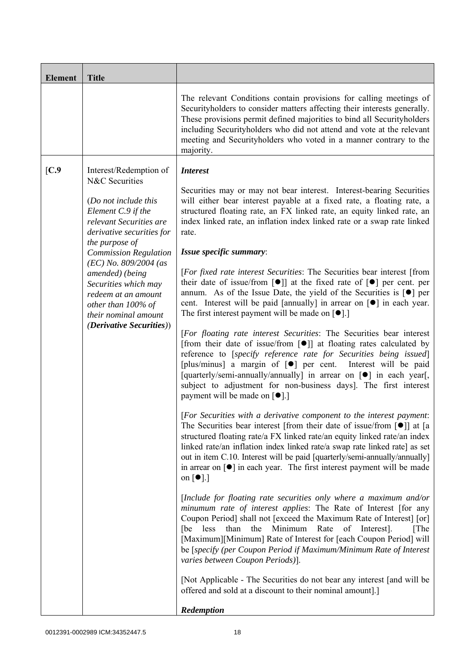| <b>Element</b> | <b>Title</b>                                                                                                                                                                                                                                                                                                                                                                   |                                                                                                                                                                                                                                                                                                                                                                                                                                                                                                                                                                                                                                                                                                                                                                                                                                                                                                                                                                                                                                                                                                                                                                                                                                                                                                                                                                                                                                                                                                                                                                                                                                                                                                                                                                                                                                                                                                                                                                                                                                                                                                                                                                                                                                                                                                                                                                                                                                                                                                            |
|----------------|--------------------------------------------------------------------------------------------------------------------------------------------------------------------------------------------------------------------------------------------------------------------------------------------------------------------------------------------------------------------------------|------------------------------------------------------------------------------------------------------------------------------------------------------------------------------------------------------------------------------------------------------------------------------------------------------------------------------------------------------------------------------------------------------------------------------------------------------------------------------------------------------------------------------------------------------------------------------------------------------------------------------------------------------------------------------------------------------------------------------------------------------------------------------------------------------------------------------------------------------------------------------------------------------------------------------------------------------------------------------------------------------------------------------------------------------------------------------------------------------------------------------------------------------------------------------------------------------------------------------------------------------------------------------------------------------------------------------------------------------------------------------------------------------------------------------------------------------------------------------------------------------------------------------------------------------------------------------------------------------------------------------------------------------------------------------------------------------------------------------------------------------------------------------------------------------------------------------------------------------------------------------------------------------------------------------------------------------------------------------------------------------------------------------------------------------------------------------------------------------------------------------------------------------------------------------------------------------------------------------------------------------------------------------------------------------------------------------------------------------------------------------------------------------------------------------------------------------------------------------------------------------------|
|                |                                                                                                                                                                                                                                                                                                                                                                                | The relevant Conditions contain provisions for calling meetings of<br>Securityholders to consider matters affecting their interests generally.<br>These provisions permit defined majorities to bind all Securityholders<br>including Securityholders who did not attend and vote at the relevant<br>meeting and Securityholders who voted in a manner contrary to the<br>majority.                                                                                                                                                                                                                                                                                                                                                                                                                                                                                                                                                                                                                                                                                                                                                                                                                                                                                                                                                                                                                                                                                                                                                                                                                                                                                                                                                                                                                                                                                                                                                                                                                                                                                                                                                                                                                                                                                                                                                                                                                                                                                                                        |
| [C.9]          | Interest/Redemption of<br>N&C Securities<br>(Do not include this<br>Element C.9 if the<br>relevant Securities are<br>derivative securities for<br>the purpose of<br><b>Commission Regulation</b><br>$(EC)$ No. 809/2004 (as<br>amended) (being<br>Securities which may<br>redeem at an amount<br>other than 100% of<br>their nominal amount<br><i>(Derivative Securities))</i> | <b>Interest</b><br>Securities may or may not bear interest. Interest-bearing Securities<br>will either bear interest payable at a fixed rate, a floating rate, a<br>structured floating rate, an FX linked rate, an equity linked rate, an<br>index linked rate, an inflation index linked rate or a swap rate linked<br>rate.<br>Issue specific summary:<br>[For fixed rate interest Securities: The Securities bear interest [from<br>their date of issue/from $\lceil \bullet \rceil$ at the fixed rate of $\lceil \bullet \rceil$ per cent. per<br>annum. As of the Issue Date, the yield of the Securities is $\lceil \bullet \rceil$ per<br>cent. Interest will be paid [annually] in arrear on [ $\bullet$ ] in each year.<br>The first interest payment will be made on $\lceil \bullet \rceil$ .]<br>[For floating rate interest Securities: The Securities bear interest<br>[from their date of issue/from $\lceil \bullet \rceil$ ] at floating rates calculated by<br>reference to [specify reference rate for Securities being issued]<br>[plus/minus] a margin of [ $\bullet$ ] per cent. Interest will be paid<br>[quarterly/semi-annually/annually] in arrear on [ $\bullet$ ] in each year[,<br>subject to adjustment for non-business days]. The first interest<br>payment will be made on [ $\bullet$ ].]<br>[For Securities with a derivative component to the interest payment:<br>The Securities bear interest [from their date of issue/from $\lceil \bullet \rceil$ ] at [a<br>structured floating rate/a FX linked rate/an equity linked rate/an index<br>linked rate/an inflation index linked rate/a swap rate linked rate] as set<br>out in item C.10. Interest will be paid [quarterly/semi-annually/annually]<br>in arrear on $\lceil \bullet \rceil$ in each year. The first interest payment will be made<br>on $\lceil \bullet \rceil$ .]<br>[Include for floating rate securities only where a maximum and/or<br>minumum rate of interest applies: The Rate of Interest [for any<br>Coupon Period] shall not [exceed the Maximum Rate of Interest] [or]<br>Minimum<br>than<br>the<br>Rate<br>of<br>Interest].<br>[The<br>less<br> be<br>[Maximum][Minimum] Rate of Interest for [each Coupon Period] will<br>be [specify (per Coupon Period if Maximum/Minimum Rate of Interest<br>varies between Coupon Periods)].<br>[Not Applicable - The Securities do not bear any interest [and will be<br>offered and sold at a discount to their nominal amount].]<br>Redemption |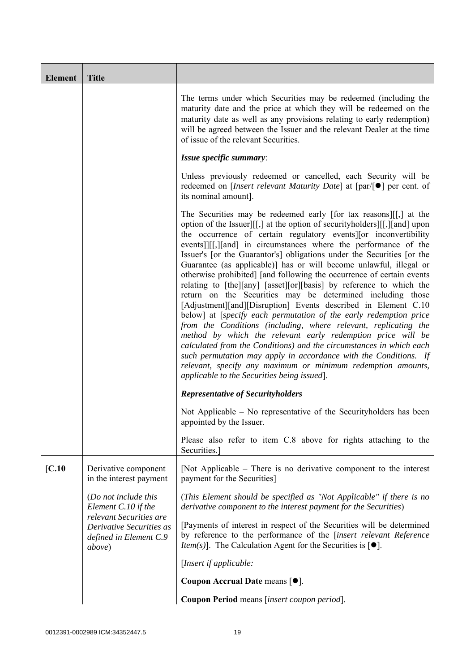| <b>Element</b> | <b>Title</b>                                                                            |                                                                                                                                                                                                                                                                                                                                                                                                                                                                                                                                                                                                                                                                                                                                                                                                                                                                                                                                                                                                                                                                                                                                                                                       |
|----------------|-----------------------------------------------------------------------------------------|---------------------------------------------------------------------------------------------------------------------------------------------------------------------------------------------------------------------------------------------------------------------------------------------------------------------------------------------------------------------------------------------------------------------------------------------------------------------------------------------------------------------------------------------------------------------------------------------------------------------------------------------------------------------------------------------------------------------------------------------------------------------------------------------------------------------------------------------------------------------------------------------------------------------------------------------------------------------------------------------------------------------------------------------------------------------------------------------------------------------------------------------------------------------------------------|
|                |                                                                                         | The terms under which Securities may be redeemed (including the<br>maturity date and the price at which they will be redeemed on the<br>maturity date as well as any provisions relating to early redemption)<br>will be agreed between the Issuer and the relevant Dealer at the time<br>of issue of the relevant Securities.                                                                                                                                                                                                                                                                                                                                                                                                                                                                                                                                                                                                                                                                                                                                                                                                                                                        |
|                |                                                                                         | Issue specific summary:                                                                                                                                                                                                                                                                                                                                                                                                                                                                                                                                                                                                                                                                                                                                                                                                                                                                                                                                                                                                                                                                                                                                                               |
|                |                                                                                         | Unless previously redeemed or cancelled, each Security will be<br>redeemed on [ <i>Insert relevant Maturity Date</i> ] at [par/[●] per cent. of<br>its nominal amount].                                                                                                                                                                                                                                                                                                                                                                                                                                                                                                                                                                                                                                                                                                                                                                                                                                                                                                                                                                                                               |
|                |                                                                                         | The Securities may be redeemed early [for tax reasons][[,] at the<br>option of the Issuer][[,] at the option of security holders][[,][and] upon<br>the occurrence of certain regulatory events or inconvertibility<br>events]][[,][and] in circumstances where the performance of the<br>Issuer's [or the Guarantor's] obligations under the Securities [or the<br>Guarantee (as applicable)] has or will become unlawful, illegal or<br>otherwise prohibited] [and following the occurrence of certain events<br>relating to [the][any] [asset][or][basis] by reference to which the<br>return on the Securities may be determined including those<br>[Adjustment][and][Disruption] Events described in Element C.10<br>below] at [specify each permutation of the early redemption price<br>from the Conditions (including, where relevant, replicating the<br>method by which the relevant early redemption price will be<br>calculated from the Conditions) and the circumstances in which each<br>such permutation may apply in accordance with the Conditions. If<br>relevant, specify any maximum or minimum redemption amounts,<br>applicable to the Securities being issued. |
|                |                                                                                         | <b>Representative of Securityholders</b>                                                                                                                                                                                                                                                                                                                                                                                                                                                                                                                                                                                                                                                                                                                                                                                                                                                                                                                                                                                                                                                                                                                                              |
|                |                                                                                         | Not Applicable – No representative of the Security holders has been<br>appointed by the Issuer.                                                                                                                                                                                                                                                                                                                                                                                                                                                                                                                                                                                                                                                                                                                                                                                                                                                                                                                                                                                                                                                                                       |
|                |                                                                                         | Please also refer to item C.8 above for rights attaching to the<br>Securities.]                                                                                                                                                                                                                                                                                                                                                                                                                                                                                                                                                                                                                                                                                                                                                                                                                                                                                                                                                                                                                                                                                                       |
| [C.10]         | Derivative component<br>in the interest payment                                         | [Not Applicable – There is no derivative component to the interest<br>payment for the Securities]                                                                                                                                                                                                                                                                                                                                                                                                                                                                                                                                                                                                                                                                                                                                                                                                                                                                                                                                                                                                                                                                                     |
|                | (Do not include this<br>Element C.10 if the                                             | (This Element should be specified as "Not Applicable" if there is no<br>derivative component to the interest payment for the Securities)                                                                                                                                                                                                                                                                                                                                                                                                                                                                                                                                                                                                                                                                                                                                                                                                                                                                                                                                                                                                                                              |
|                | relevant Securities are<br>Derivative Securities as<br>defined in Element C.9<br>above) | [Payments of interest in respect of the Securities will be determined<br>by reference to the performance of the [insert relevant Reference<br><i>Item(s)</i> ]. The Calculation Agent for the Securities is $[•]$ .                                                                                                                                                                                                                                                                                                                                                                                                                                                                                                                                                                                                                                                                                                                                                                                                                                                                                                                                                                   |
|                |                                                                                         | [Insert if applicable:                                                                                                                                                                                                                                                                                                                                                                                                                                                                                                                                                                                                                                                                                                                                                                                                                                                                                                                                                                                                                                                                                                                                                                |
|                |                                                                                         | Coupon Accrual Date means [ $\bullet$ ].                                                                                                                                                                                                                                                                                                                                                                                                                                                                                                                                                                                                                                                                                                                                                                                                                                                                                                                                                                                                                                                                                                                                              |
|                |                                                                                         | Coupon Period means [insert coupon period].                                                                                                                                                                                                                                                                                                                                                                                                                                                                                                                                                                                                                                                                                                                                                                                                                                                                                                                                                                                                                                                                                                                                           |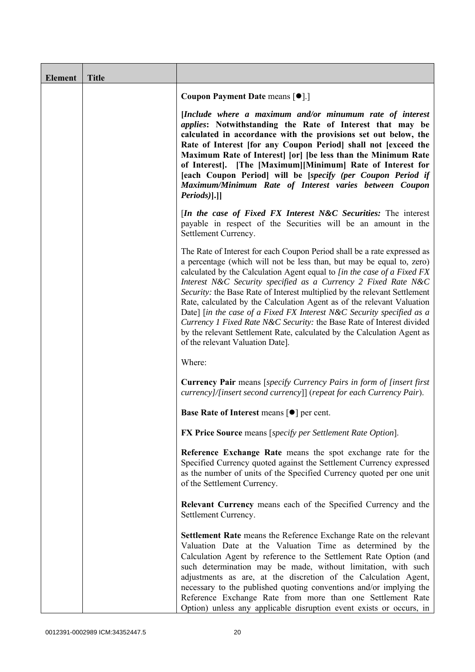| <b>Element</b> | <b>Title</b> |                                                                                                                                                                                                                                                                                                                                                                                                                                                                                                                                                                                                                                                                                                                        |
|----------------|--------------|------------------------------------------------------------------------------------------------------------------------------------------------------------------------------------------------------------------------------------------------------------------------------------------------------------------------------------------------------------------------------------------------------------------------------------------------------------------------------------------------------------------------------------------------------------------------------------------------------------------------------------------------------------------------------------------------------------------------|
|                |              | Coupon Payment Date means [ $\bullet$ ].]                                                                                                                                                                                                                                                                                                                                                                                                                                                                                                                                                                                                                                                                              |
|                |              | [Include where a maximum and/or minumum rate of interest<br><i>applies:</i> Notwithstanding the Rate of Interest that may be<br>calculated in accordance with the provisions set out below, the<br>Rate of Interest [for any Coupon Period] shall not [exceed the<br>Maximum Rate of Interest [or] [be less than the Minimum Rate<br>of Interest]. [The [Maximum][Minimum] Rate of Interest for<br>[each Coupon Period] will be [specify (per Coupon Period if<br>Maximum/Minimum Rate of Interest varies between Coupon<br>$Periods$ ].]                                                                                                                                                                              |
|                |              | [In the case of Fixed FX Interest N&C Securities: The interest<br>payable in respect of the Securities will be an amount in the<br>Settlement Currency.                                                                                                                                                                                                                                                                                                                                                                                                                                                                                                                                                                |
|                |              | The Rate of Interest for each Coupon Period shall be a rate expressed as<br>a percentage (which will not be less than, but may be equal to, zero)<br>calculated by the Calculation Agent equal to [in the case of a Fixed FX<br>Interest N&C Security specified as a Currency 2 Fixed Rate N&C<br>Security: the Base Rate of Interest multiplied by the relevant Settlement<br>Rate, calculated by the Calculation Agent as of the relevant Valuation<br>Date] [in the case of a Fixed FX Interest N&C Security specified as a<br>Currency 1 Fixed Rate N&C Security: the Base Rate of Interest divided<br>by the relevant Settlement Rate, calculated by the Calculation Agent as<br>of the relevant Valuation Date]. |
|                |              | Where:                                                                                                                                                                                                                                                                                                                                                                                                                                                                                                                                                                                                                                                                                                                 |
|                |              | <b>Currency Pair</b> means [specify Currency Pairs in form of [insert first]<br>currency]/[insert second currency]] (repeat for each Currency Pair).                                                                                                                                                                                                                                                                                                                                                                                                                                                                                                                                                                   |
|                |              | <b>Base Rate of Interest means <math>\lceil \bullet \rceil</math> per cent.</b>                                                                                                                                                                                                                                                                                                                                                                                                                                                                                                                                                                                                                                        |
|                |              | <b>FX Price Source means [specify per Settlement Rate Option].</b>                                                                                                                                                                                                                                                                                                                                                                                                                                                                                                                                                                                                                                                     |
|                |              | Reference Exchange Rate means the spot exchange rate for the<br>Specified Currency quoted against the Settlement Currency expressed<br>as the number of units of the Specified Currency quoted per one unit<br>of the Settlement Currency.                                                                                                                                                                                                                                                                                                                                                                                                                                                                             |
|                |              | <b>Relevant Currency</b> means each of the Specified Currency and the<br>Settlement Currency.                                                                                                                                                                                                                                                                                                                                                                                                                                                                                                                                                                                                                          |
|                |              | Settlement Rate means the Reference Exchange Rate on the relevant<br>Valuation Date at the Valuation Time as determined by the<br>Calculation Agent by reference to the Settlement Rate Option (and<br>such determination may be made, without limitation, with such<br>adjustments as are, at the discretion of the Calculation Agent,<br>necessary to the published quoting conventions and/or implying the<br>Reference Exchange Rate from more than one Settlement Rate<br>Option) unless any applicable disruption event exists or occurs, in                                                                                                                                                                     |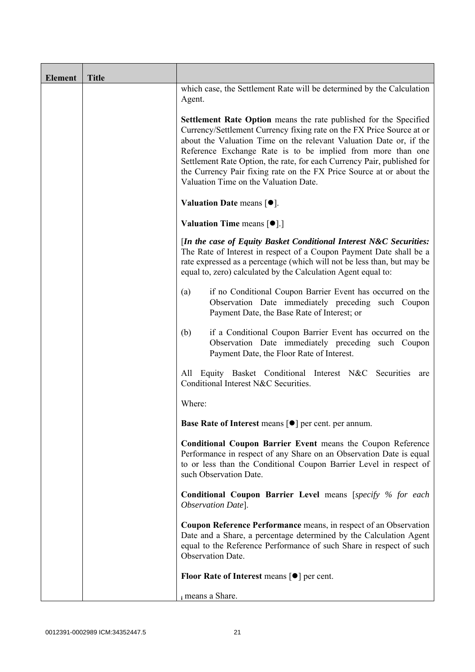| <b>Element</b> | <b>Title</b> |                                                                                                                                                                                                                                                                                                                                                                                                                                                                                    |
|----------------|--------------|------------------------------------------------------------------------------------------------------------------------------------------------------------------------------------------------------------------------------------------------------------------------------------------------------------------------------------------------------------------------------------------------------------------------------------------------------------------------------------|
|                |              | which case, the Settlement Rate will be determined by the Calculation<br>Agent.                                                                                                                                                                                                                                                                                                                                                                                                    |
|                |              | <b>Settlement Rate Option</b> means the rate published for the Specified<br>Currency/Settlement Currency fixing rate on the FX Price Source at or<br>about the Valuation Time on the relevant Valuation Date or, if the<br>Reference Exchange Rate is to be implied from more than one<br>Settlement Rate Option, the rate, for each Currency Pair, published for<br>the Currency Pair fixing rate on the FX Price Source at or about the<br>Valuation Time on the Valuation Date. |
|                |              | Valuation Date means $[\bullet].$                                                                                                                                                                                                                                                                                                                                                                                                                                                  |
|                |              | <b>Valuation Time means <math>\lceil \bullet \rceil</math>.</b>                                                                                                                                                                                                                                                                                                                                                                                                                    |
|                |              | [In the case of Equity Basket Conditional Interest N&C Securities:<br>The Rate of Interest in respect of a Coupon Payment Date shall be a<br>rate expressed as a percentage (which will not be less than, but may be<br>equal to, zero) calculated by the Calculation Agent equal to:                                                                                                                                                                                              |
|                |              | if no Conditional Coupon Barrier Event has occurred on the<br>(a)<br>Observation Date immediately preceding such Coupon<br>Payment Date, the Base Rate of Interest; or                                                                                                                                                                                                                                                                                                             |
|                |              | if a Conditional Coupon Barrier Event has occurred on the<br>(b)<br>Observation Date immediately preceding such Coupon<br>Payment Date, the Floor Rate of Interest.                                                                                                                                                                                                                                                                                                                |
|                |              | All Equity Basket Conditional Interest N&C Securities<br>are<br>Conditional Interest N&C Securities.                                                                                                                                                                                                                                                                                                                                                                               |
|                |              | Where:                                                                                                                                                                                                                                                                                                                                                                                                                                                                             |
|                |              | Base Rate of Interest means [ $\bullet$ ] per cent. per annum.                                                                                                                                                                                                                                                                                                                                                                                                                     |
|                |              | <b>Conditional Coupon Barrier Event means the Coupon Reference</b><br>Performance in respect of any Share on an Observation Date is equal<br>to or less than the Conditional Coupon Barrier Level in respect of<br>such Observation Date.                                                                                                                                                                                                                                          |
|                |              | <b>Conditional Coupon Barrier Level means [specify % for each</b><br>Observation Date].                                                                                                                                                                                                                                                                                                                                                                                            |
|                |              | Coupon Reference Performance means, in respect of an Observation<br>Date and a Share, a percentage determined by the Calculation Agent<br>equal to the Reference Performance of such Share in respect of such<br>Observation Date.                                                                                                                                                                                                                                                 |
|                |              | Floor Rate of Interest means [●] per cent.                                                                                                                                                                                                                                                                                                                                                                                                                                         |
|                |              | i means a Share.                                                                                                                                                                                                                                                                                                                                                                                                                                                                   |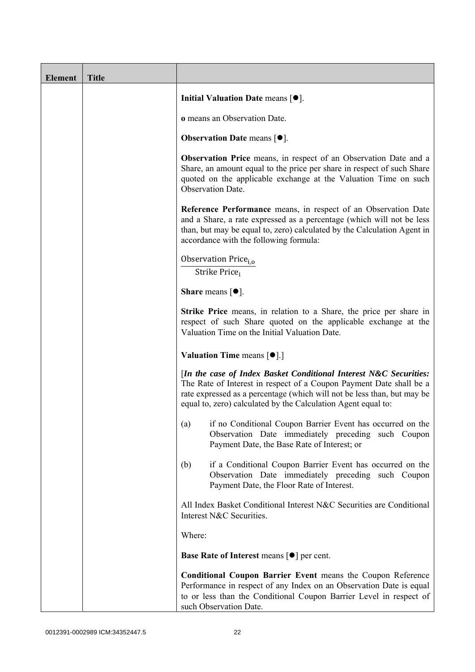| <b>Element</b> | <b>Title</b> |                                                                                                                                                                                                                                                                                      |
|----------------|--------------|--------------------------------------------------------------------------------------------------------------------------------------------------------------------------------------------------------------------------------------------------------------------------------------|
|                |              | Initial Valuation Date means $[•]$ .                                                                                                                                                                                                                                                 |
|                |              | o means an Observation Date.                                                                                                                                                                                                                                                         |
|                |              | <b>Observation Date means <math>[•]</math>.</b>                                                                                                                                                                                                                                      |
|                |              | <b>Observation Price</b> means, in respect of an Observation Date and a<br>Share, an amount equal to the price per share in respect of such Share<br>quoted on the applicable exchange at the Valuation Time on such<br>Observation Date.                                            |
|                |              | Reference Performance means, in respect of an Observation Date<br>and a Share, a rate expressed as a percentage (which will not be less<br>than, but may be equal to, zero) calculated by the Calculation Agent in<br>accordance with the following formula:                         |
|                |              | Observation Price <sub>i.o</sub><br>Strike Price;                                                                                                                                                                                                                                    |
|                |              | <b>Share</b> means $[①]$ .                                                                                                                                                                                                                                                           |
|                |              | Strike Price means, in relation to a Share, the price per share in<br>respect of such Share quoted on the applicable exchange at the<br>Valuation Time on the Initial Valuation Date.                                                                                                |
|                |              | <b>Valuation Time means <math>\lceil \bullet \rceil</math>.</b>                                                                                                                                                                                                                      |
|                |              | [In the case of Index Basket Conditional Interest N&C Securities:<br>The Rate of Interest in respect of a Coupon Payment Date shall be a<br>rate expressed as a percentage (which will not be less than, but may be<br>equal to, zero) calculated by the Calculation Agent equal to: |
|                |              | if no Conditional Coupon Barrier Event has occurred on the<br>(a)<br>Observation Date immediately preceding such Coupon<br>Payment Date, the Base Rate of Interest; or                                                                                                               |
|                |              | if a Conditional Coupon Barrier Event has occurred on the<br>(b)<br>Observation Date immediately preceding such Coupon<br>Payment Date, the Floor Rate of Interest.                                                                                                                  |
|                |              | All Index Basket Conditional Interest N&C Securities are Conditional<br>Interest N&C Securities.                                                                                                                                                                                     |
|                |              | Where:                                                                                                                                                                                                                                                                               |
|                |              | <b>Base Rate of Interest means <math>\lceil \bullet \rceil</math> per cent.</b>                                                                                                                                                                                                      |
|                |              | <b>Conditional Coupon Barrier Event means the Coupon Reference</b><br>Performance in respect of any Index on an Observation Date is equal<br>to or less than the Conditional Coupon Barrier Level in respect of<br>such Observation Date.                                            |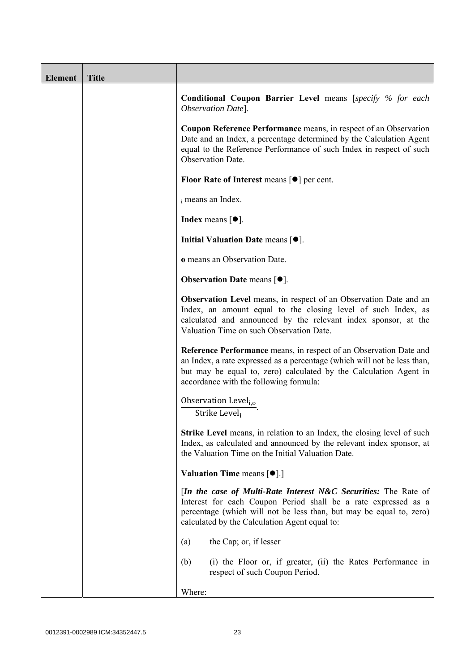| <b>Element</b> | <b>Title</b> |                                                                                                                                                                                                                                                                      |
|----------------|--------------|----------------------------------------------------------------------------------------------------------------------------------------------------------------------------------------------------------------------------------------------------------------------|
|                |              | <b>Conditional Coupon Barrier Level means [specify % for each</b><br>Observation Date].                                                                                                                                                                              |
|                |              | <b>Coupon Reference Performance</b> means, in respect of an Observation<br>Date and an Index, a percentage determined by the Calculation Agent<br>equal to the Reference Performance of such Index in respect of such<br>Observation Date.                           |
|                |              | Floor Rate of Interest means [●] per cent.                                                                                                                                                                                                                           |
|                |              | i means an Index.                                                                                                                                                                                                                                                    |
|                |              | <b>Index</b> means $\lceil \bullet \rceil$ .                                                                                                                                                                                                                         |
|                |              | Initial Valuation Date means $[•]$ .                                                                                                                                                                                                                                 |
|                |              | o means an Observation Date.                                                                                                                                                                                                                                         |
|                |              | <b>Observation Date means <math>\lceil \bullet \rceil</math>.</b>                                                                                                                                                                                                    |
|                |              | <b>Observation Level</b> means, in respect of an Observation Date and an<br>Index, an amount equal to the closing level of such Index, as<br>calculated and announced by the relevant index sponsor, at the<br>Valuation Time on such Observation Date.              |
|                |              | <b>Reference Performance</b> means, in respect of an Observation Date and<br>an Index, a rate expressed as a percentage (which will not be less than,<br>but may be equal to, zero) calculated by the Calculation Agent in<br>accordance with the following formula: |
|                |              | Observation Level <sub>i,o</sub><br>Strike Level,                                                                                                                                                                                                                    |
|                |              | <b>Strike Level</b> means, in relation to an Index, the closing level of such<br>Index, as calculated and announced by the relevant index sponsor, at<br>the Valuation Time on the Initial Valuation Date.                                                           |
|                |              | <b>Valuation Time means <math>\lceil \bullet \rceil</math>.</b>                                                                                                                                                                                                      |
|                |              | [In the case of Multi-Rate Interest N&C Securities: The Rate of<br>Interest for each Coupon Period shall be a rate expressed as a<br>percentage (which will not be less than, but may be equal to, zero)<br>calculated by the Calculation Agent equal to:            |
|                |              | the Cap; or, if lesser<br>(a)                                                                                                                                                                                                                                        |
|                |              | (i) the Floor or, if greater, (ii) the Rates Performance in<br>(b)<br>respect of such Coupon Period.                                                                                                                                                                 |
|                |              | Where:                                                                                                                                                                                                                                                               |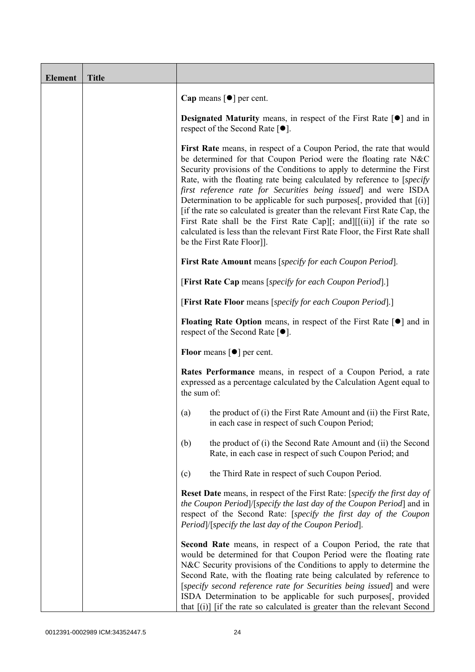| <b>Element</b> | <b>Title</b> |                                                                                                                                                                                                                                                                                                                                                                                                                                                                                                                                                                                                                                                                                                                |
|----------------|--------------|----------------------------------------------------------------------------------------------------------------------------------------------------------------------------------------------------------------------------------------------------------------------------------------------------------------------------------------------------------------------------------------------------------------------------------------------------------------------------------------------------------------------------------------------------------------------------------------------------------------------------------------------------------------------------------------------------------------|
|                |              | Cap means $\lceil \bullet \rceil$ per cent.                                                                                                                                                                                                                                                                                                                                                                                                                                                                                                                                                                                                                                                                    |
|                |              | <b>Designated Maturity</b> means, in respect of the First Rate $[\bullet]$ and in<br>respect of the Second Rate $[•]$ .                                                                                                                                                                                                                                                                                                                                                                                                                                                                                                                                                                                        |
|                |              | First Rate means, in respect of a Coupon Period, the rate that would<br>be determined for that Coupon Period were the floating rate N&C<br>Security provisions of the Conditions to apply to determine the First<br>Rate, with the floating rate being calculated by reference to [specify]<br>first reference rate for Securities being issued and were ISDA<br>Determination to be applicable for such purposes[, provided that [(i)]<br>[if the rate so calculated is greater than the relevant First Rate Cap, the<br>First Rate shall be the First Rate Cap][; and][ $[(ii)]$ if the rate so<br>calculated is less than the relevant First Rate Floor, the First Rate shall<br>be the First Rate Floor]]. |
|                |              | First Rate Amount means [specify for each Coupon Period].                                                                                                                                                                                                                                                                                                                                                                                                                                                                                                                                                                                                                                                      |
|                |              | [First Rate Cap means [specify for each Coupon Period].]                                                                                                                                                                                                                                                                                                                                                                                                                                                                                                                                                                                                                                                       |
|                |              | [First Rate Floor means [specify for each Coupon Period].]                                                                                                                                                                                                                                                                                                                                                                                                                                                                                                                                                                                                                                                     |
|                |              | <b>Floating Rate Option</b> means, in respect of the First Rate $\lceil \bullet \rceil$ and in<br>respect of the Second Rate $[•]$ .                                                                                                                                                                                                                                                                                                                                                                                                                                                                                                                                                                           |
|                |              | <b>Floor</b> means $\lceil \bullet \rceil$ per cent.                                                                                                                                                                                                                                                                                                                                                                                                                                                                                                                                                                                                                                                           |
|                |              | Rates Performance means, in respect of a Coupon Period, a rate<br>expressed as a percentage calculated by the Calculation Agent equal to<br>the sum of:                                                                                                                                                                                                                                                                                                                                                                                                                                                                                                                                                        |
|                |              | the product of (i) the First Rate Amount and (ii) the First Rate,<br>(a)<br>in each case in respect of such Coupon Period;                                                                                                                                                                                                                                                                                                                                                                                                                                                                                                                                                                                     |
|                |              | the product of (i) the Second Rate Amount and (ii) the Second<br>(b)<br>Rate, in each case in respect of such Coupon Period; and                                                                                                                                                                                                                                                                                                                                                                                                                                                                                                                                                                               |
|                |              | the Third Rate in respect of such Coupon Period.<br>(c)                                                                                                                                                                                                                                                                                                                                                                                                                                                                                                                                                                                                                                                        |
|                |              | <b>Reset Date</b> means, in respect of the First Rate: [ <i>specify the first day of</i><br>the Coupon Period) [specify the last day of the Coupon Period] and in<br>respect of the Second Rate: [specify the first day of the Coupon<br>Period /[specify the last day of the Coupon Period].                                                                                                                                                                                                                                                                                                                                                                                                                  |
|                |              | <b>Second Rate</b> means, in respect of a Coupon Period, the rate that<br>would be determined for that Coupon Period were the floating rate<br>N&C Security provisions of the Conditions to apply to determine the<br>Second Rate, with the floating rate being calculated by reference to<br>[specify second reference rate for Securities being issued] and were<br>ISDA Determination to be applicable for such purposes[, provided<br>that [(i)] [if the rate so calculated is greater than the relevant Second                                                                                                                                                                                            |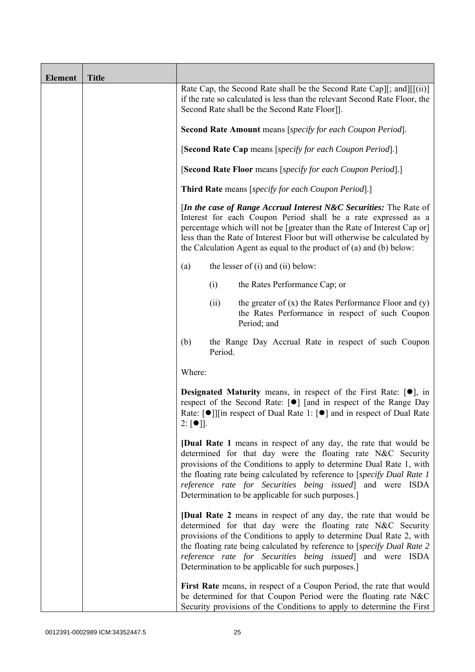| <b>Element</b> | <b>Title</b> |                                                                                                                                                                                                                                                                                                                                                                                                               |
|----------------|--------------|---------------------------------------------------------------------------------------------------------------------------------------------------------------------------------------------------------------------------------------------------------------------------------------------------------------------------------------------------------------------------------------------------------------|
|                |              | Rate Cap, the Second Rate shall be the Second Rate Cap][; and][ $[(ii)]$ ]<br>if the rate so calculated is less than the relevant Second Rate Floor, the<br>Second Rate shall be the Second Rate Floor]].                                                                                                                                                                                                     |
|                |              | Second Rate Amount means [specify for each Coupon Period].                                                                                                                                                                                                                                                                                                                                                    |
|                |              | [Second Rate Cap means [specify for each Coupon Period].]                                                                                                                                                                                                                                                                                                                                                     |
|                |              | [Second Rate Floor means [specify for each Coupon Period].]                                                                                                                                                                                                                                                                                                                                                   |
|                |              | <b>Third Rate</b> means [specify for each Coupon Period].]                                                                                                                                                                                                                                                                                                                                                    |
|                |              | <i>In the case of Range Accrual Interest N&amp;C Securities:</i> The Rate of<br>Interest for each Coupon Period shall be a rate expressed as a<br>percentage which will not be [greater than the Rate of Interest Cap or]<br>less than the Rate of Interest Floor but will otherwise be calculated by<br>the Calculation Agent as equal to the product of $(a)$ and $(b)$ below:                              |
|                |              | the lesser of $(i)$ and $(ii)$ below:<br>(a)                                                                                                                                                                                                                                                                                                                                                                  |
|                |              | (i)<br>the Rates Performance Cap; or                                                                                                                                                                                                                                                                                                                                                                          |
|                |              | the greater of $(x)$ the Rates Performance Floor and $(y)$<br>(ii)<br>the Rates Performance in respect of such Coupon<br>Period; and                                                                                                                                                                                                                                                                          |
|                |              | (b)<br>the Range Day Accrual Rate in respect of such Coupon<br>Period.                                                                                                                                                                                                                                                                                                                                        |
|                |              | Where:                                                                                                                                                                                                                                                                                                                                                                                                        |
|                |              | <b>Designated Maturity</b> means, in respect of the First Rate: $[•]$ , in<br>respect of the Second Rate: [●] [and in respect of the Range Day<br>Rate: [ $\bullet$ ]][in respect of Dual Rate 1: [ $\bullet$ ] and in respect of Dual Rate<br>$2: [\bullet]$ ].                                                                                                                                              |
|                |              | <b>[Dual Rate 1</b> means in respect of any day, the rate that would be<br>determined for that day were the floating rate N&C Security<br>provisions of the Conditions to apply to determine Dual Rate 1, with<br>the floating rate being calculated by reference to [specify Dual Rate 1]<br>reference rate for Securities being issued] and were ISDA<br>Determination to be applicable for such purposes.] |
|                |              | <b>[Dual Rate 2</b> means in respect of any day, the rate that would be<br>determined for that day were the floating rate N&C Security<br>provisions of the Conditions to apply to determine Dual Rate 2, with<br>the floating rate being calculated by reference to [specify Dual Rate 2<br>reference rate for Securities being issued] and were ISDA<br>Determination to be applicable for such purposes.]  |
|                |              | First Rate means, in respect of a Coupon Period, the rate that would<br>be determined for that Coupon Period were the floating rate N&C<br>Security provisions of the Conditions to apply to determine the First                                                                                                                                                                                              |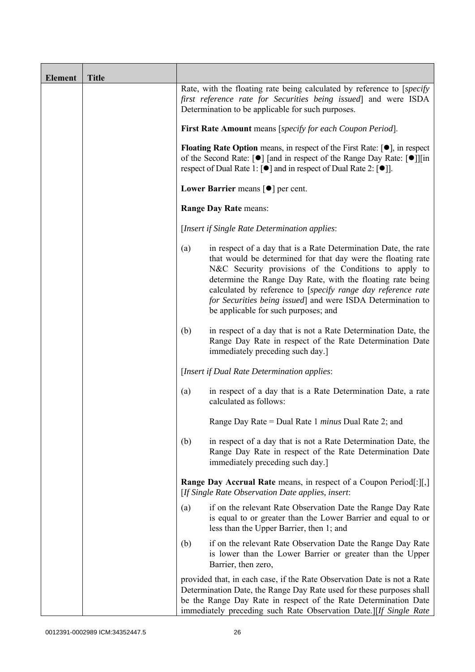| <b>Element</b> | <b>Title</b> |                                                                                                                                                                                                                                                                                               |                                                                                                                                                                                                                                                                                                                                                                                                                               |  |
|----------------|--------------|-----------------------------------------------------------------------------------------------------------------------------------------------------------------------------------------------------------------------------------------------------------------------------------------------|-------------------------------------------------------------------------------------------------------------------------------------------------------------------------------------------------------------------------------------------------------------------------------------------------------------------------------------------------------------------------------------------------------------------------------|--|
|                |              |                                                                                                                                                                                                                                                                                               | Rate, with the floating rate being calculated by reference to [specify]<br>first reference rate for Securities being issued and were ISDA<br>Determination to be applicable for such purposes.                                                                                                                                                                                                                                |  |
|                |              | First Rate Amount means [specify for each Coupon Period].                                                                                                                                                                                                                                     |                                                                                                                                                                                                                                                                                                                                                                                                                               |  |
|                |              | <b>Floating Rate Option</b> means, in respect of the First Rate: $[•]$ , in respect<br>of the Second Rate: [ $\bullet$ ] [and in respect of the Range Day Rate: [ $\bullet$ ]][in<br>respect of Dual Rate 1: $\lceil \bullet \rceil$ and in respect of Dual Rate 2: $\lceil \bullet \rceil$ . |                                                                                                                                                                                                                                                                                                                                                                                                                               |  |
|                |              |                                                                                                                                                                                                                                                                                               | Lower Barrier means $\lceil \bullet \rceil$ per cent.                                                                                                                                                                                                                                                                                                                                                                         |  |
|                |              |                                                                                                                                                                                                                                                                                               | <b>Range Day Rate means:</b>                                                                                                                                                                                                                                                                                                                                                                                                  |  |
|                |              |                                                                                                                                                                                                                                                                                               | [Insert if Single Rate Determination applies:                                                                                                                                                                                                                                                                                                                                                                                 |  |
|                |              | (a)                                                                                                                                                                                                                                                                                           | in respect of a day that is a Rate Determination Date, the rate<br>that would be determined for that day were the floating rate<br>N&C Security provisions of the Conditions to apply to<br>determine the Range Day Rate, with the floating rate being<br>calculated by reference to [specify range day reference rate<br>for Securities being issued] and were ISDA Determination to<br>be applicable for such purposes; and |  |
|                |              | (b)                                                                                                                                                                                                                                                                                           | in respect of a day that is not a Rate Determination Date, the<br>Range Day Rate in respect of the Rate Determination Date<br>immediately preceding such day.]                                                                                                                                                                                                                                                                |  |
|                |              |                                                                                                                                                                                                                                                                                               | [Insert if Dual Rate Determination applies:                                                                                                                                                                                                                                                                                                                                                                                   |  |
|                |              | (a)                                                                                                                                                                                                                                                                                           | in respect of a day that is a Rate Determination Date, a rate<br>calculated as follows:                                                                                                                                                                                                                                                                                                                                       |  |
|                |              |                                                                                                                                                                                                                                                                                               | Range Day Rate = Dual Rate 1 <i>minus</i> Dual Rate 2; and                                                                                                                                                                                                                                                                                                                                                                    |  |
|                |              | (b)                                                                                                                                                                                                                                                                                           | in respect of a day that is not a Rate Determination Date, the<br>Range Day Rate in respect of the Rate Determination Date<br>immediately preceding such day.]                                                                                                                                                                                                                                                                |  |
|                |              |                                                                                                                                                                                                                                                                                               | <b>Range Day Accrual Rate</b> means, in respect of a Coupon Period[:][,]<br>[If Single Rate Observation Date applies, insert:                                                                                                                                                                                                                                                                                                 |  |
|                |              | (a)                                                                                                                                                                                                                                                                                           | if on the relevant Rate Observation Date the Range Day Rate<br>is equal to or greater than the Lower Barrier and equal to or<br>less than the Upper Barrier, then 1; and                                                                                                                                                                                                                                                      |  |
|                |              | (b)                                                                                                                                                                                                                                                                                           | if on the relevant Rate Observation Date the Range Day Rate<br>is lower than the Lower Barrier or greater than the Upper<br>Barrier, then zero,                                                                                                                                                                                                                                                                               |  |
|                |              |                                                                                                                                                                                                                                                                                               | provided that, in each case, if the Rate Observation Date is not a Rate<br>Determination Date, the Range Day Rate used for these purposes shall<br>be the Range Day Rate in respect of the Rate Determination Date<br>immediately preceding such Rate Observation Date.][If Single Rate                                                                                                                                       |  |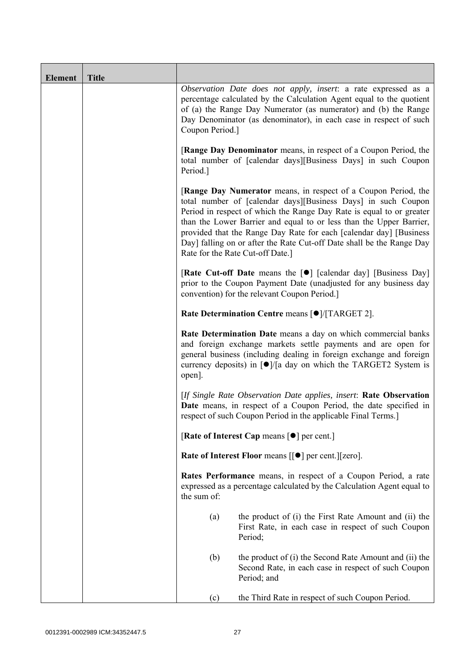| <b>Element</b> | <b>Title</b> |                                                                                                                                                                                                                                                                                                                       |                                                                                                                                                                                                                                                                                                                                                                                                                                                                   |  |  |
|----------------|--------------|-----------------------------------------------------------------------------------------------------------------------------------------------------------------------------------------------------------------------------------------------------------------------------------------------------------------------|-------------------------------------------------------------------------------------------------------------------------------------------------------------------------------------------------------------------------------------------------------------------------------------------------------------------------------------------------------------------------------------------------------------------------------------------------------------------|--|--|
|                |              | Observation Date does not apply, insert: a rate expressed as a<br>percentage calculated by the Calculation Agent equal to the quotient<br>of (a) the Range Day Numerator (as numerator) and (b) the Range<br>Day Denominator (as denominator), in each case in respect of such<br>Coupon Period.]                     |                                                                                                                                                                                                                                                                                                                                                                                                                                                                   |  |  |
|                |              | <b>[Range Day Denominator</b> means, in respect of a Coupon Period, the<br>total number of [calendar days][Business Days] in such Coupon<br>Period.]                                                                                                                                                                  |                                                                                                                                                                                                                                                                                                                                                                                                                                                                   |  |  |
|                |              |                                                                                                                                                                                                                                                                                                                       | [Range Day Numerator means, in respect of a Coupon Period, the<br>total number of [calendar days][Business Days] in such Coupon<br>Period in respect of which the Range Day Rate is equal to or greater<br>than the Lower Barrier and equal to or less than the Upper Barrier,<br>provided that the Range Day Rate for each [calendar day] [Business<br>Day] falling on or after the Rate Cut-off Date shall be the Range Day<br>Rate for the Rate Cut-off Date.] |  |  |
|                |              |                                                                                                                                                                                                                                                                                                                       | <b>[Rate Cut-off Date</b> means the [ $\bullet$ ] [calendar day] [Business Day]<br>prior to the Coupon Payment Date (unadjusted for any business day<br>convention) for the relevant Coupon Period.]                                                                                                                                                                                                                                                              |  |  |
|                |              | Rate Determination Centre means [ $\bullet$ ]/[TARGET 2].                                                                                                                                                                                                                                                             |                                                                                                                                                                                                                                                                                                                                                                                                                                                                   |  |  |
|                |              | Rate Determination Date means a day on which commercial banks<br>and foreign exchange markets settle payments and are open for<br>general business (including dealing in foreign exchange and foreign<br>currency deposits) in $\lceil \bullet \rceil / \lceil a \rceil$ day on which the TARGET2 System is<br>open]. |                                                                                                                                                                                                                                                                                                                                                                                                                                                                   |  |  |
|                |              | [If Single Rate Observation Date applies, insert: Rate Observation<br>Date means, in respect of a Coupon Period, the date specified in<br>respect of such Coupon Period in the applicable Final Terms.]                                                                                                               |                                                                                                                                                                                                                                                                                                                                                                                                                                                                   |  |  |
|                |              |                                                                                                                                                                                                                                                                                                                       | [Rate of Interest Cap means $\lceil \bullet \rceil$ per cent.]                                                                                                                                                                                                                                                                                                                                                                                                    |  |  |
|                |              |                                                                                                                                                                                                                                                                                                                       | Rate of Interest Floor means [[ $\bullet$ ] per cent.][zero].                                                                                                                                                                                                                                                                                                                                                                                                     |  |  |
|                |              | the sum of:                                                                                                                                                                                                                                                                                                           | Rates Performance means, in respect of a Coupon Period, a rate<br>expressed as a percentage calculated by the Calculation Agent equal to                                                                                                                                                                                                                                                                                                                          |  |  |
|                |              | (a)                                                                                                                                                                                                                                                                                                                   | the product of (i) the First Rate Amount and (ii) the<br>First Rate, in each case in respect of such Coupon<br>Period;                                                                                                                                                                                                                                                                                                                                            |  |  |
|                |              | (b)                                                                                                                                                                                                                                                                                                                   | the product of (i) the Second Rate Amount and (ii) the<br>Second Rate, in each case in respect of such Coupon<br>Period; and                                                                                                                                                                                                                                                                                                                                      |  |  |
|                |              | (c)                                                                                                                                                                                                                                                                                                                   | the Third Rate in respect of such Coupon Period.                                                                                                                                                                                                                                                                                                                                                                                                                  |  |  |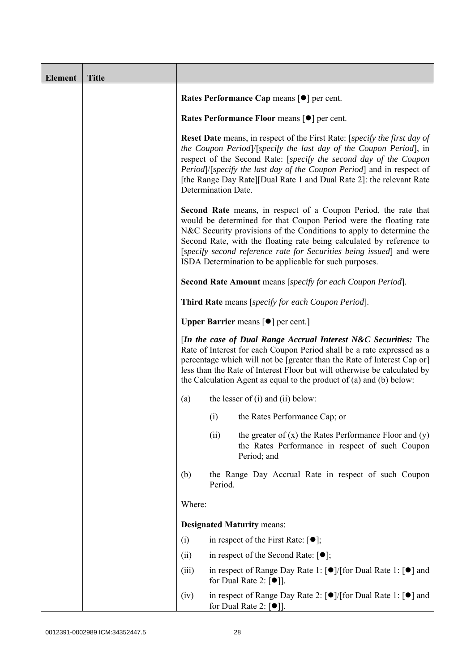| <b>Element</b> | <b>Title</b> |                                                                                                                                                                                                                                                                                                                                                                                                                                                                                                                                                                                                                                                                                                                                                                                                                                                              |         |                                                                                                                                                  |
|----------------|--------------|--------------------------------------------------------------------------------------------------------------------------------------------------------------------------------------------------------------------------------------------------------------------------------------------------------------------------------------------------------------------------------------------------------------------------------------------------------------------------------------------------------------------------------------------------------------------------------------------------------------------------------------------------------------------------------------------------------------------------------------------------------------------------------------------------------------------------------------------------------------|---------|--------------------------------------------------------------------------------------------------------------------------------------------------|
|                |              |                                                                                                                                                                                                                                                                                                                                                                                                                                                                                                                                                                                                                                                                                                                                                                                                                                                              |         | Rates Performance Cap means [ $\bullet$ ] per cent.                                                                                              |
|                |              |                                                                                                                                                                                                                                                                                                                                                                                                                                                                                                                                                                                                                                                                                                                                                                                                                                                              |         | <b>Rates Performance Floor means [●] per cent.</b>                                                                                               |
|                |              | <b>Reset Date</b> means, in respect of the First Rate: [ <i>specify the first day of</i><br>the Coupon Period]/[specify the last day of the Coupon Period], in<br>respect of the Second Rate: [specify the second day of the Coupon<br><i>Period</i> ) [ <i>specify the last day of the Coupon Period</i> ] and in respect of<br>[the Range Day Rate][Dual Rate 1 and Dual Rate 2]: the relevant Rate<br>Determination Date.<br><b>Second Rate</b> means, in respect of a Coupon Period, the rate that<br>would be determined for that Coupon Period were the floating rate<br>N&C Security provisions of the Conditions to apply to determine the<br>Second Rate, with the floating rate being calculated by reference to<br>[specify second reference rate for Securities being issued] and were<br>ISDA Determination to be applicable for such purposes. |         |                                                                                                                                                  |
|                |              |                                                                                                                                                                                                                                                                                                                                                                                                                                                                                                                                                                                                                                                                                                                                                                                                                                                              |         |                                                                                                                                                  |
|                |              |                                                                                                                                                                                                                                                                                                                                                                                                                                                                                                                                                                                                                                                                                                                                                                                                                                                              |         | Second Rate Amount means [specify for each Coupon Period].                                                                                       |
|                |              |                                                                                                                                                                                                                                                                                                                                                                                                                                                                                                                                                                                                                                                                                                                                                                                                                                                              |         | Third Rate means [specify for each Coupon Period].                                                                                               |
|                |              | <b>Upper Barrier</b> means $\lceil \bullet \rceil$ per cent.]                                                                                                                                                                                                                                                                                                                                                                                                                                                                                                                                                                                                                                                                                                                                                                                                |         |                                                                                                                                                  |
|                |              | [In the case of Dual Range Accrual Interest N&C Securities: The<br>Rate of Interest for each Coupon Period shall be a rate expressed as a<br>percentage which will not be [greater than the Rate of Interest Cap or]<br>less than the Rate of Interest Floor but will otherwise be calculated by<br>the Calculation Agent as equal to the product of $(a)$ and $(b)$ below:                                                                                                                                                                                                                                                                                                                                                                                                                                                                                  |         |                                                                                                                                                  |
|                |              | (a)                                                                                                                                                                                                                                                                                                                                                                                                                                                                                                                                                                                                                                                                                                                                                                                                                                                          |         | the lesser of $(i)$ and $(ii)$ below:                                                                                                            |
|                |              |                                                                                                                                                                                                                                                                                                                                                                                                                                                                                                                                                                                                                                                                                                                                                                                                                                                              | (i)     | the Rates Performance Cap; or                                                                                                                    |
|                |              |                                                                                                                                                                                                                                                                                                                                                                                                                                                                                                                                                                                                                                                                                                                                                                                                                                                              | (ii)    | the greater of $(x)$ the Rates Performance Floor and $(y)$<br>the Rates Performance in respect of such Coupon<br>Period; and                     |
|                |              | (b)                                                                                                                                                                                                                                                                                                                                                                                                                                                                                                                                                                                                                                                                                                                                                                                                                                                          | Period. | the Range Day Accrual Rate in respect of such Coupon                                                                                             |
|                |              | Where:                                                                                                                                                                                                                                                                                                                                                                                                                                                                                                                                                                                                                                                                                                                                                                                                                                                       |         |                                                                                                                                                  |
|                |              | <b>Designated Maturity means:</b>                                                                                                                                                                                                                                                                                                                                                                                                                                                                                                                                                                                                                                                                                                                                                                                                                            |         |                                                                                                                                                  |
|                |              | (i)                                                                                                                                                                                                                                                                                                                                                                                                                                                                                                                                                                                                                                                                                                                                                                                                                                                          |         | in respect of the First Rate: $[\bullet]$ ;                                                                                                      |
|                |              | (ii)                                                                                                                                                                                                                                                                                                                                                                                                                                                                                                                                                                                                                                                                                                                                                                                                                                                         |         | in respect of the Second Rate: $[•]$ ;                                                                                                           |
|                |              | (iii)                                                                                                                                                                                                                                                                                                                                                                                                                                                                                                                                                                                                                                                                                                                                                                                                                                                        |         | in respect of Range Day Rate 1: [●]/[for Dual Rate 1: [●] and<br>for Dual Rate 2: $[①$ ].                                                        |
|                |              | (iv)                                                                                                                                                                                                                                                                                                                                                                                                                                                                                                                                                                                                                                                                                                                                                                                                                                                         |         | in respect of Range Day Rate 2: $\lceil \bullet \rceil / [\text{for Dual Rate 1}: \lceil \bullet \rceil]$ and<br>for Dual Rate 2: $[\bullet]$ ]. |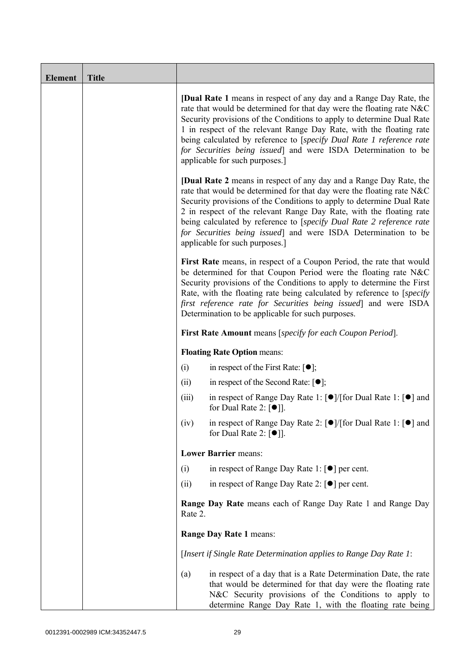| <b>Element</b> | <b>Title</b> |                                                                  |                                                                                                                                                                                                                                                                                                                                                                                                                                                                                |  |  |
|----------------|--------------|------------------------------------------------------------------|--------------------------------------------------------------------------------------------------------------------------------------------------------------------------------------------------------------------------------------------------------------------------------------------------------------------------------------------------------------------------------------------------------------------------------------------------------------------------------|--|--|
|                |              |                                                                  | <b>[Dual Rate 1</b> means in respect of any day and a Range Day Rate, the<br>rate that would be determined for that day were the floating rate N&C<br>Security provisions of the Conditions to apply to determine Dual Rate<br>1 in respect of the relevant Range Day Rate, with the floating rate<br>being calculated by reference to [specify Dual Rate 1 reference rate<br>for Securities being issued] and were ISDA Determination to be<br>applicable for such purposes.] |  |  |
|                |              |                                                                  | <b>[Dual Rate 2</b> means in respect of any day and a Range Day Rate, the<br>rate that would be determined for that day were the floating rate N&C<br>Security provisions of the Conditions to apply to determine Dual Rate<br>2 in respect of the relevant Range Day Rate, with the floating rate<br>being calculated by reference to [specify Dual Rate 2 reference rate<br>for Securities being issued] and were ISDA Determination to be<br>applicable for such purposes.] |  |  |
|                |              |                                                                  | First Rate means, in respect of a Coupon Period, the rate that would<br>be determined for that Coupon Period were the floating rate N&C<br>Security provisions of the Conditions to apply to determine the First<br>Rate, with the floating rate being calculated by reference to [specify]<br>first reference rate for Securities being issued] and were ISDA<br>Determination to be applicable for such purposes.                                                            |  |  |
|                |              | <b>First Rate Amount</b> means [specify for each Coupon Period]. |                                                                                                                                                                                                                                                                                                                                                                                                                                                                                |  |  |
|                |              | <b>Floating Rate Option means:</b>                               |                                                                                                                                                                                                                                                                                                                                                                                                                                                                                |  |  |
|                |              | (i)                                                              | in respect of the First Rate: $[•]$ ;                                                                                                                                                                                                                                                                                                                                                                                                                                          |  |  |
|                |              | (ii)                                                             | in respect of the Second Rate: $[•]$ ;                                                                                                                                                                                                                                                                                                                                                                                                                                         |  |  |
|                |              | (iii)                                                            | in respect of Range Day Rate 1: [●]/[for Dual Rate 1: [●] and<br>for Dual Rate 2: $[①$ ].                                                                                                                                                                                                                                                                                                                                                                                      |  |  |
|                |              | (iv)                                                             | in respect of Range Day Rate 2: [●]/[for Dual Rate 1: [●] and<br>for Dual Rate 2: $\lceil \bullet \rceil$ .                                                                                                                                                                                                                                                                                                                                                                    |  |  |
|                |              |                                                                  | <b>Lower Barrier means:</b>                                                                                                                                                                                                                                                                                                                                                                                                                                                    |  |  |
|                |              | (i)                                                              | in respect of Range Day Rate 1: $\lceil \bullet \rceil$ per cent.                                                                                                                                                                                                                                                                                                                                                                                                              |  |  |
|                |              | (ii)                                                             | in respect of Range Day Rate 2: $\lceil \bullet \rceil$ per cent.                                                                                                                                                                                                                                                                                                                                                                                                              |  |  |
|                |              | Rate 2.                                                          | Range Day Rate means each of Range Day Rate 1 and Range Day                                                                                                                                                                                                                                                                                                                                                                                                                    |  |  |
|                |              |                                                                  | Range Day Rate 1 means:                                                                                                                                                                                                                                                                                                                                                                                                                                                        |  |  |
|                |              |                                                                  | [Insert if Single Rate Determination applies to Range Day Rate 1:                                                                                                                                                                                                                                                                                                                                                                                                              |  |  |
|                |              | (a)                                                              | in respect of a day that is a Rate Determination Date, the rate<br>that would be determined for that day were the floating rate<br>N&C Security provisions of the Conditions to apply to<br>determine Range Day Rate 1, with the floating rate being                                                                                                                                                                                                                           |  |  |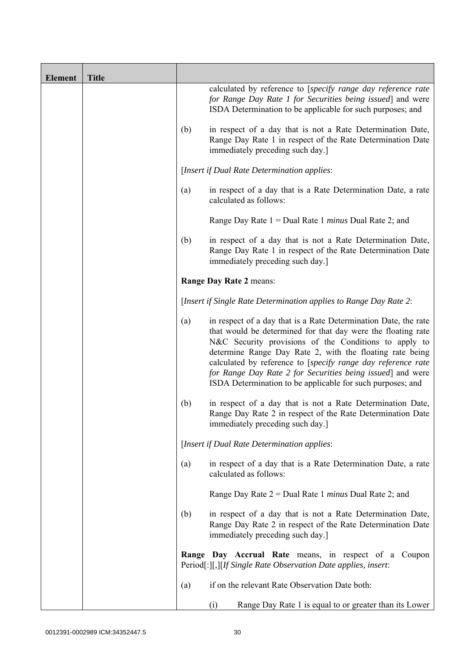| <b>Element</b> | <b>Title</b> |     |                                                                                                                                                                                                                                                                                                                                                                                                                                                  |
|----------------|--------------|-----|--------------------------------------------------------------------------------------------------------------------------------------------------------------------------------------------------------------------------------------------------------------------------------------------------------------------------------------------------------------------------------------------------------------------------------------------------|
|                |              |     | calculated by reference to [specify range day reference rate<br>for Range Day Rate 1 for Securities being issued] and were<br>ISDA Determination to be applicable for such purposes; and                                                                                                                                                                                                                                                         |
|                |              | (b) | in respect of a day that is not a Rate Determination Date,<br>Range Day Rate 1 in respect of the Rate Determination Date<br>immediately preceding such day.]                                                                                                                                                                                                                                                                                     |
|                |              |     | [Insert if Dual Rate Determination applies:                                                                                                                                                                                                                                                                                                                                                                                                      |
|                |              | (a) | in respect of a day that is a Rate Determination Date, a rate<br>calculated as follows:                                                                                                                                                                                                                                                                                                                                                          |
|                |              |     | Range Day Rate $1 =$ Dual Rate 1 <i>minus</i> Dual Rate 2; and                                                                                                                                                                                                                                                                                                                                                                                   |
|                |              | (b) | in respect of a day that is not a Rate Determination Date,<br>Range Day Rate 1 in respect of the Rate Determination Date<br>immediately preceding such day.]                                                                                                                                                                                                                                                                                     |
|                |              |     | Range Day Rate 2 means:                                                                                                                                                                                                                                                                                                                                                                                                                          |
|                |              |     | [Insert if Single Rate Determination applies to Range Day Rate 2:                                                                                                                                                                                                                                                                                                                                                                                |
|                |              | (a) | in respect of a day that is a Rate Determination Date, the rate<br>that would be determined for that day were the floating rate<br>N&C Security provisions of the Conditions to apply to<br>determine Range Day Rate 2, with the floating rate being<br>calculated by reference to [specify range day reference rate<br>for Range Day Rate 2 for Securities being issued] and were<br>ISDA Determination to be applicable for such purposes; and |
|                |              | (b) | in respect of a day that is not a Rate Determination Date,<br>Range Day Rate 2 in respect of the Rate Determination Date<br>immediately preceding such day.]                                                                                                                                                                                                                                                                                     |
|                |              |     | [Insert if Dual Rate Determination applies:                                                                                                                                                                                                                                                                                                                                                                                                      |
|                |              | (a) | in respect of a day that is a Rate Determination Date, a rate<br>calculated as follows:                                                                                                                                                                                                                                                                                                                                                          |
|                |              |     | Range Day Rate $2 =$ Dual Rate 1 <i>minus</i> Dual Rate 2; and                                                                                                                                                                                                                                                                                                                                                                                   |
|                |              | (b) | in respect of a day that is not a Rate Determination Date,<br>Range Day Rate 2 in respect of the Rate Determination Date<br>immediately preceding such day.]                                                                                                                                                                                                                                                                                     |
|                |              |     | Range Day Accrual Rate means, in respect of a Coupon<br>Period[:][,][If Single Rate Observation Date applies, insert:                                                                                                                                                                                                                                                                                                                            |
|                |              | (a) | if on the relevant Rate Observation Date both:                                                                                                                                                                                                                                                                                                                                                                                                   |
|                |              |     | Range Day Rate 1 is equal to or greater than its Lower<br>(i)                                                                                                                                                                                                                                                                                                                                                                                    |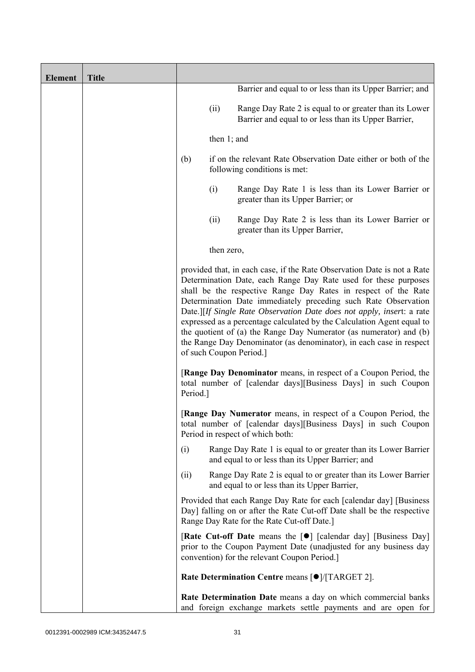| <b>Element</b> | <b>Title</b> |          |                |                                                                                                                                                                                                                                                                                                                                                                                                                                                                                                                                                                                                           |
|----------------|--------------|----------|----------------|-----------------------------------------------------------------------------------------------------------------------------------------------------------------------------------------------------------------------------------------------------------------------------------------------------------------------------------------------------------------------------------------------------------------------------------------------------------------------------------------------------------------------------------------------------------------------------------------------------------|
|                |              |          |                | Barrier and equal to or less than its Upper Barrier; and                                                                                                                                                                                                                                                                                                                                                                                                                                                                                                                                                  |
|                |              |          | (ii)           | Range Day Rate 2 is equal to or greater than its Lower<br>Barrier and equal to or less than its Upper Barrier,                                                                                                                                                                                                                                                                                                                                                                                                                                                                                            |
|                |              |          | then $1$ ; and |                                                                                                                                                                                                                                                                                                                                                                                                                                                                                                                                                                                                           |
|                |              | (b)      |                | if on the relevant Rate Observation Date either or both of the<br>following conditions is met:                                                                                                                                                                                                                                                                                                                                                                                                                                                                                                            |
|                |              |          | (i)            | Range Day Rate 1 is less than its Lower Barrier or<br>greater than its Upper Barrier; or                                                                                                                                                                                                                                                                                                                                                                                                                                                                                                                  |
|                |              |          | (ii)           | Range Day Rate 2 is less than its Lower Barrier or<br>greater than its Upper Barrier,                                                                                                                                                                                                                                                                                                                                                                                                                                                                                                                     |
|                |              |          | then zero,     |                                                                                                                                                                                                                                                                                                                                                                                                                                                                                                                                                                                                           |
|                |              |          |                | provided that, in each case, if the Rate Observation Date is not a Rate<br>Determination Date, each Range Day Rate used for these purposes<br>shall be the respective Range Day Rates in respect of the Rate<br>Determination Date immediately preceding such Rate Observation<br>Date.][If Single Rate Observation Date does not apply, insert: a rate<br>expressed as a percentage calculated by the Calculation Agent equal to<br>the quotient of (a) the Range Day Numerator (as numerator) and (b)<br>the Range Day Denominator (as denominator), in each case in respect<br>of such Coupon Period.] |
|                |              | Period.] |                | <b>[Range Day Denominator</b> means, in respect of a Coupon Period, the<br>total number of [calendar days][Business Days] in such Coupon                                                                                                                                                                                                                                                                                                                                                                                                                                                                  |
|                |              |          |                | <b>[Range Day Numerator</b> means, in respect of a Coupon Period, the<br>total number of [calendar days][Business Days] in such Coupon<br>Period in respect of which both:                                                                                                                                                                                                                                                                                                                                                                                                                                |
|                |              | (i)      |                | Range Day Rate 1 is equal to or greater than its Lower Barrier<br>and equal to or less than its Upper Barrier; and                                                                                                                                                                                                                                                                                                                                                                                                                                                                                        |
|                |              | (ii)     |                | Range Day Rate 2 is equal to or greater than its Lower Barrier<br>and equal to or less than its Upper Barrier,                                                                                                                                                                                                                                                                                                                                                                                                                                                                                            |
|                |              |          |                | Provided that each Range Day Rate for each [calendar day] [Business<br>Day] falling on or after the Rate Cut-off Date shall be the respective<br>Range Day Rate for the Rate Cut-off Date.]                                                                                                                                                                                                                                                                                                                                                                                                               |
|                |              |          |                | [Rate Cut-off Date means the [ $\bullet$ ] [calendar day] [Business Day]<br>prior to the Coupon Payment Date (unadjusted for any business day<br>convention) for the relevant Coupon Period.]                                                                                                                                                                                                                                                                                                                                                                                                             |
|                |              |          |                | Rate Determination Centre means [ $\bullet$ ]/[TARGET 2].                                                                                                                                                                                                                                                                                                                                                                                                                                                                                                                                                 |
|                |              |          |                | Rate Determination Date means a day on which commercial banks<br>and foreign exchange markets settle payments and are open for                                                                                                                                                                                                                                                                                                                                                                                                                                                                            |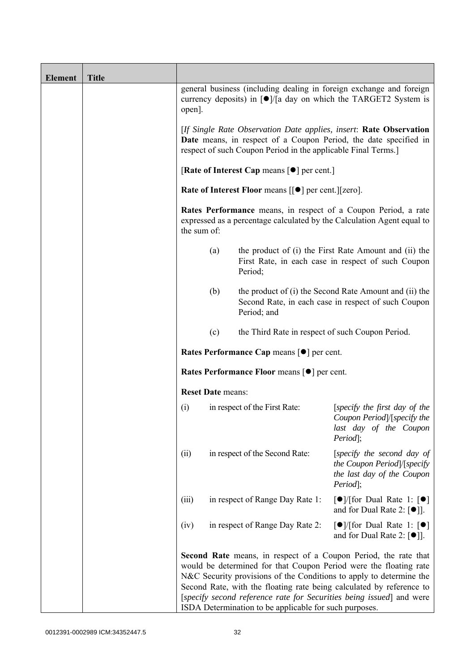| <b>Element</b> | <b>Title</b> |                                                                                                                                                                                                         |                                                                                                                                                                                                                                                                                                                                                    |                                                                                                               |  |  |
|----------------|--------------|---------------------------------------------------------------------------------------------------------------------------------------------------------------------------------------------------------|----------------------------------------------------------------------------------------------------------------------------------------------------------------------------------------------------------------------------------------------------------------------------------------------------------------------------------------------------|---------------------------------------------------------------------------------------------------------------|--|--|
|                |              | open].                                                                                                                                                                                                  | currency deposits) in [●]/[a day on which the TARGET2 System is                                                                                                                                                                                                                                                                                    | general business (including dealing in foreign exchange and foreign                                           |  |  |
|                |              | [If Single Rate Observation Date applies, insert: Rate Observation<br>Date means, in respect of a Coupon Period, the date specified in<br>respect of such Coupon Period in the applicable Final Terms.] |                                                                                                                                                                                                                                                                                                                                                    |                                                                                                               |  |  |
|                |              | [Rate of Interest Cap means $[•]$ per cent.]                                                                                                                                                            |                                                                                                                                                                                                                                                                                                                                                    |                                                                                                               |  |  |
|                |              |                                                                                                                                                                                                         | Rate of Interest Floor means [[ $\bullet$ ] per cent.][zero].                                                                                                                                                                                                                                                                                      |                                                                                                               |  |  |
|                |              | the sum of:                                                                                                                                                                                             | <b>Rates Performance</b> means, in respect of a Coupon Period, a rate<br>expressed as a percentage calculated by the Calculation Agent equal to                                                                                                                                                                                                    |                                                                                                               |  |  |
|                |              | (a)                                                                                                                                                                                                     | Period;                                                                                                                                                                                                                                                                                                                                            | the product of (i) the First Rate Amount and (ii) the<br>First Rate, in each case in respect of such Coupon   |  |  |
|                |              | (b)                                                                                                                                                                                                     | Period; and                                                                                                                                                                                                                                                                                                                                        | the product of (i) the Second Rate Amount and (ii) the<br>Second Rate, in each case in respect of such Coupon |  |  |
|                |              | (c)                                                                                                                                                                                                     | the Third Rate in respect of such Coupon Period.                                                                                                                                                                                                                                                                                                   |                                                                                                               |  |  |
|                |              |                                                                                                                                                                                                         | Rates Performance Cap means [ $\bullet$ ] per cent.                                                                                                                                                                                                                                                                                                |                                                                                                               |  |  |
|                |              |                                                                                                                                                                                                         | Rates Performance Floor means [ $\bullet$ ] per cent.                                                                                                                                                                                                                                                                                              |                                                                                                               |  |  |
|                |              | <b>Reset Date means:</b>                                                                                                                                                                                |                                                                                                                                                                                                                                                                                                                                                    |                                                                                                               |  |  |
|                |              | (i)                                                                                                                                                                                                     | in respect of the First Rate:                                                                                                                                                                                                                                                                                                                      | [specify the first day of the<br>Coupon Period /[specify the<br>last day of the Coupon<br>Period];            |  |  |
|                |              | (ii)                                                                                                                                                                                                    | in respect of the Second Rate:                                                                                                                                                                                                                                                                                                                     | [specify the second day of<br>the Coupon Period /[specify<br>the last day of the Coupon<br>Period];           |  |  |
|                |              | (iii)                                                                                                                                                                                                   | in respect of Range Day Rate 1:                                                                                                                                                                                                                                                                                                                    | $\lceil \bullet \rceil$ [for Dual Rate 1: $\lceil \bullet \rceil$<br>and for Dual Rate 2: $[•]$ ].            |  |  |
|                |              | (iv)                                                                                                                                                                                                    | in respect of Range Day Rate 2:                                                                                                                                                                                                                                                                                                                    | $\lceil \bullet \rceil$ [for Dual Rate 1: $\lceil \bullet \rceil$<br>and for Dual Rate 2: $[\bullet]$ ].      |  |  |
|                |              |                                                                                                                                                                                                         | would be determined for that Coupon Period were the floating rate<br>N&C Security provisions of the Conditions to apply to determine the<br>Second Rate, with the floating rate being calculated by reference to<br>[specify second reference rate for Securities being issued] and were<br>ISDA Determination to be applicable for such purposes. | <b>Second Rate</b> means, in respect of a Coupon Period, the rate that                                        |  |  |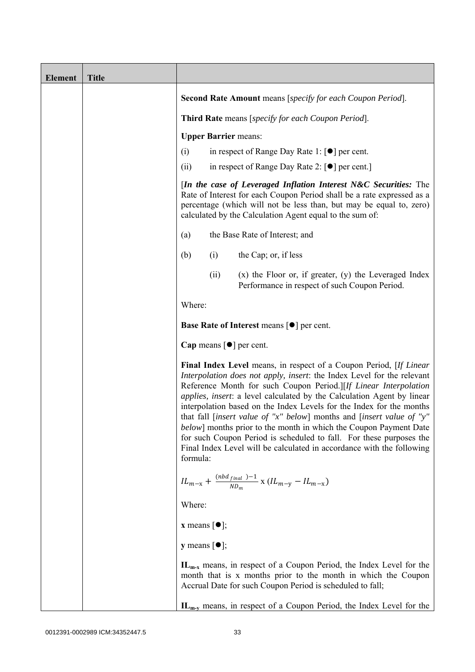| <b>Element</b> | <b>Title</b> |                              |      |                                                                                                                                                                                                                                                                                                                                                                                                                                                                                                                                                                                                                                                                                  |
|----------------|--------------|------------------------------|------|----------------------------------------------------------------------------------------------------------------------------------------------------------------------------------------------------------------------------------------------------------------------------------------------------------------------------------------------------------------------------------------------------------------------------------------------------------------------------------------------------------------------------------------------------------------------------------------------------------------------------------------------------------------------------------|
|                |              |                              |      | Second Rate Amount means [specify for each Coupon Period].                                                                                                                                                                                                                                                                                                                                                                                                                                                                                                                                                                                                                       |
|                |              |                              |      | Third Rate means [specify for each Coupon Period].                                                                                                                                                                                                                                                                                                                                                                                                                                                                                                                                                                                                                               |
|                |              |                              |      | <b>Upper Barrier means:</b>                                                                                                                                                                                                                                                                                                                                                                                                                                                                                                                                                                                                                                                      |
|                |              | (i)                          |      | in respect of Range Day Rate 1: [●] per cent.                                                                                                                                                                                                                                                                                                                                                                                                                                                                                                                                                                                                                                    |
|                |              | (ii)                         |      | in respect of Range Day Rate 2: [●] per cent.]                                                                                                                                                                                                                                                                                                                                                                                                                                                                                                                                                                                                                                   |
|                |              |                              |      | [In the case of Leveraged Inflation Interest N&C Securities: The<br>Rate of Interest for each Coupon Period shall be a rate expressed as a<br>percentage (which will not be less than, but may be equal to, zero)<br>calculated by the Calculation Agent equal to the sum of:                                                                                                                                                                                                                                                                                                                                                                                                    |
|                |              | (a)                          |      | the Base Rate of Interest; and                                                                                                                                                                                                                                                                                                                                                                                                                                                                                                                                                                                                                                                   |
|                |              | (b)                          | (i)  | the Cap; or, if less                                                                                                                                                                                                                                                                                                                                                                                                                                                                                                                                                                                                                                                             |
|                |              |                              | (ii) | $(x)$ the Floor or, if greater, $(y)$ the Leveraged Index<br>Performance in respect of such Coupon Period.                                                                                                                                                                                                                                                                                                                                                                                                                                                                                                                                                                       |
|                |              | Where:                       |      |                                                                                                                                                                                                                                                                                                                                                                                                                                                                                                                                                                                                                                                                                  |
|                |              |                              |      | <b>Base Rate of Interest means <math>\lceil \bullet \rceil</math> per cent.</b>                                                                                                                                                                                                                                                                                                                                                                                                                                                                                                                                                                                                  |
|                |              |                              |      | Cap means $\lceil \bullet \rceil$ per cent.                                                                                                                                                                                                                                                                                                                                                                                                                                                                                                                                                                                                                                      |
|                |              | formula:                     |      | Final Index Level means, in respect of a Coupon Period, [If Linear]<br>Interpolation does not apply, insert: the Index Level for the relevant<br>Reference Month for such Coupon Period.][If Linear Interpolation<br><i>applies, insert: a level calculated by the Calculation Agent by linear</i><br>interpolation based on the Index Levels for the Index for the months<br>that fall [insert value of "x" below] months and [insert value of "y"<br><i>below</i> ] months prior to the month in which the Coupon Payment Date<br>for such Coupon Period is scheduled to fall. For these purposes the<br>Final Index Level will be calculated in accordance with the following |
|                |              |                              |      | $IL_{m-x} + \frac{(nbd_{final})-1}{ND_m} x (IL_{m-y} - IL_{m-x})$                                                                                                                                                                                                                                                                                                                                                                                                                                                                                                                                                                                                                |
|                |              | Where:                       |      |                                                                                                                                                                                                                                                                                                                                                                                                                                                                                                                                                                                                                                                                                  |
|                |              | <b>x</b> means $[\bullet]$ ; |      |                                                                                                                                                                                                                                                                                                                                                                                                                                                                                                                                                                                                                                                                                  |
|                |              | <b>y</b> means $[\bullet]$ ; |      |                                                                                                                                                                                                                                                                                                                                                                                                                                                                                                                                                                                                                                                                                  |
|                |              |                              |      | $IL_{m-x}$ means, in respect of a Coupon Period, the Index Level for the<br>month that is x months prior to the month in which the Coupon<br>Accrual Date for such Coupon Period is scheduled to fall;                                                                                                                                                                                                                                                                                                                                                                                                                                                                           |
|                |              |                              |      | $IL_{m-y}$ means, in respect of a Coupon Period, the Index Level for the                                                                                                                                                                                                                                                                                                                                                                                                                                                                                                                                                                                                         |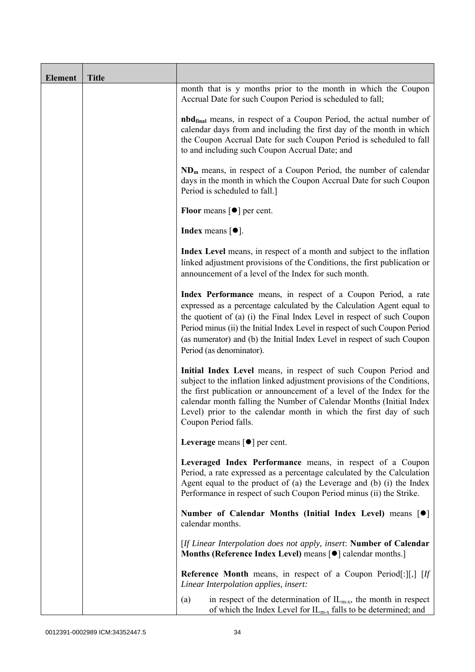| <b>Element</b> | <b>Title</b> |                                                                                                                                                                                                                                                                                                                                                                                                           |
|----------------|--------------|-----------------------------------------------------------------------------------------------------------------------------------------------------------------------------------------------------------------------------------------------------------------------------------------------------------------------------------------------------------------------------------------------------------|
|                |              | month that is y months prior to the month in which the Coupon<br>Accrual Date for such Coupon Period is scheduled to fall;                                                                                                                                                                                                                                                                                |
|                |              | <b>nbd</b> <sub>final</sub> means, in respect of a Coupon Period, the actual number of<br>calendar days from and including the first day of the month in which<br>the Coupon Accrual Date for such Coupon Period is scheduled to fall<br>to and including such Coupon Accrual Date; and                                                                                                                   |
|                |              | $NDm$ means, in respect of a Coupon Period, the number of calendar<br>days in the month in which the Coupon Accrual Date for such Coupon<br>Period is scheduled to fall.]                                                                                                                                                                                                                                 |
|                |              | <b>Floor</b> means $\lceil \bullet \rceil$ per cent.                                                                                                                                                                                                                                                                                                                                                      |
|                |              | Index means $\lceil \bullet \rceil$ .                                                                                                                                                                                                                                                                                                                                                                     |
|                |              | Index Level means, in respect of a month and subject to the inflation<br>linked adjustment provisions of the Conditions, the first publication or<br>announcement of a level of the Index for such month.                                                                                                                                                                                                 |
|                |              | Index Performance means, in respect of a Coupon Period, a rate<br>expressed as a percentage calculated by the Calculation Agent equal to<br>the quotient of (a) (i) the Final Index Level in respect of such Coupon<br>Period minus (ii) the Initial Index Level in respect of such Coupon Period<br>(as numerator) and (b) the Initial Index Level in respect of such Coupon<br>Period (as denominator). |
|                |              | Initial Index Level means, in respect of such Coupon Period and<br>subject to the inflation linked adjustment provisions of the Conditions,<br>the first publication or announcement of a level of the Index for the<br>calendar month falling the Number of Calendar Months (Initial Index<br>Level) prior to the calendar month in which the first day of such<br>Coupon Period falls.                  |
|                |              | Leverage means $\lceil \bullet \rceil$ per cent.                                                                                                                                                                                                                                                                                                                                                          |
|                |              | Leveraged Index Performance means, in respect of a Coupon<br>Period, a rate expressed as a percentage calculated by the Calculation<br>Agent equal to the product of (a) the Leverage and (b) (i) the Index<br>Performance in respect of such Coupon Period minus (ii) the Strike.                                                                                                                        |
|                |              | Number of Calendar Months (Initial Index Level) means [ $\bullet$ ]<br>calendar months.                                                                                                                                                                                                                                                                                                                   |
|                |              | [If Linear Interpolation does not apply, insert: Number of Calendar<br>Months (Reference Index Level) means [ $\bullet$ ] calendar months.]                                                                                                                                                                                                                                                               |
|                |              | <b>Reference Month</b> means, in respect of a Coupon Period[:][,] [If<br>Linear Interpolation applies, insert:                                                                                                                                                                                                                                                                                            |
|                |              | in respect of the determination of $IL_{m-x}$ , the month in respect<br>(a)<br>of which the Index Level for $IL_{m-x}$ falls to be determined; and                                                                                                                                                                                                                                                        |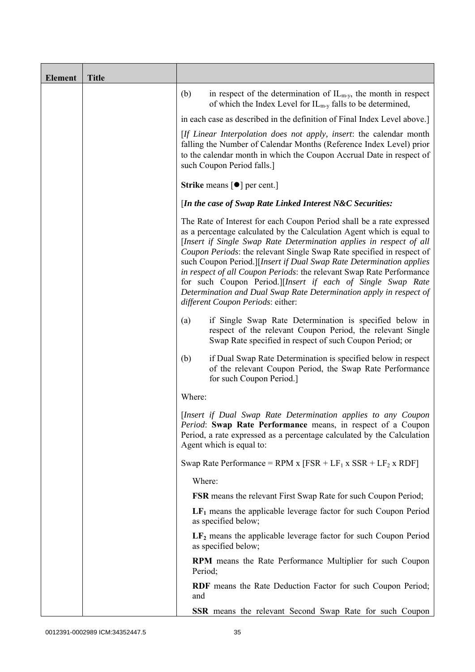| <b>Element</b> | <b>Title</b> |                                                                                                                                                                                                                                                                                                                                                                                                                                                                                                                                                                                                                         |
|----------------|--------------|-------------------------------------------------------------------------------------------------------------------------------------------------------------------------------------------------------------------------------------------------------------------------------------------------------------------------------------------------------------------------------------------------------------------------------------------------------------------------------------------------------------------------------------------------------------------------------------------------------------------------|
|                |              | (b)<br>in respect of the determination of $IL_{m-y}$ , the month in respect<br>of which the Index Level for $IL_{m-y}$ falls to be determined,                                                                                                                                                                                                                                                                                                                                                                                                                                                                          |
|                |              | in each case as described in the definition of Final Index Level above.]                                                                                                                                                                                                                                                                                                                                                                                                                                                                                                                                                |
|                |              | [If Linear Interpolation does not apply, insert: the calendar month<br>falling the Number of Calendar Months (Reference Index Level) prior<br>to the calendar month in which the Coupon Accrual Date in respect of<br>such Coupon Period falls.]                                                                                                                                                                                                                                                                                                                                                                        |
|                |              | <b>Strike</b> means $\lceil \bullet \rceil$ per cent.                                                                                                                                                                                                                                                                                                                                                                                                                                                                                                                                                                   |
|                |              | [In the case of Swap Rate Linked Interest N&C Securities:                                                                                                                                                                                                                                                                                                                                                                                                                                                                                                                                                               |
|                |              | The Rate of Interest for each Coupon Period shall be a rate expressed<br>as a percentage calculated by the Calculation Agent which is equal to<br>[Insert if Single Swap Rate Determination applies in respect of all<br>Coupon Periods: the relevant Single Swap Rate specified in respect of<br>such Coupon Period.][Insert if Dual Swap Rate Determination applies<br>in respect of all Coupon Periods: the relevant Swap Rate Performance<br>for such Coupon Period.][Insert if each of Single Swap Rate<br>Determination and Dual Swap Rate Determination apply in respect of<br>different Coupon Periods: either: |
|                |              | if Single Swap Rate Determination is specified below in<br>(a)<br>respect of the relevant Coupon Period, the relevant Single<br>Swap Rate specified in respect of such Coupon Period; or                                                                                                                                                                                                                                                                                                                                                                                                                                |
|                |              | if Dual Swap Rate Determination is specified below in respect<br>(b)<br>of the relevant Coupon Period, the Swap Rate Performance<br>for such Coupon Period.]                                                                                                                                                                                                                                                                                                                                                                                                                                                            |
|                |              | Where:                                                                                                                                                                                                                                                                                                                                                                                                                                                                                                                                                                                                                  |
|                |              | [Insert if Dual Swap Rate Determination applies to any Coupon<br>Period: Swap Rate Performance means, in respect of a Coupon<br>Period, a rate expressed as a percentage calculated by the Calculation<br>Agent which is equal to:                                                                                                                                                                                                                                                                                                                                                                                      |
|                |              | Swap Rate Performance = RPM x $[FSR + LF_1 x SSR + LF_2 x RDF]$                                                                                                                                                                                                                                                                                                                                                                                                                                                                                                                                                         |
|                |              | Where:                                                                                                                                                                                                                                                                                                                                                                                                                                                                                                                                                                                                                  |
|                |              | <b>FSR</b> means the relevant First Swap Rate for such Coupon Period;                                                                                                                                                                                                                                                                                                                                                                                                                                                                                                                                                   |
|                |              | $LF1$ means the applicable leverage factor for such Coupon Period<br>as specified below;                                                                                                                                                                                                                                                                                                                                                                                                                                                                                                                                |
|                |              | $LF2$ means the applicable leverage factor for such Coupon Period<br>as specified below;                                                                                                                                                                                                                                                                                                                                                                                                                                                                                                                                |
|                |              | RPM means the Rate Performance Multiplier for such Coupon<br>Period;                                                                                                                                                                                                                                                                                                                                                                                                                                                                                                                                                    |
|                |              | RDF means the Rate Deduction Factor for such Coupon Period;<br>and                                                                                                                                                                                                                                                                                                                                                                                                                                                                                                                                                      |
|                |              | <b>SSR</b> means the relevant Second Swap Rate for such Coupon                                                                                                                                                                                                                                                                                                                                                                                                                                                                                                                                                          |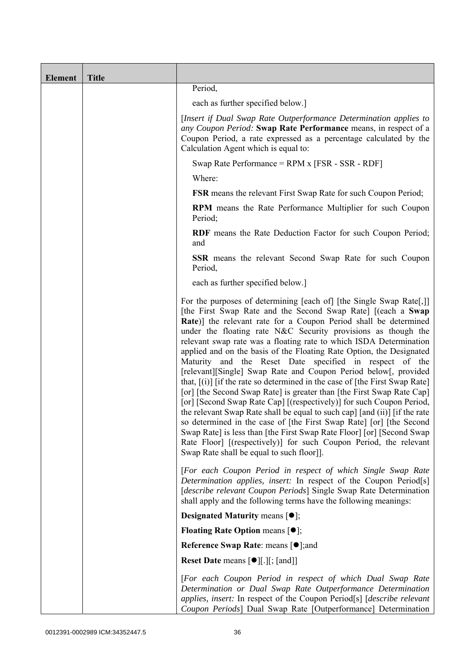| <b>Element</b> | <b>Title</b> |                                                                                                                                                                                                                                                                                                                                                                                                                                                                                                                                                                                                                                                                                                                                                                                                                                                                                                                                                                                                                                                                                                                                       |
|----------------|--------------|---------------------------------------------------------------------------------------------------------------------------------------------------------------------------------------------------------------------------------------------------------------------------------------------------------------------------------------------------------------------------------------------------------------------------------------------------------------------------------------------------------------------------------------------------------------------------------------------------------------------------------------------------------------------------------------------------------------------------------------------------------------------------------------------------------------------------------------------------------------------------------------------------------------------------------------------------------------------------------------------------------------------------------------------------------------------------------------------------------------------------------------|
|                |              | Period,                                                                                                                                                                                                                                                                                                                                                                                                                                                                                                                                                                                                                                                                                                                                                                                                                                                                                                                                                                                                                                                                                                                               |
|                |              | each as further specified below.]                                                                                                                                                                                                                                                                                                                                                                                                                                                                                                                                                                                                                                                                                                                                                                                                                                                                                                                                                                                                                                                                                                     |
|                |              | [Insert if Dual Swap Rate Outperformance Determination applies to<br>any Coupon Period: Swap Rate Performance means, in respect of a<br>Coupon Period, a rate expressed as a percentage calculated by the<br>Calculation Agent which is equal to:                                                                                                                                                                                                                                                                                                                                                                                                                                                                                                                                                                                                                                                                                                                                                                                                                                                                                     |
|                |              | Swap Rate Performance = $RPM x$ [FSR - SSR - RDF]                                                                                                                                                                                                                                                                                                                                                                                                                                                                                                                                                                                                                                                                                                                                                                                                                                                                                                                                                                                                                                                                                     |
|                |              | Where:                                                                                                                                                                                                                                                                                                                                                                                                                                                                                                                                                                                                                                                                                                                                                                                                                                                                                                                                                                                                                                                                                                                                |
|                |              | <b>FSR</b> means the relevant First Swap Rate for such Coupon Period;                                                                                                                                                                                                                                                                                                                                                                                                                                                                                                                                                                                                                                                                                                                                                                                                                                                                                                                                                                                                                                                                 |
|                |              | RPM means the Rate Performance Multiplier for such Coupon<br>Period;                                                                                                                                                                                                                                                                                                                                                                                                                                                                                                                                                                                                                                                                                                                                                                                                                                                                                                                                                                                                                                                                  |
|                |              | <b>RDF</b> means the Rate Deduction Factor for such Coupon Period;<br>and                                                                                                                                                                                                                                                                                                                                                                                                                                                                                                                                                                                                                                                                                                                                                                                                                                                                                                                                                                                                                                                             |
|                |              | <b>SSR</b> means the relevant Second Swap Rate for such Coupon<br>Period,                                                                                                                                                                                                                                                                                                                                                                                                                                                                                                                                                                                                                                                                                                                                                                                                                                                                                                                                                                                                                                                             |
|                |              | each as further specified below.]                                                                                                                                                                                                                                                                                                                                                                                                                                                                                                                                                                                                                                                                                                                                                                                                                                                                                                                                                                                                                                                                                                     |
|                |              | For the purposes of determining [each of] [the Single Swap Rate[,]]<br>[the First Swap Rate and the Second Swap Rate] [(each a Swap<br>Rate)] the relevant rate for a Coupon Period shall be determined<br>under the floating rate N&C Security provisions as though the<br>relevant swap rate was a floating rate to which ISDA Determination<br>applied and on the basis of the Floating Rate Option, the Designated<br>Maturity and the Reset Date specified in respect of the<br>[relevant][Single] Swap Rate and Coupon Period below[, provided<br>that, $[(i)]$ [if the rate so determined in the case of [the First Swap Rate]<br>[or] [the Second Swap Rate] is greater than [the First Swap Rate Cap]<br>[or] [Second Swap Rate Cap] [(respectively)] for such Coupon Period,<br>the relevant Swap Rate shall be equal to such cap] [and (ii)] [if the rate<br>so determined in the case of [the First Swap Rate] [or] [the Second<br>Swap Rate is less than [the First Swap Rate Floor] [or] [Second Swap<br>Rate Floor] [(respectively)] for such Coupon Period, the relevant<br>Swap Rate shall be equal to such floor]]. |
|                |              | [For each Coupon Period in respect of which Single Swap Rate<br>Determination applies, insert: In respect of the Coupon Period[s]<br>[describe relevant Coupon Periods] Single Swap Rate Determination<br>shall apply and the following terms have the following meanings:                                                                                                                                                                                                                                                                                                                                                                                                                                                                                                                                                                                                                                                                                                                                                                                                                                                            |
|                |              | <b>Designated Maturity means <math>\lceil \bullet \rceil</math>;</b>                                                                                                                                                                                                                                                                                                                                                                                                                                                                                                                                                                                                                                                                                                                                                                                                                                                                                                                                                                                                                                                                  |
|                |              | <b>Floating Rate Option means <math>[•]</math>;</b>                                                                                                                                                                                                                                                                                                                                                                                                                                                                                                                                                                                                                                                                                                                                                                                                                                                                                                                                                                                                                                                                                   |
|                |              | <b>Reference Swap Rate: means [●];and</b>                                                                                                                                                                                                                                                                                                                                                                                                                                                                                                                                                                                                                                                                                                                                                                                                                                                                                                                                                                                                                                                                                             |
|                |              | Reset Date means [ $\bullet$ ][.][; [and]]                                                                                                                                                                                                                                                                                                                                                                                                                                                                                                                                                                                                                                                                                                                                                                                                                                                                                                                                                                                                                                                                                            |
|                |              | [For each Coupon Period in respect of which Dual Swap Rate<br>Determination or Dual Swap Rate Outperformance Determination<br>applies, insert: In respect of the Coupon Period <sup>[s]</sup> [describe relevant]<br>Coupon Periods] Dual Swap Rate [Outperformance] Determination                                                                                                                                                                                                                                                                                                                                                                                                                                                                                                                                                                                                                                                                                                                                                                                                                                                    |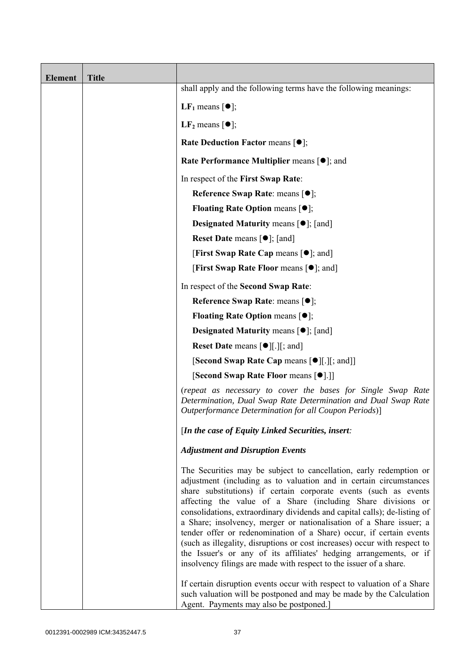| <b>Element</b> | <b>Title</b> |                                                                                                                                                                                                                                                                                                                                                                                                                                                                                                                                                                                                                                                                                                                                  |
|----------------|--------------|----------------------------------------------------------------------------------------------------------------------------------------------------------------------------------------------------------------------------------------------------------------------------------------------------------------------------------------------------------------------------------------------------------------------------------------------------------------------------------------------------------------------------------------------------------------------------------------------------------------------------------------------------------------------------------------------------------------------------------|
|                |              | shall apply and the following terms have the following meanings:                                                                                                                                                                                                                                                                                                                                                                                                                                                                                                                                                                                                                                                                 |
|                |              | <b>LF</b> <sub>1</sub> means $\lceil \bullet \rceil$ ;                                                                                                                                                                                                                                                                                                                                                                                                                                                                                                                                                                                                                                                                           |
|                |              | LF <sub>2</sub> means $\lceil \bullet \rceil$ ;                                                                                                                                                                                                                                                                                                                                                                                                                                                                                                                                                                                                                                                                                  |
|                |              | <b>Rate Deduction Factor means <math>[•]</math>;</b>                                                                                                                                                                                                                                                                                                                                                                                                                                                                                                                                                                                                                                                                             |
|                |              | Rate Performance Multiplier means [ $\bullet$ ]; and                                                                                                                                                                                                                                                                                                                                                                                                                                                                                                                                                                                                                                                                             |
|                |              | In respect of the First Swap Rate:                                                                                                                                                                                                                                                                                                                                                                                                                                                                                                                                                                                                                                                                                               |
|                |              | Reference Swap Rate: means $[•]$ ;                                                                                                                                                                                                                                                                                                                                                                                                                                                                                                                                                                                                                                                                                               |
|                |              | <b>Floating Rate Option means <math>[①]</math>;</b>                                                                                                                                                                                                                                                                                                                                                                                                                                                                                                                                                                                                                                                                              |
|                |              | <b>Designated Maturity means <math>\lceil \bullet \rceil</math>; [and]</b>                                                                                                                                                                                                                                                                                                                                                                                                                                                                                                                                                                                                                                                       |
|                |              | <b>Reset Date means <math>[•]</math>;</b> [and]                                                                                                                                                                                                                                                                                                                                                                                                                                                                                                                                                                                                                                                                                  |
|                |              | <b>[First Swap Rate Cap means [<math>\bullet</math>]; and ]</b>                                                                                                                                                                                                                                                                                                                                                                                                                                                                                                                                                                                                                                                                  |
|                |              | [First Swap Rate Floor means [ $\bullet$ ]; and]                                                                                                                                                                                                                                                                                                                                                                                                                                                                                                                                                                                                                                                                                 |
|                |              | In respect of the Second Swap Rate:                                                                                                                                                                                                                                                                                                                                                                                                                                                                                                                                                                                                                                                                                              |
|                |              | Reference Swap Rate: means $[•]$ ;                                                                                                                                                                                                                                                                                                                                                                                                                                                                                                                                                                                                                                                                                               |
|                |              | <b>Floating Rate Option means <math>\lceil \bullet \rceil</math>;</b>                                                                                                                                                                                                                                                                                                                                                                                                                                                                                                                                                                                                                                                            |
|                |              | <b>Designated Maturity means <math>\lceil \bullet \rceil</math>; [and]</b>                                                                                                                                                                                                                                                                                                                                                                                                                                                                                                                                                                                                                                                       |
|                |              | <b>Reset Date means <math>\lceil \bullet \rceil</math>.</b> $\lfloor \cdot \rfloor$ and $\lfloor \cdot \rfloor$                                                                                                                                                                                                                                                                                                                                                                                                                                                                                                                                                                                                                  |
|                |              | <b>[Second Swap Rate Cap means [<math>\bullet</math></b> ][.][; and]]                                                                                                                                                                                                                                                                                                                                                                                                                                                                                                                                                                                                                                                            |
|                |              | [Second Swap Rate Floor means [ $\bullet$ ].]]                                                                                                                                                                                                                                                                                                                                                                                                                                                                                                                                                                                                                                                                                   |
|                |              | (repeat as necessary to cover the bases for Single Swap Rate<br>Determination, Dual Swap Rate Determination and Dual Swap Rate<br>Outperformance Determination for all Coupon Periods)]                                                                                                                                                                                                                                                                                                                                                                                                                                                                                                                                          |
|                |              | [In the case of Equity Linked Securities, insert:                                                                                                                                                                                                                                                                                                                                                                                                                                                                                                                                                                                                                                                                                |
|                |              | <b>Adjustment and Disruption Events</b>                                                                                                                                                                                                                                                                                                                                                                                                                                                                                                                                                                                                                                                                                          |
|                |              | The Securities may be subject to cancellation, early redemption or<br>adjustment (including as to valuation and in certain circumstances<br>share substitutions) if certain corporate events (such as events<br>affecting the value of a Share (including Share divisions or<br>consolidations, extraordinary dividends and capital calls); de-listing of<br>a Share; insolvency, merger or nationalisation of a Share issuer; a<br>tender offer or redenomination of a Share) occur, if certain events<br>(such as illegality, disruptions or cost increases) occur with respect to<br>the Issuer's or any of its affiliates' hedging arrangements, or if<br>insolvency filings are made with respect to the issuer of a share. |
|                |              | If certain disruption events occur with respect to valuation of a Share<br>such valuation will be postponed and may be made by the Calculation<br>Agent. Payments may also be postponed.]                                                                                                                                                                                                                                                                                                                                                                                                                                                                                                                                        |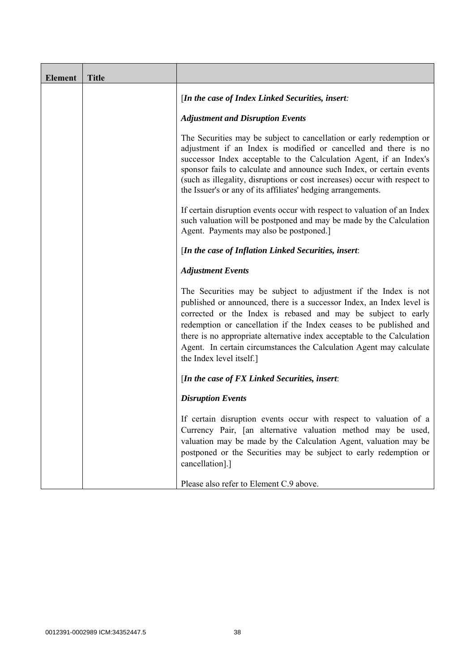| <b>Element</b> | <b>Title</b> |                                                                                                                                                                                                                                                                                                                                                                                                                                                               |
|----------------|--------------|---------------------------------------------------------------------------------------------------------------------------------------------------------------------------------------------------------------------------------------------------------------------------------------------------------------------------------------------------------------------------------------------------------------------------------------------------------------|
|                |              | [In the case of Index Linked Securities, insert:                                                                                                                                                                                                                                                                                                                                                                                                              |
|                |              | <b>Adjustment and Disruption Events</b>                                                                                                                                                                                                                                                                                                                                                                                                                       |
|                |              | The Securities may be subject to cancellation or early redemption or<br>adjustment if an Index is modified or cancelled and there is no<br>successor Index acceptable to the Calculation Agent, if an Index's<br>sponsor fails to calculate and announce such Index, or certain events<br>(such as illegality, disruptions or cost increases) occur with respect to<br>the Issuer's or any of its affiliates' hedging arrangements.                           |
|                |              | If certain disruption events occur with respect to valuation of an Index<br>such valuation will be postponed and may be made by the Calculation<br>Agent. Payments may also be postponed.]                                                                                                                                                                                                                                                                    |
|                |              | [In the case of Inflation Linked Securities, insert:                                                                                                                                                                                                                                                                                                                                                                                                          |
|                |              | <b>Adjustment Events</b>                                                                                                                                                                                                                                                                                                                                                                                                                                      |
|                |              | The Securities may be subject to adjustment if the Index is not<br>published or announced, there is a successor Index, an Index level is<br>corrected or the Index is rebased and may be subject to early<br>redemption or cancellation if the Index ceases to be published and<br>there is no appropriate alternative index acceptable to the Calculation<br>Agent. In certain circumstances the Calculation Agent may calculate<br>the Index level itself.] |
|                |              | [In the case of $FX$ Linked Securities, insert:                                                                                                                                                                                                                                                                                                                                                                                                               |
|                |              | <b>Disruption Events</b>                                                                                                                                                                                                                                                                                                                                                                                                                                      |
|                |              | If certain disruption events occur with respect to valuation of a<br>Currency Pair, [an alternative valuation method may be used,<br>valuation may be made by the Calculation Agent, valuation may be<br>postponed or the Securities may be subject to early redemption or<br>cancellation].]                                                                                                                                                                 |
|                |              | Please also refer to Element C.9 above.                                                                                                                                                                                                                                                                                                                                                                                                                       |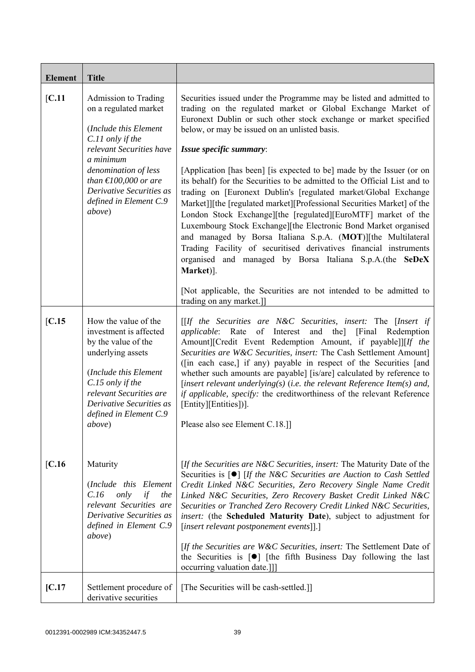| <b>Element</b>  | <b>Title</b>                                                                                                                                                                                                                                                                                                                                                                                                    |                                                                                                                                                                                                                                                                                                                                                                                                                                                                                                                                                                                                                                                                                                                                                                                                                                                                                                                                                                                                                                                                                                                                                                                                            |
|-----------------|-----------------------------------------------------------------------------------------------------------------------------------------------------------------------------------------------------------------------------------------------------------------------------------------------------------------------------------------------------------------------------------------------------------------|------------------------------------------------------------------------------------------------------------------------------------------------------------------------------------------------------------------------------------------------------------------------------------------------------------------------------------------------------------------------------------------------------------------------------------------------------------------------------------------------------------------------------------------------------------------------------------------------------------------------------------------------------------------------------------------------------------------------------------------------------------------------------------------------------------------------------------------------------------------------------------------------------------------------------------------------------------------------------------------------------------------------------------------------------------------------------------------------------------------------------------------------------------------------------------------------------------|
| [C.11]          | Admission to Trading<br>on a regulated market<br>(Include this Element<br>C.11 only if the<br>relevant Securities have<br>a minimum<br>denomination of less<br>than $\text{\textsterling}100,000$ or are<br>Derivative Securities as<br>defined in Element C.9<br>above)                                                                                                                                        | Securities issued under the Programme may be listed and admitted to<br>trading on the regulated market or Global Exchange Market of<br>Euronext Dublin or such other stock exchange or market specified<br>below, or may be issued on an unlisted basis.<br>Issue specific summary:<br>[Application [has been] [is expected to be] made by the Issuer (or on<br>its behalf) for the Securities to be admitted to the Official List and to<br>trading on [Euronext Dublin's [regulated market/Global Exchange<br>Market]][the [regulated market][Professional Securities Market] of the<br>London Stock Exchange][the [regulated][EuroMTF] market of the<br>Luxembourg Stock Exchange][the Electronic Bond Market organised<br>and managed by Borsa Italiana S.p.A. (MOT)][the Multilateral<br>Trading Facility of securitised derivatives financial instruments<br>organised and managed by Borsa Italiana S.p.A.(the SeDeX<br>Market)].<br>[Not applicable, the Securities are not intended to be admitted to<br>trading on any market.]]                                                                                                                                                                 |
| IC.15<br>[C.16] | How the value of the<br>investment is affected<br>by the value of the<br>underlying assets<br>(Include this Element<br>C.15 only if the<br>relevant Securities are<br>Derivative Securities as<br>defined in Element C.9<br><i>above</i> )<br>Maturity<br>(Include this Element<br>C.16<br>only<br>if<br>the<br>relevant Securities are<br>Derivative Securities as<br>defined in Element C.9<br><i>above</i> ) | $[If the Securities are N&C Securities, insert: The [Insert if]$<br>applicable: Rate of Interest and the] [Final Redemption<br>Amount][Credit Event Redemption Amount, if payable]][If the<br>Securities are W&C Securities, insert: The Cash Settlement Amount]<br>([in each case,] if any) payable in respect of the Securities [and<br>whether such amounts are payable] [is/are] calculated by reference to<br>[insert relevant underlying(s) (i.e. the relevant Reference Item(s) and,<br>if applicable, specify: the creditworthiness of the relevant Reference<br>[Entity][Entities])].<br>Please also see Element C.18.]]<br>[If the Securities are N&C Securities, insert: The Maturity Date of the<br>Securities is $\lceil \bullet \rceil$ [If the N&C Securities are Auction to Cash Settled<br>Credit Linked N&C Securities, Zero Recovery Single Name Credit<br>Linked N&C Securities, Zero Recovery Basket Credit Linked N&C<br>Securities or Tranched Zero Recovery Credit Linked N&C Securities,<br>insert: (the Scheduled Maturity Date), subject to adjustment for<br>[insert relevant postponement events]].]<br>[If the Securities are W&C Securities, insert: The Settlement Date of |
|                 |                                                                                                                                                                                                                                                                                                                                                                                                                 | the Securities is $[\bullet]$ [the fifth Business Day following the last<br>occurring valuation date.]]                                                                                                                                                                                                                                                                                                                                                                                                                                                                                                                                                                                                                                                                                                                                                                                                                                                                                                                                                                                                                                                                                                    |
| [C.17]          | Settlement procedure of<br>derivative securities                                                                                                                                                                                                                                                                                                                                                                | [The Securities will be cash-settled.]]                                                                                                                                                                                                                                                                                                                                                                                                                                                                                                                                                                                                                                                                                                                                                                                                                                                                                                                                                                                                                                                                                                                                                                    |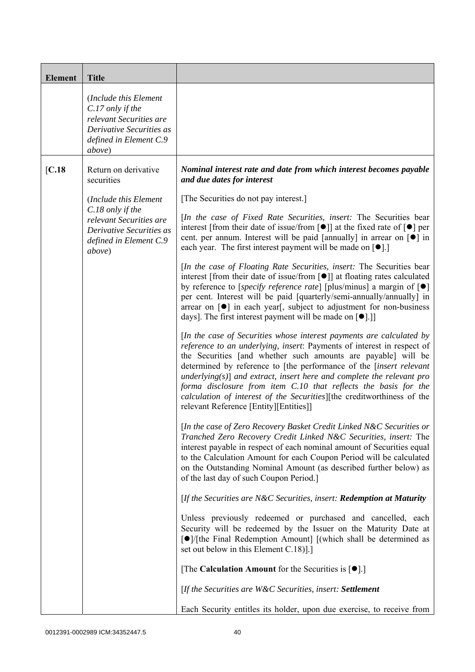| <b>Element</b> | <b>Title</b>                                                                                                                           |                                                                                                                                                                                                                                                                                                                                                                                                                                                                                                                                                                   |
|----------------|----------------------------------------------------------------------------------------------------------------------------------------|-------------------------------------------------------------------------------------------------------------------------------------------------------------------------------------------------------------------------------------------------------------------------------------------------------------------------------------------------------------------------------------------------------------------------------------------------------------------------------------------------------------------------------------------------------------------|
|                | (Include this Element<br>$C.17$ only if the<br>relevant Securities are<br>Derivative Securities as<br>defined in Element C.9<br>above) |                                                                                                                                                                                                                                                                                                                                                                                                                                                                                                                                                                   |
| [C.18]         | Return on derivative<br>securities                                                                                                     | Nominal interest rate and date from which interest becomes payable<br>and due dates for interest                                                                                                                                                                                                                                                                                                                                                                                                                                                                  |
|                | (Include this Element                                                                                                                  | [The Securities do not pay interest.]                                                                                                                                                                                                                                                                                                                                                                                                                                                                                                                             |
|                | $C.18$ only if the<br>relevant Securities are<br>Derivative Securities as<br>defined in Element C.9<br><i>above</i> )                  | [In the case of Fixed Rate Securities, insert: The Securities bear<br>interest [from their date of issue/from $\lceil \bullet \rceil$ ] at the fixed rate of $\lceil \bullet \rceil$ per<br>cent. per annum. Interest will be paid [annually] in arrear on $\lceil \bullet \rceil$ in<br>each year. The first interest payment will be made on $[\bullet]$ .]                                                                                                                                                                                                     |
|                |                                                                                                                                        | [In the case of Floating Rate Securities, insert: The Securities bear<br>interest [from their date of issue/from [ $\bullet$ ]] at floating rates calculated<br>by reference to [specify reference rate] [plus/minus] a margin of $\lceil \bullet \rceil$<br>per cent. Interest will be paid [quarterly/semi-annually/annually] in<br>arrear on [ $\bullet$ ] in each year[, subject to adjustment for non-business<br>days]. The first interest payment will be made on $[\bullet]$ .]                                                                           |
|                |                                                                                                                                        | [In the case of Securities whose interest payments are calculated by<br>reference to an underlying, insert: Payments of interest in respect of<br>the Securities [and whether such amounts are payable] will be<br>determined by reference to [the performance of the <i>[insert relevant</i><br>underlying( $s$ )] and extract, insert here and complete the relevant pro<br>forma disclosure from item C.10 that reflects the basis for the<br>calculation of interest of the Securities][the creditworthiness of the<br>relevant Reference [Entity][Entities]] |
|                |                                                                                                                                        | [In the case of Zero Recovery Basket Credit Linked N&C Securities or<br>Tranched Zero Recovery Credit Linked N&C Securities, insert: The<br>interest payable in respect of each nominal amount of Securities equal<br>to the Calculation Amount for each Coupon Period will be calculated<br>on the Outstanding Nominal Amount (as described further below) as<br>of the last day of such Coupon Period.]                                                                                                                                                         |
|                |                                                                                                                                        | [If the Securities are N&C Securities, insert: Redemption at Maturity                                                                                                                                                                                                                                                                                                                                                                                                                                                                                             |
|                |                                                                                                                                        | Unless previously redeemed or purchased and cancelled, each<br>Security will be redeemed by the Issuer on the Maturity Date at<br>[●]/[the Final Redemption Amount] [(which shall be determined as<br>set out below in this Element C.18).]                                                                                                                                                                                                                                                                                                                       |
|                |                                                                                                                                        | [The Calculation Amount for the Securities is $[•]$ .]                                                                                                                                                                                                                                                                                                                                                                                                                                                                                                            |
|                |                                                                                                                                        | [If the Securities are W&C Securities, insert: Settlement                                                                                                                                                                                                                                                                                                                                                                                                                                                                                                         |
|                |                                                                                                                                        | Each Security entitles its holder, upon due exercise, to receive from                                                                                                                                                                                                                                                                                                                                                                                                                                                                                             |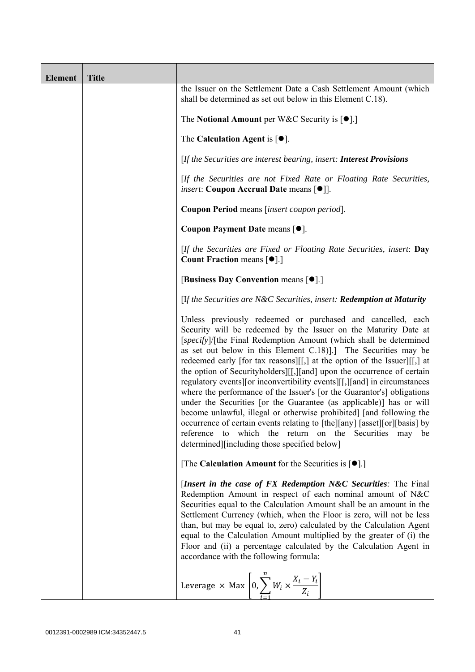| <b>Element</b> | <b>Title</b> |                                                                                                                                                                                                                                                                                                                                                                                                                                                                                                                                                                                                                                                                                                                                                                                                                                                                                                                                 |
|----------------|--------------|---------------------------------------------------------------------------------------------------------------------------------------------------------------------------------------------------------------------------------------------------------------------------------------------------------------------------------------------------------------------------------------------------------------------------------------------------------------------------------------------------------------------------------------------------------------------------------------------------------------------------------------------------------------------------------------------------------------------------------------------------------------------------------------------------------------------------------------------------------------------------------------------------------------------------------|
|                |              | the Issuer on the Settlement Date a Cash Settlement Amount (which<br>shall be determined as set out below in this Element C.18).                                                                                                                                                                                                                                                                                                                                                                                                                                                                                                                                                                                                                                                                                                                                                                                                |
|                |              | The Notional Amount per W&C Security is $[•]$ .                                                                                                                                                                                                                                                                                                                                                                                                                                                                                                                                                                                                                                                                                                                                                                                                                                                                                 |
|                |              | The Calculation Agent is $[•]$ .                                                                                                                                                                                                                                                                                                                                                                                                                                                                                                                                                                                                                                                                                                                                                                                                                                                                                                |
|                |              | [If the Securities are interest bearing, insert: Interest Provisions                                                                                                                                                                                                                                                                                                                                                                                                                                                                                                                                                                                                                                                                                                                                                                                                                                                            |
|                |              | [If the Securities are not Fixed Rate or Floating Rate Securities,<br><i>insert</i> : Coupon Accrual Date means [ $\bullet$ ].                                                                                                                                                                                                                                                                                                                                                                                                                                                                                                                                                                                                                                                                                                                                                                                                  |
|                |              | Coupon Period means [insert coupon period].                                                                                                                                                                                                                                                                                                                                                                                                                                                                                                                                                                                                                                                                                                                                                                                                                                                                                     |
|                |              | Coupon Payment Date means [ $\bullet$ ].                                                                                                                                                                                                                                                                                                                                                                                                                                                                                                                                                                                                                                                                                                                                                                                                                                                                                        |
|                |              | [If the Securities are Fixed or Floating Rate Securities, insert: Day<br><b>Count Fraction means [<math>\bullet</math>].]</b>                                                                                                                                                                                                                                                                                                                                                                                                                                                                                                                                                                                                                                                                                                                                                                                                   |
|                |              | [Business Day Convention means [ $\bullet$ ].]                                                                                                                                                                                                                                                                                                                                                                                                                                                                                                                                                                                                                                                                                                                                                                                                                                                                                  |
|                |              | [If the Securities are N&C Securities, insert: Redemption at Maturity                                                                                                                                                                                                                                                                                                                                                                                                                                                                                                                                                                                                                                                                                                                                                                                                                                                           |
|                |              | Unless previously redeemed or purchased and cancelled, each<br>Security will be redeemed by the Issuer on the Maturity Date at<br>[specify]/[the Final Redemption Amount (which shall be determined<br>as set out below in this Element C.18). The Securities may be<br>redeemed early [for tax reasons][[,] at the option of the Issuer][[,] at<br>the option of Securityholders][[,][and] upon the occurrence of certain<br>regulatory events][or inconvertibility events][[,][and] in circumstances<br>where the performance of the Issuer's [or the Guarantor's] obligations<br>under the Securities [or the Guarantee (as applicable)] has or will<br>become unlawful, illegal or otherwise prohibited] [and following the<br>occurrence of certain events relating to [the][any] [asset][or][basis] by<br>which the return on the Securities may<br>reference<br>to<br>be<br>determined][including those specified below] |
|                |              | [The Calculation Amount for the Securities is $[\bullet]$ .]                                                                                                                                                                                                                                                                                                                                                                                                                                                                                                                                                                                                                                                                                                                                                                                                                                                                    |
|                |              | [Insert in the case of FX Redemption N&C Securities: The Final<br>Redemption Amount in respect of each nominal amount of N&C<br>Securities equal to the Calculation Amount shall be an amount in the<br>Settlement Currency (which, when the Floor is zero, will not be less<br>than, but may be equal to, zero) calculated by the Calculation Agent<br>equal to the Calculation Amount multiplied by the greater of (i) the<br>Floor and (ii) a percentage calculated by the Calculation Agent in<br>accordance with the following formula:                                                                                                                                                                                                                                                                                                                                                                                    |
|                |              | Leverage $\times$ Max $\left[0, \sum_{i=1}^{n} W_i \times \frac{X_i - Y_i}{Z_i}\right]$                                                                                                                                                                                                                                                                                                                                                                                                                                                                                                                                                                                                                                                                                                                                                                                                                                         |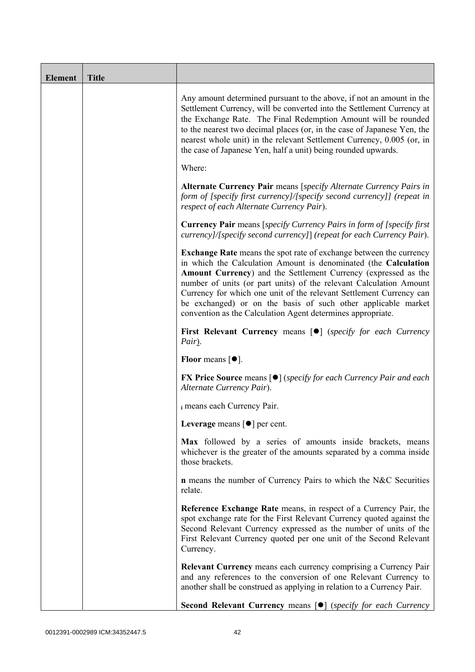| <b>Element</b> | <b>Title</b> |                                                                                                                                                                                                                                                                                                                                                                                                                                                                                             |
|----------------|--------------|---------------------------------------------------------------------------------------------------------------------------------------------------------------------------------------------------------------------------------------------------------------------------------------------------------------------------------------------------------------------------------------------------------------------------------------------------------------------------------------------|
|                |              | Any amount determined pursuant to the above, if not an amount in the<br>Settlement Currency, will be converted into the Settlement Currency at<br>the Exchange Rate. The Final Redemption Amount will be rounded<br>to the nearest two decimal places (or, in the case of Japanese Yen, the<br>nearest whole unit) in the relevant Settlement Currency, 0.005 (or, in<br>the case of Japanese Yen, half a unit) being rounded upwards.                                                      |
|                |              | Where:                                                                                                                                                                                                                                                                                                                                                                                                                                                                                      |
|                |              | Alternate Currency Pair means [specify Alternate Currency Pairs in<br>form of [specify first currency]/[specify second currency]] (repeat in<br>respect of each Alternate Currency Pair).                                                                                                                                                                                                                                                                                                   |
|                |              | <b>Currency Pair</b> means [specify Currency Pairs in form of [specify first]<br>currency]/[specify second currency]] (repeat for each Currency Pair).                                                                                                                                                                                                                                                                                                                                      |
|                |              | <b>Exchange Rate</b> means the spot rate of exchange between the currency<br>in which the Calculation Amount is denominated (the Calculation<br>Amount Currency) and the Settlement Currency (expressed as the<br>number of units (or part units) of the relevant Calculation Amount<br>Currency for which one unit of the relevant Settlement Currency can<br>be exchanged) or on the basis of such other applicable market<br>convention as the Calculation Agent determines appropriate. |
|                |              | First Relevant Currency means [ $\bullet$ ] (specify for each Currency<br>Pair).                                                                                                                                                                                                                                                                                                                                                                                                            |
|                |              | <b>Floor</b> means $\lceil \bullet \rceil$ .                                                                                                                                                                                                                                                                                                                                                                                                                                                |
|                |              | <b>FX Price Source means [<math>\bullet</math>]</b> (specify for each Currency Pair and each<br>Alternate Currency Pair).                                                                                                                                                                                                                                                                                                                                                                   |
|                |              | i means each Currency Pair.                                                                                                                                                                                                                                                                                                                                                                                                                                                                 |
|                |              | Leverage means $\lceil \bullet \rceil$ per cent.                                                                                                                                                                                                                                                                                                                                                                                                                                            |
|                |              | Max followed by a series of amounts inside brackets, means<br>whichever is the greater of the amounts separated by a comma inside<br>those brackets.                                                                                                                                                                                                                                                                                                                                        |
|                |              | <b>n</b> means the number of Currency Pairs to which the N&C Securities<br>relate.                                                                                                                                                                                                                                                                                                                                                                                                          |
|                |              | Reference Exchange Rate means, in respect of a Currency Pair, the<br>spot exchange rate for the First Relevant Currency quoted against the<br>Second Relevant Currency expressed as the number of units of the<br>First Relevant Currency quoted per one unit of the Second Relevant<br>Currency.                                                                                                                                                                                           |
|                |              | <b>Relevant Currency</b> means each currency comprising a Currency Pair<br>and any references to the conversion of one Relevant Currency to<br>another shall be construed as applying in relation to a Currency Pair.                                                                                                                                                                                                                                                                       |
|                |              | Second Relevant Currency means [ $\bullet$ ] (specify for each Currency                                                                                                                                                                                                                                                                                                                                                                                                                     |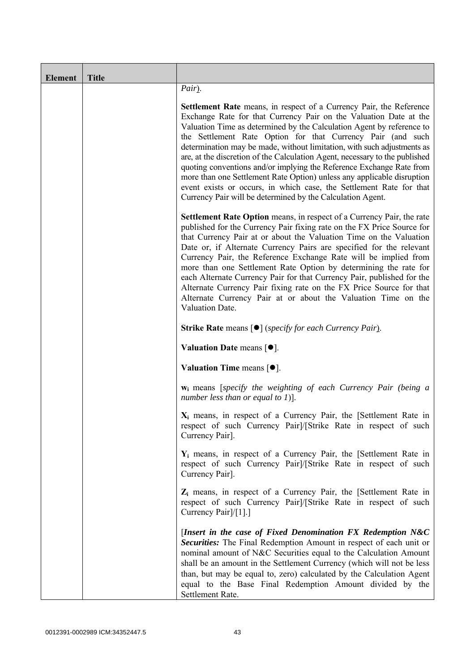| <b>Element</b> | <b>Title</b> |                                                                                                                                                                                                                                                                                                                                                                                                                                                                                                                                                                                                                                                                                                                                          |
|----------------|--------------|------------------------------------------------------------------------------------------------------------------------------------------------------------------------------------------------------------------------------------------------------------------------------------------------------------------------------------------------------------------------------------------------------------------------------------------------------------------------------------------------------------------------------------------------------------------------------------------------------------------------------------------------------------------------------------------------------------------------------------------|
|                |              | Pair).                                                                                                                                                                                                                                                                                                                                                                                                                                                                                                                                                                                                                                                                                                                                   |
|                |              | <b>Settlement Rate</b> means, in respect of a Currency Pair, the Reference<br>Exchange Rate for that Currency Pair on the Valuation Date at the<br>Valuation Time as determined by the Calculation Agent by reference to<br>the Settlement Rate Option for that Currency Pair (and such<br>determination may be made, without limitation, with such adjustments as<br>are, at the discretion of the Calculation Agent, necessary to the published<br>quoting conventions and/or implying the Reference Exchange Rate from<br>more than one Settlement Rate Option) unless any applicable disruption<br>event exists or occurs, in which case, the Settlement Rate for that<br>Currency Pair will be determined by the Calculation Agent. |
|                |              | Settlement Rate Option means, in respect of a Currency Pair, the rate<br>published for the Currency Pair fixing rate on the FX Price Source for<br>that Currency Pair at or about the Valuation Time on the Valuation<br>Date or, if Alternate Currency Pairs are specified for the relevant<br>Currency Pair, the Reference Exchange Rate will be implied from<br>more than one Settlement Rate Option by determining the rate for<br>each Alternate Currency Pair for that Currency Pair, published for the<br>Alternate Currency Pair fixing rate on the FX Price Source for that<br>Alternate Currency Pair at or about the Valuation Time on the<br>Valuation Date.                                                                 |
|                |              | <b>Strike Rate means [<math>\bullet</math>]</b> (specify for each Currency Pair).                                                                                                                                                                                                                                                                                                                                                                                                                                                                                                                                                                                                                                                        |
|                |              | Valuation Date means $[•]$ .                                                                                                                                                                                                                                                                                                                                                                                                                                                                                                                                                                                                                                                                                                             |
|                |              | Valuation Time means $[•]$ .                                                                                                                                                                                                                                                                                                                                                                                                                                                                                                                                                                                                                                                                                                             |
|                |              | $w_i$ means [specify the weighting of each Currency Pair (being a<br>number less than or equal to 1)].                                                                                                                                                                                                                                                                                                                                                                                                                                                                                                                                                                                                                                   |
|                |              | $X_i$ means, in respect of a Currency Pair, the [Settlement Rate in<br>respect of such Currency Pair]/[Strike Rate in respect of such<br>Currency Pair].                                                                                                                                                                                                                                                                                                                                                                                                                                                                                                                                                                                 |
|                |              | $Y_i$ means, in respect of a Currency Pair, the [Settlement Rate in<br>respect of such Currency Pair]/[Strike Rate in respect of such<br>Currency Pair].                                                                                                                                                                                                                                                                                                                                                                                                                                                                                                                                                                                 |
|                |              | $Z_i$ means, in respect of a Currency Pair, the [Settlement Rate in<br>respect of such Currency Pair]/[Strike Rate in respect of such<br>Currency Pair]/[1].]                                                                                                                                                                                                                                                                                                                                                                                                                                                                                                                                                                            |
|                |              | [Insert in the case of Fixed Denomination $FX$ Redemption $N&C$<br>Securities: The Final Redemption Amount in respect of each unit or<br>nominal amount of N&C Securities equal to the Calculation Amount<br>shall be an amount in the Settlement Currency (which will not be less<br>than, but may be equal to, zero) calculated by the Calculation Agent<br>equal to the Base Final Redemption Amount divided by the<br>Settlement Rate.                                                                                                                                                                                                                                                                                               |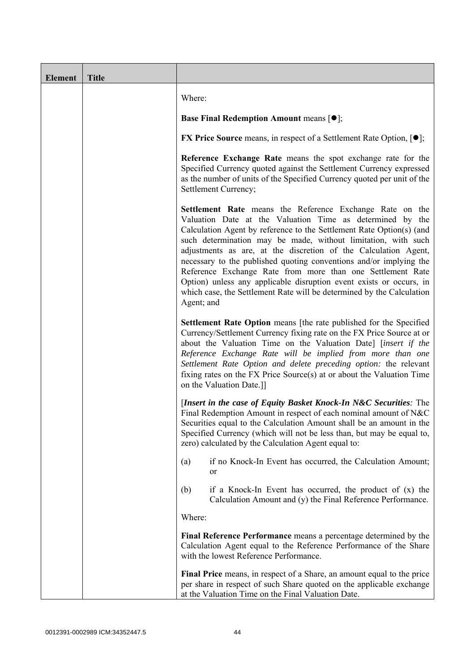| Element | <b>Title</b> |                                                                                                                                                                                                                                                                                                                                                                                                                                                                                                                                                                                                                                     |
|---------|--------------|-------------------------------------------------------------------------------------------------------------------------------------------------------------------------------------------------------------------------------------------------------------------------------------------------------------------------------------------------------------------------------------------------------------------------------------------------------------------------------------------------------------------------------------------------------------------------------------------------------------------------------------|
|         |              | Where:                                                                                                                                                                                                                                                                                                                                                                                                                                                                                                                                                                                                                              |
|         |              | <b>Base Final Redemption Amount means <math>[①]</math>;</b>                                                                                                                                                                                                                                                                                                                                                                                                                                                                                                                                                                         |
|         |              | <b>FX Price Source</b> means, in respect of a Settlement Rate Option, $[•]$ ;                                                                                                                                                                                                                                                                                                                                                                                                                                                                                                                                                       |
|         |              | Reference Exchange Rate means the spot exchange rate for the<br>Specified Currency quoted against the Settlement Currency expressed<br>as the number of units of the Specified Currency quoted per unit of the<br>Settlement Currency;                                                                                                                                                                                                                                                                                                                                                                                              |
|         |              | Settlement Rate means the Reference Exchange Rate on the<br>Valuation Date at the Valuation Time as determined by the<br>Calculation Agent by reference to the Settlement Rate Option(s) (and<br>such determination may be made, without limitation, with such<br>adjustments as are, at the discretion of the Calculation Agent,<br>necessary to the published quoting conventions and/or implying the<br>Reference Exchange Rate from more than one Settlement Rate<br>Option) unless any applicable disruption event exists or occurs, in<br>which case, the Settlement Rate will be determined by the Calculation<br>Agent; and |
|         |              | Settlement Rate Option means [the rate published for the Specified<br>Currency/Settlement Currency fixing rate on the FX Price Source at or<br>about the Valuation Time on the Valuation Date] [insert if the<br>Reference Exchange Rate will be implied from more than one<br>Settlement Rate Option and delete preceding option: the relevant<br>fixing rates on the FX Price Source(s) at or about the Valuation Time<br>on the Valuation Date.]]                                                                                                                                                                                |
|         |              | [Insert in the case of Equity Basket Knock-In N&C Securities: The<br>Final Redemption Amount in respect of each nominal amount of N&C<br>Securities equal to the Calculation Amount shall be an amount in the<br>Specified Currency (which will not be less than, but may be equal to,<br>zero) calculated by the Calculation Agent equal to:                                                                                                                                                                                                                                                                                       |
|         |              | if no Knock-In Event has occurred, the Calculation Amount;<br>(a)<br>or                                                                                                                                                                                                                                                                                                                                                                                                                                                                                                                                                             |
|         |              | if a Knock-In Event has occurred, the product of $(x)$ the<br>(b)<br>Calculation Amount and (y) the Final Reference Performance.                                                                                                                                                                                                                                                                                                                                                                                                                                                                                                    |
|         |              | Where:                                                                                                                                                                                                                                                                                                                                                                                                                                                                                                                                                                                                                              |
|         |              | Final Reference Performance means a percentage determined by the<br>Calculation Agent equal to the Reference Performance of the Share<br>with the lowest Reference Performance.                                                                                                                                                                                                                                                                                                                                                                                                                                                     |
|         |              | Final Price means, in respect of a Share, an amount equal to the price<br>per share in respect of such Share quoted on the applicable exchange<br>at the Valuation Time on the Final Valuation Date.                                                                                                                                                                                                                                                                                                                                                                                                                                |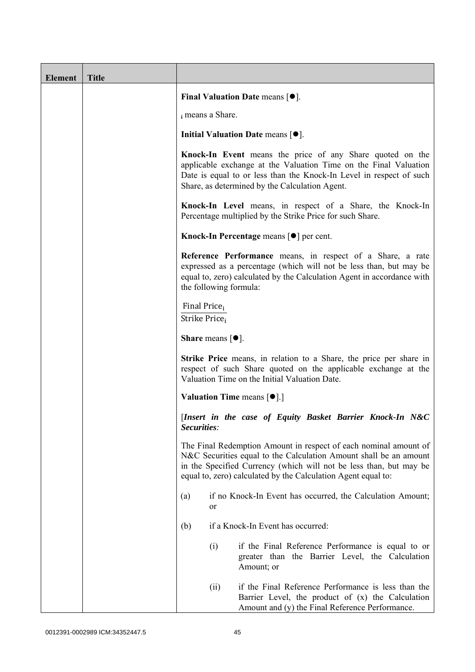| <b>Element</b> | <b>Title</b> |                                                                 |                                                                                                                                                                                                                                                                              |
|----------------|--------------|-----------------------------------------------------------------|------------------------------------------------------------------------------------------------------------------------------------------------------------------------------------------------------------------------------------------------------------------------------|
|                |              |                                                                 | Final Valuation Date means $[•]$ .                                                                                                                                                                                                                                           |
|                |              | i means a Share.                                                |                                                                                                                                                                                                                                                                              |
|                |              |                                                                 | Initial Valuation Date means $[•]$ .                                                                                                                                                                                                                                         |
|                |              |                                                                 | Knock-In Event means the price of any Share quoted on the<br>applicable exchange at the Valuation Time on the Final Valuation<br>Date is equal to or less than the Knock-In Level in respect of such<br>Share, as determined by the Calculation Agent.                       |
|                |              |                                                                 | Knock-In Level means, in respect of a Share, the Knock-In<br>Percentage multiplied by the Strike Price for such Share.                                                                                                                                                       |
|                |              |                                                                 | Knock-In Percentage means [ <sup>●</sup> ] per cent.                                                                                                                                                                                                                         |
|                |              | the following formula:                                          | Reference Performance means, in respect of a Share, a rate<br>expressed as a percentage (which will not be less than, but may be<br>equal to, zero) calculated by the Calculation Agent in accordance with                                                                   |
|                |              | Final Price <sub>i</sub><br>Strike Price <sub>i</sub>           |                                                                                                                                                                                                                                                                              |
|                |              | <b>Share</b> means $[①]$ .                                      |                                                                                                                                                                                                                                                                              |
|                |              |                                                                 | <b>Strike Price</b> means, in relation to a Share, the price per share in<br>respect of such Share quoted on the applicable exchange at the<br>Valuation Time on the Initial Valuation Date.                                                                                 |
|                |              | <b>Valuation Time means <math>\lceil \bullet \rceil</math>.</b> |                                                                                                                                                                                                                                                                              |
|                |              | Securities:                                                     | [Insert in the case of Equity Basket Barrier Knock-In N&C                                                                                                                                                                                                                    |
|                |              |                                                                 | The Final Redemption Amount in respect of each nominal amount of<br>N&C Securities equal to the Calculation Amount shall be an amount<br>in the Specified Currency (which will not be less than, but may be<br>equal to, zero) calculated by the Calculation Agent equal to: |
|                |              | (a)<br>or                                                       | if no Knock-In Event has occurred, the Calculation Amount;                                                                                                                                                                                                                   |
|                |              | (b)                                                             | if a Knock-In Event has occurred:                                                                                                                                                                                                                                            |
|                |              | (i)                                                             | if the Final Reference Performance is equal to or<br>greater than the Barrier Level, the Calculation<br>Amount; or                                                                                                                                                           |
|                |              | (ii)                                                            | if the Final Reference Performance is less than the<br>Barrier Level, the product of (x) the Calculation<br>Amount and (y) the Final Reference Performance.                                                                                                                  |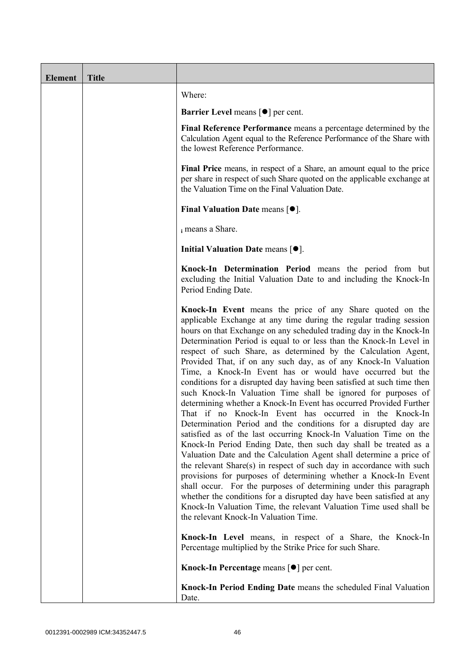| <b>Element</b> | <b>Title</b> |                                                                                                                                                                                                                                                                                                                                                                                                                                                                                                                                                                                                                                                                                                                                                                                                                                                                                                                                                                                                                                                                                                                                                                                                                                                                                                                                                                                                                                                       |
|----------------|--------------|-------------------------------------------------------------------------------------------------------------------------------------------------------------------------------------------------------------------------------------------------------------------------------------------------------------------------------------------------------------------------------------------------------------------------------------------------------------------------------------------------------------------------------------------------------------------------------------------------------------------------------------------------------------------------------------------------------------------------------------------------------------------------------------------------------------------------------------------------------------------------------------------------------------------------------------------------------------------------------------------------------------------------------------------------------------------------------------------------------------------------------------------------------------------------------------------------------------------------------------------------------------------------------------------------------------------------------------------------------------------------------------------------------------------------------------------------------|
|                |              | Where:                                                                                                                                                                                                                                                                                                                                                                                                                                                                                                                                                                                                                                                                                                                                                                                                                                                                                                                                                                                                                                                                                                                                                                                                                                                                                                                                                                                                                                                |
|                |              | <b>Barrier Level means [<math>\bullet</math>] per cent.</b>                                                                                                                                                                                                                                                                                                                                                                                                                                                                                                                                                                                                                                                                                                                                                                                                                                                                                                                                                                                                                                                                                                                                                                                                                                                                                                                                                                                           |
|                |              | Final Reference Performance means a percentage determined by the<br>Calculation Agent equal to the Reference Performance of the Share with<br>the lowest Reference Performance.                                                                                                                                                                                                                                                                                                                                                                                                                                                                                                                                                                                                                                                                                                                                                                                                                                                                                                                                                                                                                                                                                                                                                                                                                                                                       |
|                |              | Final Price means, in respect of a Share, an amount equal to the price<br>per share in respect of such Share quoted on the applicable exchange at<br>the Valuation Time on the Final Valuation Date.                                                                                                                                                                                                                                                                                                                                                                                                                                                                                                                                                                                                                                                                                                                                                                                                                                                                                                                                                                                                                                                                                                                                                                                                                                                  |
|                |              | Final Valuation Date means $[•]$ .                                                                                                                                                                                                                                                                                                                                                                                                                                                                                                                                                                                                                                                                                                                                                                                                                                                                                                                                                                                                                                                                                                                                                                                                                                                                                                                                                                                                                    |
|                |              | i means a Share.                                                                                                                                                                                                                                                                                                                                                                                                                                                                                                                                                                                                                                                                                                                                                                                                                                                                                                                                                                                                                                                                                                                                                                                                                                                                                                                                                                                                                                      |
|                |              | Initial Valuation Date means $[•]$ .                                                                                                                                                                                                                                                                                                                                                                                                                                                                                                                                                                                                                                                                                                                                                                                                                                                                                                                                                                                                                                                                                                                                                                                                                                                                                                                                                                                                                  |
|                |              | Knock-In Determination Period means the period from but<br>excluding the Initial Valuation Date to and including the Knock-In<br>Period Ending Date.                                                                                                                                                                                                                                                                                                                                                                                                                                                                                                                                                                                                                                                                                                                                                                                                                                                                                                                                                                                                                                                                                                                                                                                                                                                                                                  |
|                |              | Knock-In Event means the price of any Share quoted on the<br>applicable Exchange at any time during the regular trading session<br>hours on that Exchange on any scheduled trading day in the Knock-In<br>Determination Period is equal to or less than the Knock-In Level in<br>respect of such Share, as determined by the Calculation Agent,<br>Provided That, if on any such day, as of any Knock-In Valuation<br>Time, a Knock-In Event has or would have occurred but the<br>conditions for a disrupted day having been satisfied at such time then<br>such Knock-In Valuation Time shall be ignored for purposes of<br>determining whether a Knock-In Event has occurred Provided Further<br>That if no Knock-In Event has occurred in the Knock-In<br>Determination Period and the conditions for a disrupted day are<br>satisfied as of the last occurring Knock-In Valuation Time on the<br>Knock-In Period Ending Date, then such day shall be treated as a<br>Valuation Date and the Calculation Agent shall determine a price of<br>the relevant Share(s) in respect of such day in accordance with such<br>provisions for purposes of determining whether a Knock-In Event<br>shall occur. For the purposes of determining under this paragraph<br>whether the conditions for a disrupted day have been satisfied at any<br>Knock-In Valuation Time, the relevant Valuation Time used shall be<br>the relevant Knock-In Valuation Time. |
|                |              | Knock-In Level means, in respect of a Share, the Knock-In<br>Percentage multiplied by the Strike Price for such Share.                                                                                                                                                                                                                                                                                                                                                                                                                                                                                                                                                                                                                                                                                                                                                                                                                                                                                                                                                                                                                                                                                                                                                                                                                                                                                                                                |
|                |              | Knock-In Percentage means [●] per cent.                                                                                                                                                                                                                                                                                                                                                                                                                                                                                                                                                                                                                                                                                                                                                                                                                                                                                                                                                                                                                                                                                                                                                                                                                                                                                                                                                                                                               |
|                |              | Knock-In Period Ending Date means the scheduled Final Valuation<br>Date.                                                                                                                                                                                                                                                                                                                                                                                                                                                                                                                                                                                                                                                                                                                                                                                                                                                                                                                                                                                                                                                                                                                                                                                                                                                                                                                                                                              |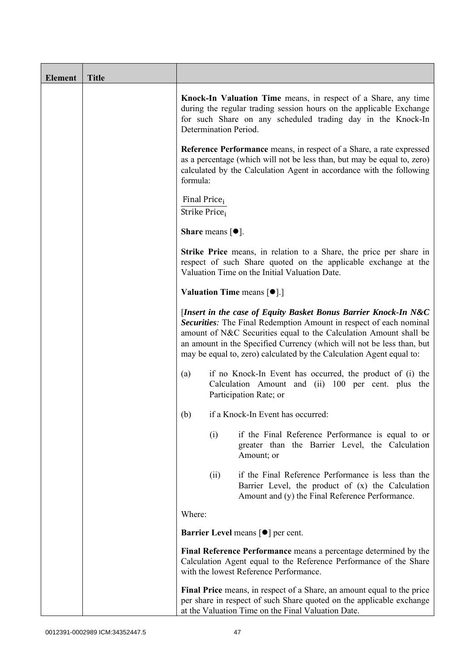| <b>Element</b> | <b>Title</b> |                                                                                                                                                                                                                                                                                                                                                             |
|----------------|--------------|-------------------------------------------------------------------------------------------------------------------------------------------------------------------------------------------------------------------------------------------------------------------------------------------------------------------------------------------------------------|
|                |              | Knock-In Valuation Time means, in respect of a Share, any time<br>during the regular trading session hours on the applicable Exchange<br>for such Share on any scheduled trading day in the Knock-In<br>Determination Period.                                                                                                                               |
|                |              | <b>Reference Performance</b> means, in respect of a Share, a rate expressed<br>as a percentage (which will not be less than, but may be equal to, zero)<br>calculated by the Calculation Agent in accordance with the following<br>formula:                                                                                                                 |
|                |              | Final Price <sub>i</sub><br>Strike Price <sub>i</sub>                                                                                                                                                                                                                                                                                                       |
|                |              | <b>Share</b> means $[•]$ .                                                                                                                                                                                                                                                                                                                                  |
|                |              | Strike Price means, in relation to a Share, the price per share in<br>respect of such Share quoted on the applicable exchange at the<br>Valuation Time on the Initial Valuation Date.                                                                                                                                                                       |
|                |              | <b>Valuation Time means <math>\lceil \bullet \rceil</math>.</b>                                                                                                                                                                                                                                                                                             |
|                |              | [Insert in the case of Equity Basket Bonus Barrier Knock-In N&C<br>Securities: The Final Redemption Amount in respect of each nominal<br>amount of N&C Securities equal to the Calculation Amount shall be<br>an amount in the Specified Currency (which will not be less than, but<br>may be equal to, zero) calculated by the Calculation Agent equal to: |
|                |              | if no Knock-In Event has occurred, the product of (i) the<br>(a)<br>Calculation Amount and (ii) 100 per cent. plus the<br>Participation Rate; or                                                                                                                                                                                                            |
|                |              | if a Knock-In Event has occurred:<br>(b)                                                                                                                                                                                                                                                                                                                    |
|                |              | if the Final Reference Performance is equal to or<br>(i)<br>greater than the Barrier Level, the Calculation<br>Amount; or                                                                                                                                                                                                                                   |
|                |              | if the Final Reference Performance is less than the<br>(ii)<br>Barrier Level, the product of (x) the Calculation<br>Amount and (y) the Final Reference Performance.                                                                                                                                                                                         |
|                |              | Where:                                                                                                                                                                                                                                                                                                                                                      |
|                |              | <b>Barrier Level</b> means [ $\bullet$ ] per cent.                                                                                                                                                                                                                                                                                                          |
|                |              | Final Reference Performance means a percentage determined by the<br>Calculation Agent equal to the Reference Performance of the Share<br>with the lowest Reference Performance.                                                                                                                                                                             |
|                |              | Final Price means, in respect of a Share, an amount equal to the price<br>per share in respect of such Share quoted on the applicable exchange<br>at the Valuation Time on the Final Valuation Date.                                                                                                                                                        |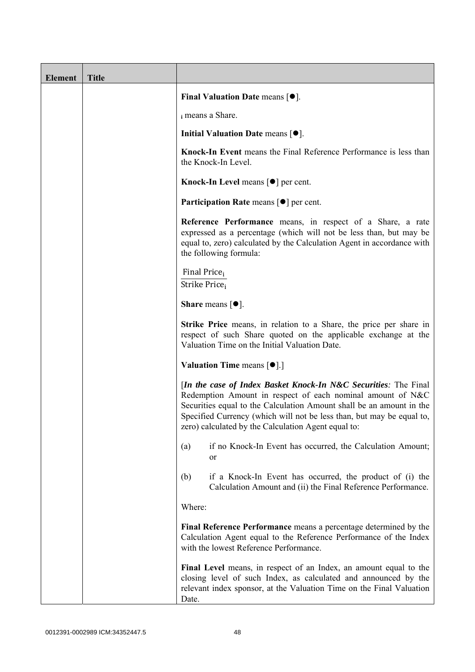| <b>Element</b> | <b>Title</b> |                                                                                                                                                                                                                                                                                                                                       |
|----------------|--------------|---------------------------------------------------------------------------------------------------------------------------------------------------------------------------------------------------------------------------------------------------------------------------------------------------------------------------------------|
|                |              | Final Valuation Date means $[•]$ .                                                                                                                                                                                                                                                                                                    |
|                |              | i means a Share.                                                                                                                                                                                                                                                                                                                      |
|                |              | Initial Valuation Date means $[•]$ .                                                                                                                                                                                                                                                                                                  |
|                |              | Knock-In Event means the Final Reference Performance is less than<br>the Knock-In Level.                                                                                                                                                                                                                                              |
|                |              | Knock-In Level means $\lceil \bullet \rceil$ per cent.                                                                                                                                                                                                                                                                                |
|                |              | <b>Participation Rate means <math>\lceil \bullet \rceil</math> per cent.</b>                                                                                                                                                                                                                                                          |
|                |              | Reference Performance means, in respect of a Share, a rate<br>expressed as a percentage (which will not be less than, but may be<br>equal to, zero) calculated by the Calculation Agent in accordance with<br>the following formula:                                                                                                  |
|                |              | Final Price <sub>i</sub><br>Strike Price <sub>i</sub>                                                                                                                                                                                                                                                                                 |
|                |              | <b>Share</b> means $[①]$ .                                                                                                                                                                                                                                                                                                            |
|                |              | <b>Strike Price</b> means, in relation to a Share, the price per share in<br>respect of such Share quoted on the applicable exchange at the<br>Valuation Time on the Initial Valuation Date.                                                                                                                                          |
|                |              | <b>Valuation Time means <math>\lceil \bullet \rceil</math>.</b>                                                                                                                                                                                                                                                                       |
|                |              | [In the case of Index Basket Knock-In N&C Securities: The Final<br>Redemption Amount in respect of each nominal amount of N&C<br>Securities equal to the Calculation Amount shall be an amount in the<br>Specified Currency (which will not be less than, but may be equal to,<br>zero) calculated by the Calculation Agent equal to: |
|                |              | if no Knock-In Event has occurred, the Calculation Amount;<br>(a)<br>or                                                                                                                                                                                                                                                               |
|                |              | if a Knock-In Event has occurred, the product of (i) the<br>(b)<br>Calculation Amount and (ii) the Final Reference Performance.                                                                                                                                                                                                       |
|                |              | Where:                                                                                                                                                                                                                                                                                                                                |
|                |              | Final Reference Performance means a percentage determined by the<br>Calculation Agent equal to the Reference Performance of the Index<br>with the lowest Reference Performance.                                                                                                                                                       |
|                |              | Final Level means, in respect of an Index, an amount equal to the<br>closing level of such Index, as calculated and announced by the<br>relevant index sponsor, at the Valuation Time on the Final Valuation<br>Date.                                                                                                                 |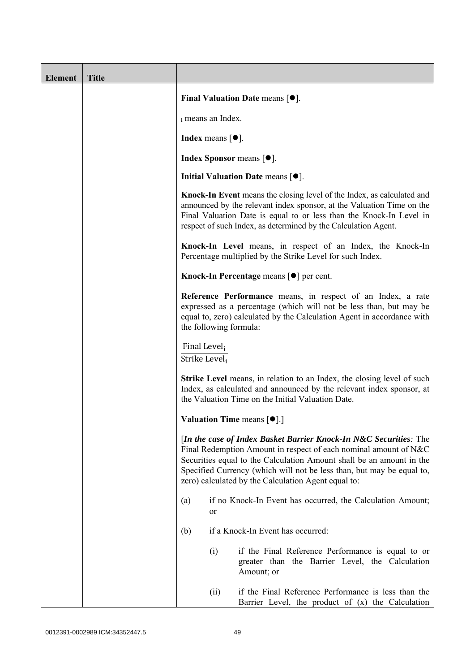| <b>Element</b> | <b>Title</b> |                                           |                                       |                                                                                                                                                                                                                                                                                                                                               |
|----------------|--------------|-------------------------------------------|---------------------------------------|-----------------------------------------------------------------------------------------------------------------------------------------------------------------------------------------------------------------------------------------------------------------------------------------------------------------------------------------------|
|                |              |                                           |                                       | Final Valuation Date means $[•]$ .                                                                                                                                                                                                                                                                                                            |
|                |              |                                           | i means an Index.                     |                                                                                                                                                                                                                                                                                                                                               |
|                |              |                                           | Index means $\lceil \bullet \rceil$ . |                                                                                                                                                                                                                                                                                                                                               |
|                |              |                                           |                                       | <b>Index Sponsor</b> means $\lceil \bullet \rceil$ .                                                                                                                                                                                                                                                                                          |
|                |              |                                           |                                       | Initial Valuation Date means $[•]$ .                                                                                                                                                                                                                                                                                                          |
|                |              |                                           |                                       | Knock-In Event means the closing level of the Index, as calculated and<br>announced by the relevant index sponsor, at the Valuation Time on the<br>Final Valuation Date is equal to or less than the Knock-In Level in<br>respect of such Index, as determined by the Calculation Agent.                                                      |
|                |              |                                           |                                       | Knock-In Level means, in respect of an Index, the Knock-In<br>Percentage multiplied by the Strike Level for such Index.                                                                                                                                                                                                                       |
|                |              |                                           |                                       | Knock-In Percentage means [●] per cent.                                                                                                                                                                                                                                                                                                       |
|                |              |                                           |                                       | Reference Performance means, in respect of an Index, a rate<br>expressed as a percentage (which will not be less than, but may be<br>equal to, zero) calculated by the Calculation Agent in accordance with<br>the following formula:                                                                                                         |
|                |              | Final Level <sub>i</sub><br>Strike Level; |                                       |                                                                                                                                                                                                                                                                                                                                               |
|                |              |                                           |                                       | <b>Strike Level</b> means, in relation to an Index, the closing level of such<br>Index, as calculated and announced by the relevant index sponsor, at<br>the Valuation Time on the Initial Valuation Date.                                                                                                                                    |
|                |              |                                           |                                       | Valuation Time means [ $\bullet$ ].]                                                                                                                                                                                                                                                                                                          |
|                |              |                                           |                                       | [In the case of Index Basket Barrier Knock-In N&C Securities: The<br>Final Redemption Amount in respect of each nominal amount of N&C<br>Securities equal to the Calculation Amount shall be an amount in the<br>Specified Currency (which will not be less than, but may be equal to,<br>zero) calculated by the Calculation Agent equal to: |
|                |              | (a)                                       | or                                    | if no Knock-In Event has occurred, the Calculation Amount;                                                                                                                                                                                                                                                                                    |
|                |              | (b)                                       |                                       | if a Knock-In Event has occurred:                                                                                                                                                                                                                                                                                                             |
|                |              |                                           | (i)                                   | if the Final Reference Performance is equal to or<br>greater than the Barrier Level, the Calculation<br>Amount; or                                                                                                                                                                                                                            |
|                |              |                                           | (ii)                                  | if the Final Reference Performance is less than the<br>Barrier Level, the product of $(x)$ the Calculation                                                                                                                                                                                                                                    |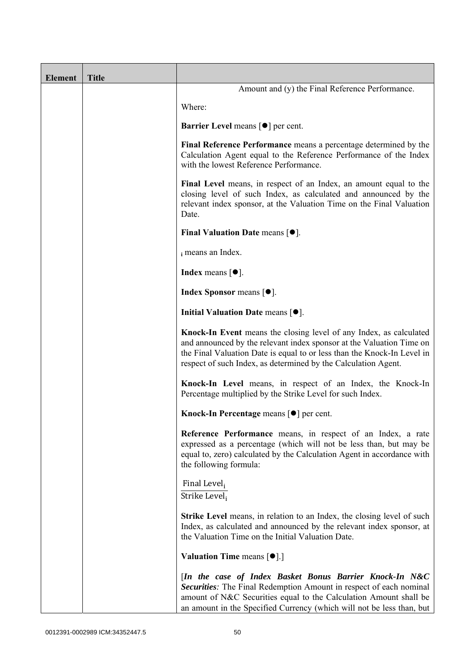| <b>Element</b> | <b>Title</b> |                                                                                                                                                                                                                                                                                         |
|----------------|--------------|-----------------------------------------------------------------------------------------------------------------------------------------------------------------------------------------------------------------------------------------------------------------------------------------|
|                |              | Amount and (y) the Final Reference Performance.                                                                                                                                                                                                                                         |
|                |              | Where:                                                                                                                                                                                                                                                                                  |
|                |              | <b>Barrier Level</b> means $\lceil \bullet \rceil$ per cent.                                                                                                                                                                                                                            |
|                |              | Final Reference Performance means a percentage determined by the<br>Calculation Agent equal to the Reference Performance of the Index<br>with the lowest Reference Performance.                                                                                                         |
|                |              | Final Level means, in respect of an Index, an amount equal to the<br>closing level of such Index, as calculated and announced by the<br>relevant index sponsor, at the Valuation Time on the Final Valuation<br>Date.                                                                   |
|                |              | Final Valuation Date means $[•]$ .                                                                                                                                                                                                                                                      |
|                |              | i means an Index.                                                                                                                                                                                                                                                                       |
|                |              | <b>Index</b> means $\lceil \bullet \rceil$ .                                                                                                                                                                                                                                            |
|                |              | <b>Index Sponsor</b> means $[•]$ .                                                                                                                                                                                                                                                      |
|                |              | Initial Valuation Date means $[•]$ .                                                                                                                                                                                                                                                    |
|                |              | Knock-In Event means the closing level of any Index, as calculated<br>and announced by the relevant index sponsor at the Valuation Time on<br>the Final Valuation Date is equal to or less than the Knock-In Level in<br>respect of such Index, as determined by the Calculation Agent. |
|                |              | Knock-In Level means, in respect of an Index, the Knock-In<br>Percentage multiplied by the Strike Level for such Index.                                                                                                                                                                 |
|                |              | Knock-In Percentage means [ <sup>●</sup> ] per cent.                                                                                                                                                                                                                                    |
|                |              | Reference Performance means, in respect of an Index, a rate<br>expressed as a percentage (which will not be less than, but may be<br>equal to, zero) calculated by the Calculation Agent in accordance with<br>the following formula:                                                   |
|                |              | Final Level <sub>i</sub><br>Strike Level <sub>i</sub>                                                                                                                                                                                                                                   |
|                |              | <b>Strike Level</b> means, in relation to an Index, the closing level of such<br>Index, as calculated and announced by the relevant index sponsor, at<br>the Valuation Time on the Initial Valuation Date.                                                                              |
|                |              | <b>Valuation Time means <math>\lceil \bullet \rceil</math>.</b>                                                                                                                                                                                                                         |
|                |              | [In the case of Index Basket Bonus Barrier Knock-In N&C<br>Securities: The Final Redemption Amount in respect of each nominal<br>amount of N&C Securities equal to the Calculation Amount shall be<br>an amount in the Specified Currency (which will not be less than, but             |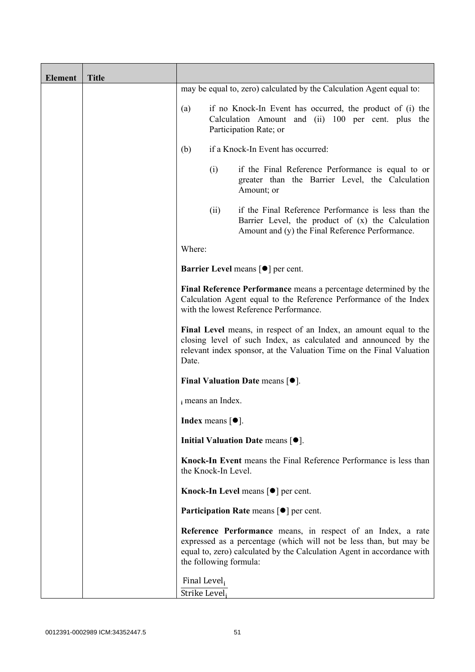| <b>Element</b> | <b>Title</b> |                               |                            |                                                                                                                                                                                                              |
|----------------|--------------|-------------------------------|----------------------------|--------------------------------------------------------------------------------------------------------------------------------------------------------------------------------------------------------------|
|                |              |                               |                            | may be equal to, zero) calculated by the Calculation Agent equal to:                                                                                                                                         |
|                |              | (a)                           |                            | if no Knock-In Event has occurred, the product of (i) the<br>Calculation Amount and (ii) 100 per cent. plus the<br>Participation Rate; or                                                                    |
|                |              | (b)                           |                            | if a Knock-In Event has occurred:                                                                                                                                                                            |
|                |              |                               | (i)                        | if the Final Reference Performance is equal to or<br>greater than the Barrier Level, the Calculation<br>Amount; or                                                                                           |
|                |              |                               | (ii)                       | if the Final Reference Performance is less than the<br>Barrier Level, the product of (x) the Calculation<br>Amount and (y) the Final Reference Performance.                                                  |
|                |              | Where:                        |                            |                                                                                                                                                                                                              |
|                |              |                               |                            | <b>Barrier Level</b> means $\lceil \bullet \rceil$ per cent.                                                                                                                                                 |
|                |              |                               |                            | Final Reference Performance means a percentage determined by the<br>Calculation Agent equal to the Reference Performance of the Index<br>with the lowest Reference Performance.                              |
|                |              | Date.                         |                            | Final Level means, in respect of an Index, an amount equal to the<br>closing level of such Index, as calculated and announced by the<br>relevant index sponsor, at the Valuation Time on the Final Valuation |
|                |              |                               |                            | Final Valuation Date means $[•]$ .                                                                                                                                                                           |
|                |              |                               | i means an Index.          |                                                                                                                                                                                                              |
|                |              |                               | <b>Index</b> means $[•]$ . |                                                                                                                                                                                                              |
|                |              |                               |                            | Initial Valuation Date means [ $\bullet$ ].                                                                                                                                                                  |
|                |              |                               | the Knock-In Level.        | <b>Knock-In Event</b> means the Final Reference Performance is less than                                                                                                                                     |
|                |              |                               |                            | Knock-In Level means $\lceil \bullet \rceil$ per cent.                                                                                                                                                       |
|                |              |                               |                            | <b>Participation Rate means <math>\lceil \bullet \rceil</math> per cent.</b>                                                                                                                                 |
|                |              |                               | the following formula:     | Reference Performance means, in respect of an Index, a rate<br>expressed as a percentage (which will not be less than, but may be<br>equal to, zero) calculated by the Calculation Agent in accordance with  |
|                |              | Final Level,<br>Strike Level; |                            |                                                                                                                                                                                                              |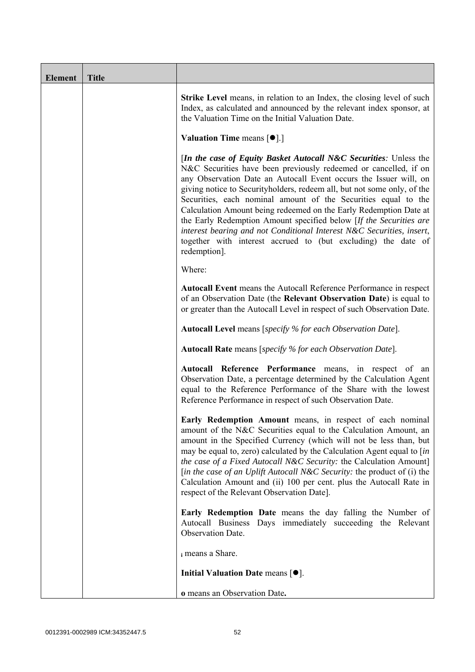| <b>Element</b> | <b>Title</b> |                                                                                                                                                                                                                                                                                                                                                                                                                                                                                                                                                                                                                                                              |
|----------------|--------------|--------------------------------------------------------------------------------------------------------------------------------------------------------------------------------------------------------------------------------------------------------------------------------------------------------------------------------------------------------------------------------------------------------------------------------------------------------------------------------------------------------------------------------------------------------------------------------------------------------------------------------------------------------------|
|                |              | Strike Level means, in relation to an Index, the closing level of such<br>Index, as calculated and announced by the relevant index sponsor, at<br>the Valuation Time on the Initial Valuation Date.                                                                                                                                                                                                                                                                                                                                                                                                                                                          |
|                |              | Valuation Time means [ $\bullet$ ].]                                                                                                                                                                                                                                                                                                                                                                                                                                                                                                                                                                                                                         |
|                |              | [In the case of Equity Basket Autocall N&C Securities: Unless the<br>N&C Securities have been previously redeemed or cancelled, if on<br>any Observation Date an Autocall Event occurs the Issuer will, on<br>giving notice to Securityholders, redeem all, but not some only, of the<br>Securities, each nominal amount of the Securities equal to the<br>Calculation Amount being redeemed on the Early Redemption Date at<br>the Early Redemption Amount specified below [If the Securities are<br>interest bearing and not Conditional Interest N&C Securities, insert,<br>together with interest accrued to (but excluding) the date of<br>redemption]. |
|                |              | Where:                                                                                                                                                                                                                                                                                                                                                                                                                                                                                                                                                                                                                                                       |
|                |              | Autocall Event means the Autocall Reference Performance in respect<br>of an Observation Date (the Relevant Observation Date) is equal to<br>or greater than the Autocall Level in respect of such Observation Date.                                                                                                                                                                                                                                                                                                                                                                                                                                          |
|                |              | <b>Autocall Level</b> means [specify % for each Observation Date].                                                                                                                                                                                                                                                                                                                                                                                                                                                                                                                                                                                           |
|                |              | <b>Autocall Rate</b> means [specify % for each Observation Date].                                                                                                                                                                                                                                                                                                                                                                                                                                                                                                                                                                                            |
|                |              | Autocall Reference Performance means, in respect of an<br>Observation Date, a percentage determined by the Calculation Agent<br>equal to the Reference Performance of the Share with the lowest<br>Reference Performance in respect of such Observation Date.                                                                                                                                                                                                                                                                                                                                                                                                |
|                |              | Early Redemption Amount means, in respect of each nominal<br>amount of the N&C Securities equal to the Calculation Amount, an<br>amount in the Specified Currency (which will not be less than, but<br>may be equal to, zero) calculated by the Calculation Agent equal to [in<br>the case of a Fixed Autocall N&C Security: the Calculation Amount]<br>[in the case of an Uplift Autocall N&C Security: the product of (i) the<br>Calculation Amount and (ii) 100 per cent. plus the Autocall Rate in<br>respect of the Relevant Observation Date].                                                                                                         |
|                |              | <b>Early Redemption Date</b> means the day falling the Number of<br>Autocall Business Days immediately succeeding the Relevant<br>Observation Date.                                                                                                                                                                                                                                                                                                                                                                                                                                                                                                          |
|                |              | i means a Share.                                                                                                                                                                                                                                                                                                                                                                                                                                                                                                                                                                                                                                             |
|                |              | Initial Valuation Date means $[•]$ .                                                                                                                                                                                                                                                                                                                                                                                                                                                                                                                                                                                                                         |
|                |              | o means an Observation Date.                                                                                                                                                                                                                                                                                                                                                                                                                                                                                                                                                                                                                                 |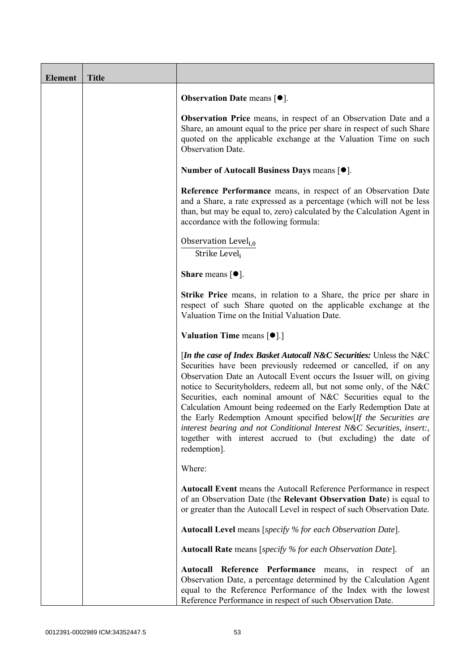| <b>Element</b> | <b>Title</b> |                                                                                                                                                                                                                                                                                                                                                                                                                                                                                                                                                                                                                                                                 |
|----------------|--------------|-----------------------------------------------------------------------------------------------------------------------------------------------------------------------------------------------------------------------------------------------------------------------------------------------------------------------------------------------------------------------------------------------------------------------------------------------------------------------------------------------------------------------------------------------------------------------------------------------------------------------------------------------------------------|
|                |              | <b>Observation Date means <math>\lceil \bullet \rceil</math>.</b>                                                                                                                                                                                                                                                                                                                                                                                                                                                                                                                                                                                               |
|                |              | Observation Price means, in respect of an Observation Date and a<br>Share, an amount equal to the price per share in respect of such Share<br>quoted on the applicable exchange at the Valuation Time on such<br><b>Observation Date.</b>                                                                                                                                                                                                                                                                                                                                                                                                                       |
|                |              | Number of Autocall Business Days means [●].                                                                                                                                                                                                                                                                                                                                                                                                                                                                                                                                                                                                                     |
|                |              | Reference Performance means, in respect of an Observation Date<br>and a Share, a rate expressed as a percentage (which will not be less<br>than, but may be equal to, zero) calculated by the Calculation Agent in<br>accordance with the following formula:                                                                                                                                                                                                                                                                                                                                                                                                    |
|                |              | Observation Level <sub>i.0</sub><br>Strike Level;                                                                                                                                                                                                                                                                                                                                                                                                                                                                                                                                                                                                               |
|                |              | <b>Share</b> means $[①]$ .                                                                                                                                                                                                                                                                                                                                                                                                                                                                                                                                                                                                                                      |
|                |              | <b>Strike Price</b> means, in relation to a Share, the price per share in<br>respect of such Share quoted on the applicable exchange at the<br>Valuation Time on the Initial Valuation Date.                                                                                                                                                                                                                                                                                                                                                                                                                                                                    |
|                |              | Valuation Time means [ $\bullet$ ].]                                                                                                                                                                                                                                                                                                                                                                                                                                                                                                                                                                                                                            |
|                |              | [In the case of Index Basket Autocall N&C Securities: Unless the N&C<br>Securities have been previously redeemed or cancelled, if on any<br>Observation Date an Autocall Event occurs the Issuer will, on giving<br>notice to Securityholders, redeem all, but not some only, of the N&C<br>Securities, each nominal amount of N&C Securities equal to the<br>Calculation Amount being redeemed on the Early Redemption Date at<br>the Early Redemption Amount specified below[If the Securities are<br>interest bearing and not Conditional Interest N&C Securities, insert:,<br>together with interest accrued to (but excluding) the date of<br>redemption]. |
|                |              | Where:                                                                                                                                                                                                                                                                                                                                                                                                                                                                                                                                                                                                                                                          |
|                |              | Autocall Event means the Autocall Reference Performance in respect<br>of an Observation Date (the Relevant Observation Date) is equal to<br>or greater than the Autocall Level in respect of such Observation Date.                                                                                                                                                                                                                                                                                                                                                                                                                                             |
|                |              | Autocall Level means [specify % for each Observation Date].                                                                                                                                                                                                                                                                                                                                                                                                                                                                                                                                                                                                     |
|                |              | <b>Autocall Rate</b> means [specify % for each Observation Date].                                                                                                                                                                                                                                                                                                                                                                                                                                                                                                                                                                                               |
|                |              | Autocall Reference Performance means, in respect of an<br>Observation Date, a percentage determined by the Calculation Agent<br>equal to the Reference Performance of the Index with the lowest<br>Reference Performance in respect of such Observation Date.                                                                                                                                                                                                                                                                                                                                                                                                   |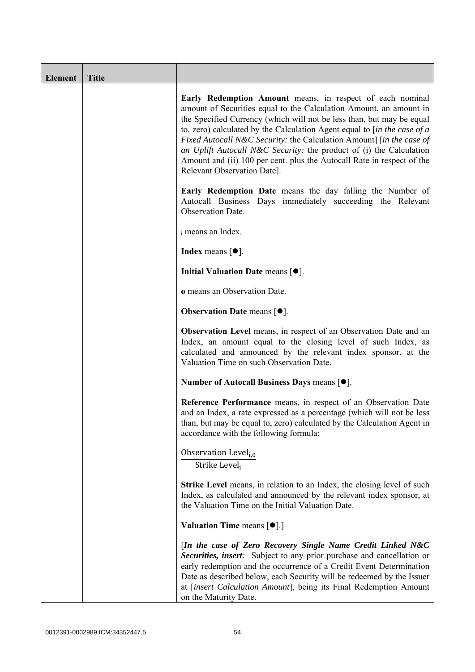| <b>Element</b> | <b>Title</b> |                                                                                                                                                                                                                                                                                                                                                                                                                                                                                                                                                           |
|----------------|--------------|-----------------------------------------------------------------------------------------------------------------------------------------------------------------------------------------------------------------------------------------------------------------------------------------------------------------------------------------------------------------------------------------------------------------------------------------------------------------------------------------------------------------------------------------------------------|
|                |              | Early Redemption Amount means, in respect of each nominal<br>amount of Securities equal to the Calculation Amount, an amount in<br>the Specified Currency (which will not be less than, but may be equal<br>to, zero) calculated by the Calculation Agent equal to $\int$ <i>in the case of a</i><br>Fixed Autocall N&C Security: the Calculation Amount] [in the case of<br>an Uplift Autocall N&C Security: the product of (i) the Calculation<br>Amount and (ii) 100 per cent. plus the Autocall Rate in respect of the<br>Relevant Observation Date]. |
|                |              | <b>Early Redemption Date</b> means the day falling the Number of<br>Autocall Business Days immediately succeeding the Relevant<br>Observation Date.                                                                                                                                                                                                                                                                                                                                                                                                       |
|                |              | i means an Index.                                                                                                                                                                                                                                                                                                                                                                                                                                                                                                                                         |
|                |              | <b>Index</b> means $\lceil \bullet \rceil$ .                                                                                                                                                                                                                                                                                                                                                                                                                                                                                                              |
|                |              | Initial Valuation Date means [ $\bullet$ ].                                                                                                                                                                                                                                                                                                                                                                                                                                                                                                               |
|                |              | o means an Observation Date.                                                                                                                                                                                                                                                                                                                                                                                                                                                                                                                              |
|                |              | <b>Observation Date means <math>\lceil \bullet \rceil</math>.</b>                                                                                                                                                                                                                                                                                                                                                                                                                                                                                         |
|                |              | Observation Level means, in respect of an Observation Date and an<br>Index, an amount equal to the closing level of such Index, as<br>calculated and announced by the relevant index sponsor, at the<br>Valuation Time on such Observation Date.                                                                                                                                                                                                                                                                                                          |
|                |              | Number of Autocall Business Days means [●].                                                                                                                                                                                                                                                                                                                                                                                                                                                                                                               |
|                |              | Reference Performance means, in respect of an Observation Date<br>and an Index, a rate expressed as a percentage (which will not be less<br>than, but may be equal to, zero) calculated by the Calculation Agent in<br>accordance with the following formula:                                                                                                                                                                                                                                                                                             |
|                |              | Observation Level <sub>i,0</sub><br>Strike Level <sub>i</sub>                                                                                                                                                                                                                                                                                                                                                                                                                                                                                             |
|                |              | Strike Level means, in relation to an Index, the closing level of such<br>Index, as calculated and announced by the relevant index sponsor, at<br>the Valuation Time on the Initial Valuation Date.                                                                                                                                                                                                                                                                                                                                                       |
|                |              | <b>Valuation Time means <math>\lceil \bullet \rceil</math>.</b>                                                                                                                                                                                                                                                                                                                                                                                                                                                                                           |
|                |              | [In the case of Zero Recovery Single Name Credit Linked N&C<br>Securities, insert: Subject to any prior purchase and cancellation or<br>early redemption and the occurrence of a Credit Event Determination<br>Date as described below, each Security will be redeemed by the Issuer<br>at [insert Calculation Amount], being its Final Redemption Amount<br>on the Maturity Date.                                                                                                                                                                        |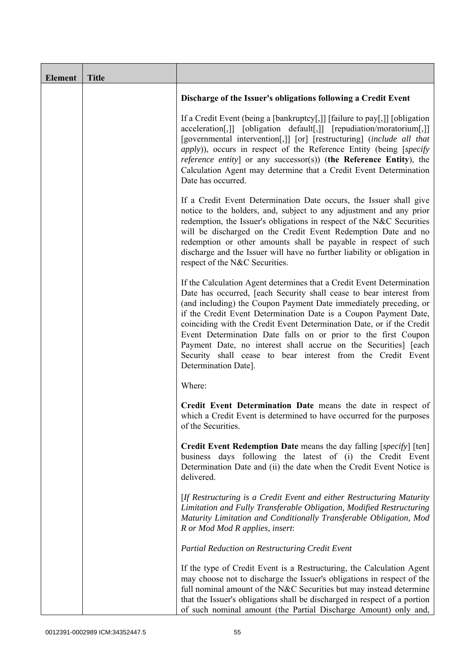| <b>Element</b> | <b>Title</b> |                                                                                                                                                                                                                                                                                                                                                                                                                                                                                                                                                                                            |
|----------------|--------------|--------------------------------------------------------------------------------------------------------------------------------------------------------------------------------------------------------------------------------------------------------------------------------------------------------------------------------------------------------------------------------------------------------------------------------------------------------------------------------------------------------------------------------------------------------------------------------------------|
|                |              | Discharge of the Issuer's obligations following a Credit Event                                                                                                                                                                                                                                                                                                                                                                                                                                                                                                                             |
|                |              | If a Credit Event (being a [bankruptcy[,]] [failure to pay[,]] [obligation<br>acceleration[,]] [obligation default[,]] [repudiation/moratorium[,]]<br>[governmental intervention[,]] [or] [restructuring] (include all that<br><i>apply</i> )), occurs in respect of the Reference Entity (being [specify]<br><i>reference entity</i> ] or any successor(s)) (the Reference Entity), the<br>Calculation Agent may determine that a Credit Event Determination<br>Date has occurred.                                                                                                        |
|                |              | If a Credit Event Determination Date occurs, the Issuer shall give<br>notice to the holders, and, subject to any adjustment and any prior<br>redemption, the Issuer's obligations in respect of the N&C Securities<br>will be discharged on the Credit Event Redemption Date and no<br>redemption or other amounts shall be payable in respect of such<br>discharge and the Issuer will have no further liability or obligation in<br>respect of the N&C Securities.                                                                                                                       |
|                |              | If the Calculation Agent determines that a Credit Event Determination<br>Date has occurred, [each Security shall cease to bear interest from<br>(and including) the Coupon Payment Date immediately preceding, or<br>if the Credit Event Determination Date is a Coupon Payment Date,<br>coinciding with the Credit Event Determination Date, or if the Credit<br>Event Determination Date falls on or prior to the first Coupon<br>Payment Date, no interest shall accrue on the Securities] [each<br>Security shall cease to bear interest from the Credit Event<br>Determination Date]. |
|                |              | Where:                                                                                                                                                                                                                                                                                                                                                                                                                                                                                                                                                                                     |
|                |              | Credit Event Determination Date means the date in respect of<br>which a Credit Event is determined to have occurred for the purposes<br>of the Securities.                                                                                                                                                                                                                                                                                                                                                                                                                                 |
|                |              | <b>Credit Event Redemption Date</b> means the day falling [specify] [ten]<br>business days following the latest of (i) the Credit Event<br>Determination Date and (ii) the date when the Credit Event Notice is<br>delivered.                                                                                                                                                                                                                                                                                                                                                              |
|                |              | [If Restructuring is a Credit Event and either Restructuring Maturity<br>Limitation and Fully Transferable Obligation, Modified Restructuring<br>Maturity Limitation and Conditionally Transferable Obligation, Mod<br>R or Mod Mod R applies, insert:                                                                                                                                                                                                                                                                                                                                     |
|                |              | Partial Reduction on Restructuring Credit Event                                                                                                                                                                                                                                                                                                                                                                                                                                                                                                                                            |
|                |              | If the type of Credit Event is a Restructuring, the Calculation Agent<br>may choose not to discharge the Issuer's obligations in respect of the<br>full nominal amount of the N&C Securities but may instead determine<br>that the Issuer's obligations shall be discharged in respect of a portion<br>of such nominal amount (the Partial Discharge Amount) only and,                                                                                                                                                                                                                     |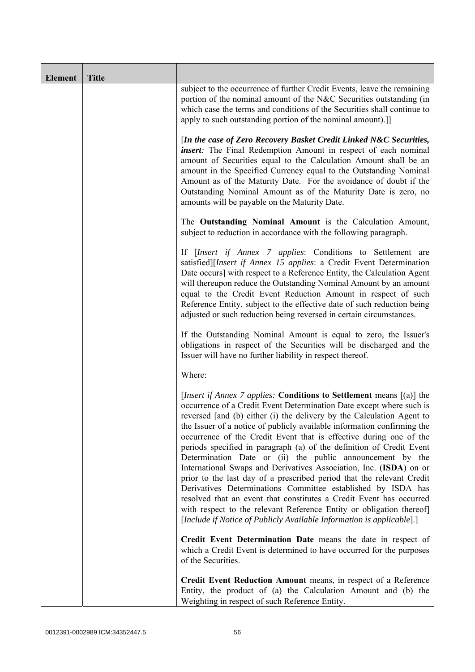| <b>Element</b> | <b>Title</b> |                                                                                                                                                                                                                                                                                                                                                                                                                                                                                                                                                                                                                                                                                                                                                                                                                                                                                                                                                    |
|----------------|--------------|----------------------------------------------------------------------------------------------------------------------------------------------------------------------------------------------------------------------------------------------------------------------------------------------------------------------------------------------------------------------------------------------------------------------------------------------------------------------------------------------------------------------------------------------------------------------------------------------------------------------------------------------------------------------------------------------------------------------------------------------------------------------------------------------------------------------------------------------------------------------------------------------------------------------------------------------------|
|                |              | subject to the occurrence of further Credit Events, leave the remaining<br>portion of the nominal amount of the N&C Securities outstanding (in<br>which case the terms and conditions of the Securities shall continue to<br>apply to such outstanding portion of the nominal amount).]                                                                                                                                                                                                                                                                                                                                                                                                                                                                                                                                                                                                                                                            |
|                |              | [In the case of Zero Recovery Basket Credit Linked N&C Securities,<br><i>insert</i> : The Final Redemption Amount in respect of each nominal<br>amount of Securities equal to the Calculation Amount shall be an<br>amount in the Specified Currency equal to the Outstanding Nominal<br>Amount as of the Maturity Date. For the avoidance of doubt if the<br>Outstanding Nominal Amount as of the Maturity Date is zero, no<br>amounts will be payable on the Maturity Date.                                                                                                                                                                                                                                                                                                                                                                                                                                                                      |
|                |              | The Outstanding Nominal Amount is the Calculation Amount,<br>subject to reduction in accordance with the following paragraph.                                                                                                                                                                                                                                                                                                                                                                                                                                                                                                                                                                                                                                                                                                                                                                                                                      |
|                |              | If [Insert if Annex 7 applies: Conditions to Settlement are<br>satisfied][Insert if Annex 15 applies: a Credit Event Determination<br>Date occurs] with respect to a Reference Entity, the Calculation Agent<br>will thereupon reduce the Outstanding Nominal Amount by an amount<br>equal to the Credit Event Reduction Amount in respect of such<br>Reference Entity, subject to the effective date of such reduction being<br>adjusted or such reduction being reversed in certain circumstances.                                                                                                                                                                                                                                                                                                                                                                                                                                               |
|                |              | If the Outstanding Nominal Amount is equal to zero, the Issuer's<br>obligations in respect of the Securities will be discharged and the<br>Issuer will have no further liability in respect thereof.                                                                                                                                                                                                                                                                                                                                                                                                                                                                                                                                                                                                                                                                                                                                               |
|                |              | Where:                                                                                                                                                                                                                                                                                                                                                                                                                                                                                                                                                                                                                                                                                                                                                                                                                                                                                                                                             |
|                |              | [Insert if Annex 7 applies: Conditions to Settlement means [(a)] the<br>occurrence of a Credit Event Determination Date except where such is<br>reversed [and (b) either (i) the delivery by the Calculation Agent to<br>the Issuer of a notice of publicly available information confirming the<br>occurrence of the Credit Event that is effective during one of the<br>periods specified in paragraph (a) of the definition of Credit Event<br>Determination Date or (ii) the public announcement by the<br>International Swaps and Derivatives Association, Inc. (ISDA) on or<br>prior to the last day of a prescribed period that the relevant Credit<br>Derivatives Determinations Committee established by ISDA has<br>resolved that an event that constitutes a Credit Event has occurred<br>with respect to the relevant Reference Entity or obligation thereof]<br>[Include if Notice of Publicly Available Information is applicable].] |
|                |              | Credit Event Determination Date means the date in respect of<br>which a Credit Event is determined to have occurred for the purposes<br>of the Securities.                                                                                                                                                                                                                                                                                                                                                                                                                                                                                                                                                                                                                                                                                                                                                                                         |
|                |              | Credit Event Reduction Amount means, in respect of a Reference<br>Entity, the product of (a) the Calculation Amount and (b) the<br>Weighting in respect of such Reference Entity.                                                                                                                                                                                                                                                                                                                                                                                                                                                                                                                                                                                                                                                                                                                                                                  |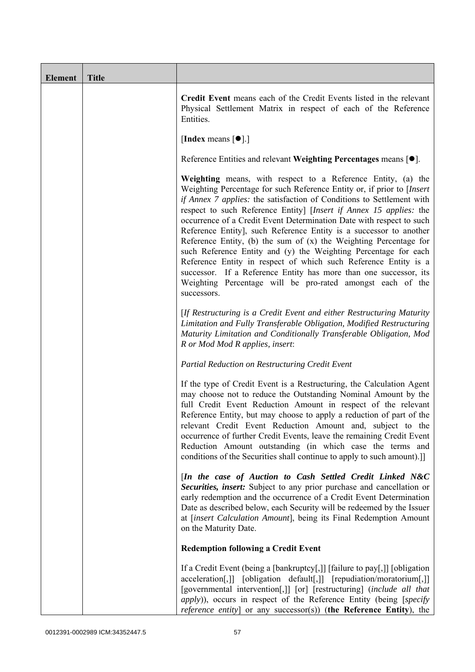| Element | <b>Title</b> |                                                                                                                                                                                                                                                                                                                                                                                                                                                                                                                                                                                                                                                                                                                                                                                                     |
|---------|--------------|-----------------------------------------------------------------------------------------------------------------------------------------------------------------------------------------------------------------------------------------------------------------------------------------------------------------------------------------------------------------------------------------------------------------------------------------------------------------------------------------------------------------------------------------------------------------------------------------------------------------------------------------------------------------------------------------------------------------------------------------------------------------------------------------------------|
|         |              | Credit Event means each of the Credit Events listed in the relevant<br>Physical Settlement Matrix in respect of each of the Reference<br>Entities.                                                                                                                                                                                                                                                                                                                                                                                                                                                                                                                                                                                                                                                  |
|         |              | [Index means $[\bullet]$ .]                                                                                                                                                                                                                                                                                                                                                                                                                                                                                                                                                                                                                                                                                                                                                                         |
|         |              | Reference Entities and relevant Weighting Percentages means $[•]$ .                                                                                                                                                                                                                                                                                                                                                                                                                                                                                                                                                                                                                                                                                                                                 |
|         |              | Weighting means, with respect to a Reference Entity, (a) the<br>Weighting Percentage for such Reference Entity or, if prior to [Insert]<br>if Annex 7 applies: the satisfaction of Conditions to Settlement with<br>respect to such Reference Entity] [Insert if Annex 15 applies: the<br>occurrence of a Credit Event Determination Date with respect to such<br>Reference Entity], such Reference Entity is a successor to another<br>Reference Entity, (b) the sum of $(x)$ the Weighting Percentage for<br>such Reference Entity and (y) the Weighting Percentage for each<br>Reference Entity in respect of which such Reference Entity is a<br>successor. If a Reference Entity has more than one successor, its<br>Weighting Percentage will be pro-rated amongst each of the<br>successors. |
|         |              | [If Restructuring is a Credit Event and either Restructuring Maturity<br>Limitation and Fully Transferable Obligation, Modified Restructuring<br>Maturity Limitation and Conditionally Transferable Obligation, Mod<br>R or Mod Mod R applies, insert:                                                                                                                                                                                                                                                                                                                                                                                                                                                                                                                                              |
|         |              | Partial Reduction on Restructuring Credit Event                                                                                                                                                                                                                                                                                                                                                                                                                                                                                                                                                                                                                                                                                                                                                     |
|         |              | If the type of Credit Event is a Restructuring, the Calculation Agent<br>may choose not to reduce the Outstanding Nominal Amount by the<br>full Credit Event Reduction Amount in respect of the relevant<br>Reference Entity, but may choose to apply a reduction of part of the<br>relevant Credit Event Reduction Amount and, subject to the<br>occurrence of further Credit Events, leave the remaining Credit Event<br>Reduction Amount outstanding (in which case the terms and<br>conditions of the Securities shall continue to apply to such amount).]                                                                                                                                                                                                                                      |
|         |              | [In the case of Auction to Cash Settled Credit Linked N&C<br>Securities, insert: Subject to any prior purchase and cancellation or<br>early redemption and the occurrence of a Credit Event Determination<br>Date as described below, each Security will be redeemed by the Issuer<br>at [insert Calculation Amount], being its Final Redemption Amount<br>on the Maturity Date.                                                                                                                                                                                                                                                                                                                                                                                                                    |
|         |              | <b>Redemption following a Credit Event</b>                                                                                                                                                                                                                                                                                                                                                                                                                                                                                                                                                                                                                                                                                                                                                          |
|         |              | If a Credit Event (being a [bankruptcy[,]] [failure to pay[,]] [obligation<br>acceleration[,]] [obligation default[,]] [repudiation/moratorium[,]]<br>[governmental intervention[,]] [or] [restructuring] (include all that<br><i>apply</i> )), occurs in respect of the Reference Entity (being [specify<br>reference entity] or any successor(s)) (the Reference Entity), the                                                                                                                                                                                                                                                                                                                                                                                                                     |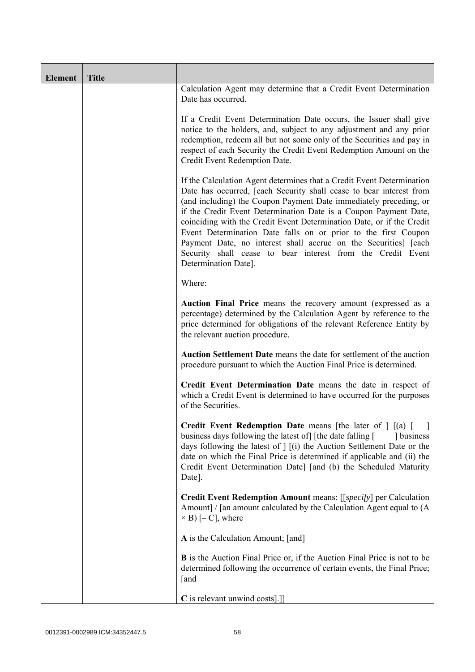| <b>Element</b> | <b>Title</b> |                                                                                                                                                                                                                                                                                                                                                                                                                                                                                                                                                                                            |
|----------------|--------------|--------------------------------------------------------------------------------------------------------------------------------------------------------------------------------------------------------------------------------------------------------------------------------------------------------------------------------------------------------------------------------------------------------------------------------------------------------------------------------------------------------------------------------------------------------------------------------------------|
|                |              | Calculation Agent may determine that a Credit Event Determination<br>Date has occurred.                                                                                                                                                                                                                                                                                                                                                                                                                                                                                                    |
|                |              | If a Credit Event Determination Date occurs, the Issuer shall give<br>notice to the holders, and, subject to any adjustment and any prior<br>redemption, redeem all but not some only of the Securities and pay in<br>respect of each Security the Credit Event Redemption Amount on the<br>Credit Event Redemption Date.                                                                                                                                                                                                                                                                  |
|                |              | If the Calculation Agent determines that a Credit Event Determination<br>Date has occurred, [each Security shall cease to bear interest from<br>(and including) the Coupon Payment Date immediately preceding, or<br>if the Credit Event Determination Date is a Coupon Payment Date,<br>coinciding with the Credit Event Determination Date, or if the Credit<br>Event Determination Date falls on or prior to the first Coupon<br>Payment Date, no interest shall accrue on the Securities] [each<br>Security shall cease to bear interest from the Credit Event<br>Determination Date]. |
|                |              | Where:                                                                                                                                                                                                                                                                                                                                                                                                                                                                                                                                                                                     |
|                |              | Auction Final Price means the recovery amount (expressed as a<br>percentage) determined by the Calculation Agent by reference to the<br>price determined for obligations of the relevant Reference Entity by<br>the relevant auction procedure.                                                                                                                                                                                                                                                                                                                                            |
|                |              | Auction Settlement Date means the date for settlement of the auction<br>procedure pursuant to which the Auction Final Price is determined.                                                                                                                                                                                                                                                                                                                                                                                                                                                 |
|                |              | Credit Event Determination Date means the date in respect of<br>which a Credit Event is determined to have occurred for the purposes<br>of the Securities.                                                                                                                                                                                                                                                                                                                                                                                                                                 |
|                |              | <b>Credit Event Redemption Date</b> means [the later of $\int$ [(a) [<br>business days following the latest of [the date falling [<br>dollar business<br>days following the latest of $\vert$ $\vert$ (i) the Auction Settlement Date or the<br>date on which the Final Price is determined if applicable and (ii) the<br>Credit Event Determination Date] [and (b) the Scheduled Maturity<br>Date].                                                                                                                                                                                       |
|                |              | <b>Credit Event Redemption Amount</b> means: [[ <i>specify</i> ] per Calculation<br>Amount] / [an amount calculated by the Calculation Agent equal to (A<br>$\times$ B) [- C], where                                                                                                                                                                                                                                                                                                                                                                                                       |
|                |              | A is the Calculation Amount; [and]                                                                                                                                                                                                                                                                                                                                                                                                                                                                                                                                                         |
|                |              | <b>B</b> is the Auction Final Price or, if the Auction Final Price is not to be<br>determined following the occurrence of certain events, the Final Price;<br>[and                                                                                                                                                                                                                                                                                                                                                                                                                         |
|                |              | C is relevant unwind costs].]]                                                                                                                                                                                                                                                                                                                                                                                                                                                                                                                                                             |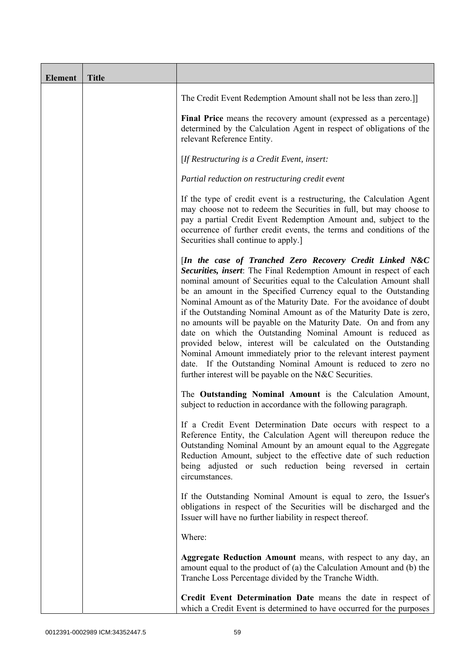| <b>Element</b> | <b>Title</b> |                                                                                                                                                                                                                                                                                                                                                                                                                                                                                                                                                                                                                                                                                                                                                                                                                          |
|----------------|--------------|--------------------------------------------------------------------------------------------------------------------------------------------------------------------------------------------------------------------------------------------------------------------------------------------------------------------------------------------------------------------------------------------------------------------------------------------------------------------------------------------------------------------------------------------------------------------------------------------------------------------------------------------------------------------------------------------------------------------------------------------------------------------------------------------------------------------------|
|                |              | The Credit Event Redemption Amount shall not be less than zero.]                                                                                                                                                                                                                                                                                                                                                                                                                                                                                                                                                                                                                                                                                                                                                         |
|                |              | Final Price means the recovery amount (expressed as a percentage)<br>determined by the Calculation Agent in respect of obligations of the<br>relevant Reference Entity.                                                                                                                                                                                                                                                                                                                                                                                                                                                                                                                                                                                                                                                  |
|                |              | [If Restructuring is a Credit Event, insert:                                                                                                                                                                                                                                                                                                                                                                                                                                                                                                                                                                                                                                                                                                                                                                             |
|                |              | Partial reduction on restructuring credit event                                                                                                                                                                                                                                                                                                                                                                                                                                                                                                                                                                                                                                                                                                                                                                          |
|                |              | If the type of credit event is a restructuring, the Calculation Agent<br>may choose not to redeem the Securities in full, but may choose to<br>pay a partial Credit Event Redemption Amount and, subject to the<br>occurrence of further credit events, the terms and conditions of the<br>Securities shall continue to apply.]                                                                                                                                                                                                                                                                                                                                                                                                                                                                                          |
|                |              | [In the case of Tranched Zero Recovery Credit Linked N&C<br>Securities, insert: The Final Redemption Amount in respect of each<br>nominal amount of Securities equal to the Calculation Amount shall<br>be an amount in the Specified Currency equal to the Outstanding<br>Nominal Amount as of the Maturity Date. For the avoidance of doubt<br>if the Outstanding Nominal Amount as of the Maturity Date is zero,<br>no amounts will be payable on the Maturity Date. On and from any<br>date on which the Outstanding Nominal Amount is reduced as<br>provided below, interest will be calculated on the Outstanding<br>Nominal Amount immediately prior to the relevant interest payment<br>date. If the Outstanding Nominal Amount is reduced to zero no<br>further interest will be payable on the N&C Securities. |
|                |              | The Outstanding Nominal Amount is the Calculation Amount,<br>subject to reduction in accordance with the following paragraph.                                                                                                                                                                                                                                                                                                                                                                                                                                                                                                                                                                                                                                                                                            |
|                |              | If a Credit Event Determination Date occurs with respect to a<br>Reference Entity, the Calculation Agent will thereupon reduce the<br>Outstanding Nominal Amount by an amount equal to the Aggregate<br>Reduction Amount, subject to the effective date of such reduction<br>being adjusted or such reduction being reversed in certain<br>circumstances.                                                                                                                                                                                                                                                                                                                                                                                                                                                                |
|                |              | If the Outstanding Nominal Amount is equal to zero, the Issuer's<br>obligations in respect of the Securities will be discharged and the<br>Issuer will have no further liability in respect thereof.                                                                                                                                                                                                                                                                                                                                                                                                                                                                                                                                                                                                                     |
|                |              | Where:                                                                                                                                                                                                                                                                                                                                                                                                                                                                                                                                                                                                                                                                                                                                                                                                                   |
|                |              | Aggregate Reduction Amount means, with respect to any day, an<br>amount equal to the product of (a) the Calculation Amount and (b) the<br>Tranche Loss Percentage divided by the Tranche Width.                                                                                                                                                                                                                                                                                                                                                                                                                                                                                                                                                                                                                          |
|                |              | Credit Event Determination Date means the date in respect of<br>which a Credit Event is determined to have occurred for the purposes                                                                                                                                                                                                                                                                                                                                                                                                                                                                                                                                                                                                                                                                                     |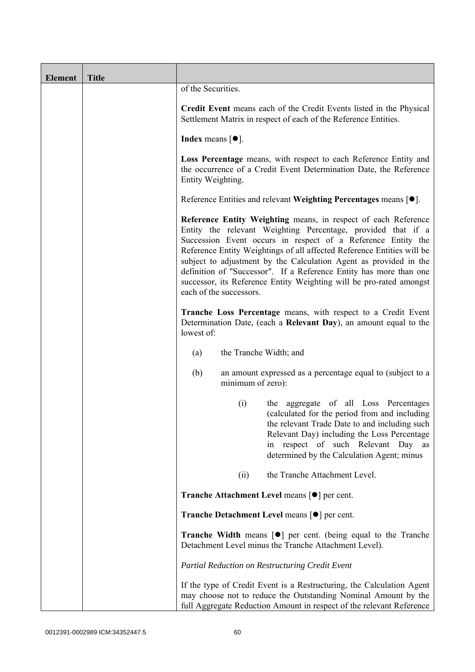| <b>Element</b> | <b>Title</b> |                                                                                                                                                                                                                                                                                                                                                                                                                                                                                                                       |
|----------------|--------------|-----------------------------------------------------------------------------------------------------------------------------------------------------------------------------------------------------------------------------------------------------------------------------------------------------------------------------------------------------------------------------------------------------------------------------------------------------------------------------------------------------------------------|
|                |              | of the Securities.                                                                                                                                                                                                                                                                                                                                                                                                                                                                                                    |
|                |              | Credit Event means each of the Credit Events listed in the Physical<br>Settlement Matrix in respect of each of the Reference Entities.                                                                                                                                                                                                                                                                                                                                                                                |
|                |              | <b>Index</b> means $[•]$ .                                                                                                                                                                                                                                                                                                                                                                                                                                                                                            |
|                |              | Loss Percentage means, with respect to each Reference Entity and<br>the occurrence of a Credit Event Determination Date, the Reference<br>Entity Weighting.                                                                                                                                                                                                                                                                                                                                                           |
|                |              | Reference Entities and relevant Weighting Percentages means [●].                                                                                                                                                                                                                                                                                                                                                                                                                                                      |
|                |              | Reference Entity Weighting means, in respect of each Reference<br>Entity the relevant Weighting Percentage, provided that if a<br>Succession Event occurs in respect of a Reference Entity the<br>Reference Entity Weightings of all affected Reference Entities will be<br>subject to adjustment by the Calculation Agent as provided in the<br>definition of "Successor". If a Reference Entity has more than one<br>successor, its Reference Entity Weighting will be pro-rated amongst<br>each of the successors. |
|                |              | Tranche Loss Percentage means, with respect to a Credit Event<br>Determination Date, (each a Relevant Day), an amount equal to the<br>lowest of:                                                                                                                                                                                                                                                                                                                                                                      |
|                |              | the Tranche Width; and<br>(a)                                                                                                                                                                                                                                                                                                                                                                                                                                                                                         |
|                |              | (b)<br>an amount expressed as a percentage equal to (subject to a<br>minimum of zero):                                                                                                                                                                                                                                                                                                                                                                                                                                |
|                |              | the aggregate of all Loss Percentages<br>(i)<br>(calculated for the period from and including<br>the relevant Trade Date to and including such<br>Relevant Day) including the Loss Percentage<br>respect of such Relevant Day as<br>in<br>determined by the Calculation Agent; minus                                                                                                                                                                                                                                  |
|                |              | the Tranche Attachment Level.<br>(ii)                                                                                                                                                                                                                                                                                                                                                                                                                                                                                 |
|                |              | <b>Tranche Attachment Level means <math>\lceil \bullet \rceil</math> per cent.</b>                                                                                                                                                                                                                                                                                                                                                                                                                                    |
|                |              | <b>Tranche Detachment Level means [●] per cent.</b>                                                                                                                                                                                                                                                                                                                                                                                                                                                                   |
|                |              | <b>Tranche Width</b> means $\lceil \bullet \rceil$ per cent. (being equal to the Tranche<br>Detachment Level minus the Tranche Attachment Level).                                                                                                                                                                                                                                                                                                                                                                     |
|                |              | Partial Reduction on Restructuring Credit Event                                                                                                                                                                                                                                                                                                                                                                                                                                                                       |
|                |              | If the type of Credit Event is a Restructuring, the Calculation Agent<br>may choose not to reduce the Outstanding Nominal Amount by the<br>full Aggregate Reduction Amount in respect of the relevant Reference                                                                                                                                                                                                                                                                                                       |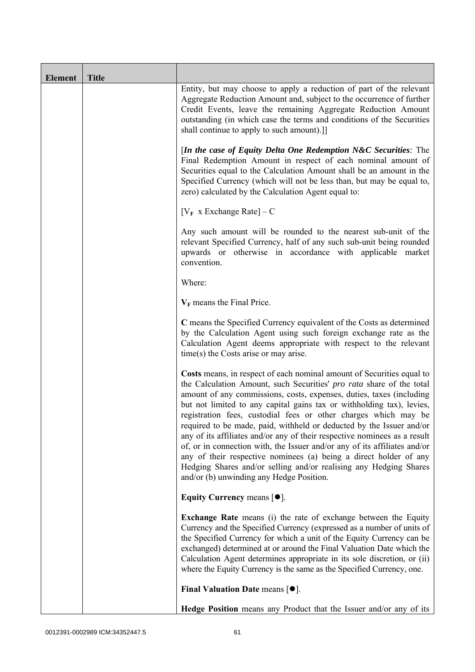| <b>Element</b> | <b>Title</b> |                                                                                                                                                                                                                                                                                                                                                                                                                                                                                                                                                                                                                                                                                                                                                                                           |
|----------------|--------------|-------------------------------------------------------------------------------------------------------------------------------------------------------------------------------------------------------------------------------------------------------------------------------------------------------------------------------------------------------------------------------------------------------------------------------------------------------------------------------------------------------------------------------------------------------------------------------------------------------------------------------------------------------------------------------------------------------------------------------------------------------------------------------------------|
|                |              | Entity, but may choose to apply a reduction of part of the relevant<br>Aggregate Reduction Amount and, subject to the occurrence of further<br>Credit Events, leave the remaining Aggregate Reduction Amount<br>outstanding (in which case the terms and conditions of the Securities<br>shall continue to apply to such amount).]                                                                                                                                                                                                                                                                                                                                                                                                                                                        |
|                |              | [In the case of Equity Delta One Redemption N&C Securities: The<br>Final Redemption Amount in respect of each nominal amount of<br>Securities equal to the Calculation Amount shall be an amount in the<br>Specified Currency (which will not be less than, but may be equal to,<br>zero) calculated by the Calculation Agent equal to:                                                                                                                                                                                                                                                                                                                                                                                                                                                   |
|                |              | $[V_F \times Exchange Rate] - C$                                                                                                                                                                                                                                                                                                                                                                                                                                                                                                                                                                                                                                                                                                                                                          |
|                |              | Any such amount will be rounded to the nearest sub-unit of the<br>relevant Specified Currency, half of any such sub-unit being rounded<br>upwards or otherwise in accordance with applicable market<br>convention.                                                                                                                                                                                                                                                                                                                                                                                                                                                                                                                                                                        |
|                |              | Where:                                                                                                                                                                                                                                                                                                                                                                                                                                                                                                                                                                                                                                                                                                                                                                                    |
|                |              | $V_F$ means the Final Price.                                                                                                                                                                                                                                                                                                                                                                                                                                                                                                                                                                                                                                                                                                                                                              |
|                |              | C means the Specified Currency equivalent of the Costs as determined<br>by the Calculation Agent using such foreign exchange rate as the<br>Calculation Agent deems appropriate with respect to the relevant<br>time(s) the Costs arise or may arise.                                                                                                                                                                                                                                                                                                                                                                                                                                                                                                                                     |
|                |              | Costs means, in respect of each nominal amount of Securities equal to<br>the Calculation Amount, such Securities' pro rata share of the total<br>amount of any commissions, costs, expenses, duties, taxes (including<br>but not limited to any capital gains tax or withholding tax), levies,<br>registration fees, custodial fees or other charges which may be<br>required to be made, paid, withheld or deducted by the Issuer and/or<br>any of its affiliates and/or any of their respective nominees as a result<br>of, or in connection with, the Issuer and/or any of its affiliates and/or<br>any of their respective nominees (a) being a direct holder of any<br>Hedging Shares and/or selling and/or realising any Hedging Shares<br>and/or (b) unwinding any Hedge Position. |
|                |              | Equity Currency means $[\bullet].$                                                                                                                                                                                                                                                                                                                                                                                                                                                                                                                                                                                                                                                                                                                                                        |
|                |              | <b>Exchange Rate</b> means (i) the rate of exchange between the Equity<br>Currency and the Specified Currency (expressed as a number of units of<br>the Specified Currency for which a unit of the Equity Currency can be<br>exchanged) determined at or around the Final Valuation Date which the<br>Calculation Agent determines appropriate in its sole discretion, or (ii)<br>where the Equity Currency is the same as the Specified Currency, one.                                                                                                                                                                                                                                                                                                                                   |
|                |              | Final Valuation Date means $[•]$ .                                                                                                                                                                                                                                                                                                                                                                                                                                                                                                                                                                                                                                                                                                                                                        |
|                |              | Hedge Position means any Product that the Issuer and/or any of its                                                                                                                                                                                                                                                                                                                                                                                                                                                                                                                                                                                                                                                                                                                        |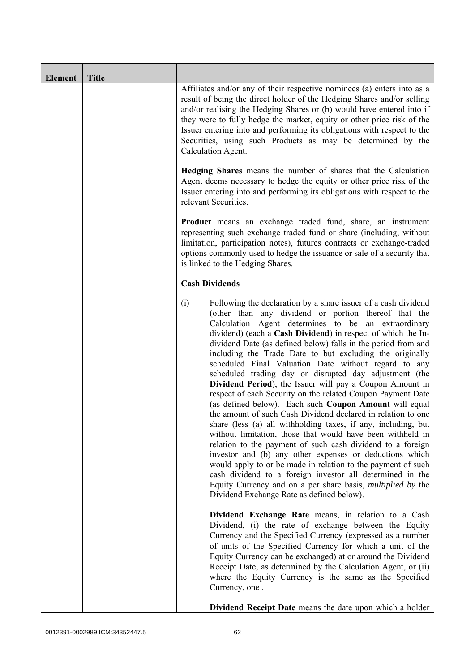| <b>Element</b> | <b>Title</b> |                                                                                                                                                                                                                                                                                                                                                                                                                                                                                                                                                                                                                                                                                                                                                                                                                                                                                                                                                                                                                                                                                                                                                                                                                                                                  |
|----------------|--------------|------------------------------------------------------------------------------------------------------------------------------------------------------------------------------------------------------------------------------------------------------------------------------------------------------------------------------------------------------------------------------------------------------------------------------------------------------------------------------------------------------------------------------------------------------------------------------------------------------------------------------------------------------------------------------------------------------------------------------------------------------------------------------------------------------------------------------------------------------------------------------------------------------------------------------------------------------------------------------------------------------------------------------------------------------------------------------------------------------------------------------------------------------------------------------------------------------------------------------------------------------------------|
|                |              | Affiliates and/or any of their respective nominees (a) enters into as a<br>result of being the direct holder of the Hedging Shares and/or selling<br>and/or realising the Hedging Shares or (b) would have entered into if<br>they were to fully hedge the market, equity or other price risk of the<br>Issuer entering into and performing its obligations with respect to the<br>Securities, using such Products as may be determined by the<br>Calculation Agent.                                                                                                                                                                                                                                                                                                                                                                                                                                                                                                                                                                                                                                                                                                                                                                                             |
|                |              | <b>Hedging Shares</b> means the number of shares that the Calculation<br>Agent deems necessary to hedge the equity or other price risk of the<br>Issuer entering into and performing its obligations with respect to the<br>relevant Securities.                                                                                                                                                                                                                                                                                                                                                                                                                                                                                                                                                                                                                                                                                                                                                                                                                                                                                                                                                                                                                 |
|                |              | <b>Product</b> means an exchange traded fund, share, an instrument<br>representing such exchange traded fund or share (including, without<br>limitation, participation notes), futures contracts or exchange-traded<br>options commonly used to hedge the issuance or sale of a security that<br>is linked to the Hedging Shares.                                                                                                                                                                                                                                                                                                                                                                                                                                                                                                                                                                                                                                                                                                                                                                                                                                                                                                                                |
|                |              | <b>Cash Dividends</b>                                                                                                                                                                                                                                                                                                                                                                                                                                                                                                                                                                                                                                                                                                                                                                                                                                                                                                                                                                                                                                                                                                                                                                                                                                            |
|                |              | (i)<br>Following the declaration by a share issuer of a cash dividend<br>(other than any dividend or portion thereof that the<br>Calculation Agent determines to be an extraordinary<br>dividend) (each a Cash Dividend) in respect of which the In-<br>dividend Date (as defined below) falls in the period from and<br>including the Trade Date to but excluding the originally<br>scheduled Final Valuation Date without regard to any<br>scheduled trading day or disrupted day adjustment (the<br>Dividend Period), the Issuer will pay a Coupon Amount in<br>respect of each Security on the related Coupon Payment Date<br>(as defined below). Each such Coupon Amount will equal<br>the amount of such Cash Dividend declared in relation to one<br>share (less (a) all withholding taxes, if any, including, but<br>without limitation, those that would have been withheld in<br>relation to the payment of such cash dividend to a foreign<br>investor and (b) any other expenses or deductions which<br>would apply to or be made in relation to the payment of such<br>cash dividend to a foreign investor all determined in the<br>Equity Currency and on a per share basis, <i>multiplied by</i> the<br>Dividend Exchange Rate as defined below). |
|                |              | Dividend Exchange Rate means, in relation to a Cash<br>Dividend, (i) the rate of exchange between the Equity<br>Currency and the Specified Currency (expressed as a number<br>of units of the Specified Currency for which a unit of the<br>Equity Currency can be exchanged) at or around the Dividend<br>Receipt Date, as determined by the Calculation Agent, or (ii)<br>where the Equity Currency is the same as the Specified<br>Currency, one.                                                                                                                                                                                                                                                                                                                                                                                                                                                                                                                                                                                                                                                                                                                                                                                                             |
|                |              | <b>Dividend Receipt Date</b> means the date upon which a holder                                                                                                                                                                                                                                                                                                                                                                                                                                                                                                                                                                                                                                                                                                                                                                                                                                                                                                                                                                                                                                                                                                                                                                                                  |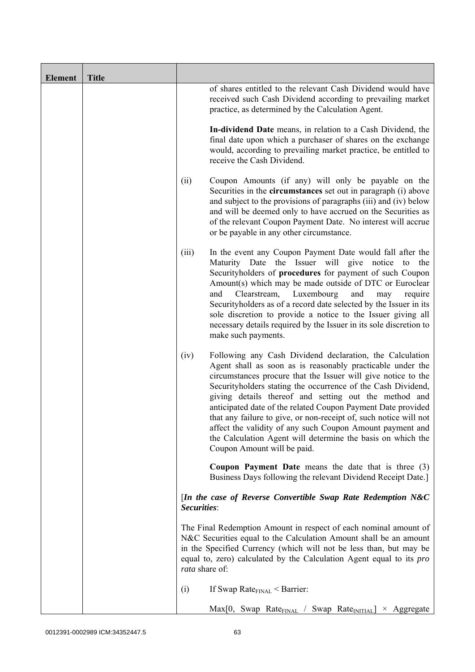| <b>Element</b> | <b>Title</b> |                |                                                                                                                                                                                                                                                                                                                                                                                                                                                                                                                                                                                                                   |
|----------------|--------------|----------------|-------------------------------------------------------------------------------------------------------------------------------------------------------------------------------------------------------------------------------------------------------------------------------------------------------------------------------------------------------------------------------------------------------------------------------------------------------------------------------------------------------------------------------------------------------------------------------------------------------------------|
|                |              |                | of shares entitled to the relevant Cash Dividend would have<br>received such Cash Dividend according to prevailing market<br>practice, as determined by the Calculation Agent.                                                                                                                                                                                                                                                                                                                                                                                                                                    |
|                |              |                | In-dividend Date means, in relation to a Cash Dividend, the<br>final date upon which a purchaser of shares on the exchange<br>would, according to prevailing market practice, be entitled to<br>receive the Cash Dividend.                                                                                                                                                                                                                                                                                                                                                                                        |
|                |              | (ii)           | Coupon Amounts (if any) will only be payable on the<br>Securities in the <b>circumstances</b> set out in paragraph (i) above<br>and subject to the provisions of paragraphs (iii) and (iv) below<br>and will be deemed only to have accrued on the Securities as<br>of the relevant Coupon Payment Date. No interest will accrue<br>or be payable in any other circumstance.                                                                                                                                                                                                                                      |
|                |              | (iii)          | In the event any Coupon Payment Date would fall after the<br>Maturity Date the Issuer will give notice to<br>the<br>Securityholders of procedures for payment of such Coupon<br>Amount(s) which may be made outside of DTC or Euroclear<br>Clearstream,<br>Luxembourg<br>and<br>and<br>require<br>may<br>Securityholders as of a record date selected by the Issuer in its<br>sole discretion to provide a notice to the Issuer giving all<br>necessary details required by the Issuer in its sole discretion to<br>make such payments.                                                                           |
|                |              | (iv)           | Following any Cash Dividend declaration, the Calculation<br>Agent shall as soon as is reasonably practicable under the<br>circumstances procure that the Issuer will give notice to the<br>Security holders stating the occurrence of the Cash Dividend,<br>giving details thereof and setting out the method and<br>anticipated date of the related Coupon Payment Date provided<br>that any failure to give, or non-receipt of, such notice will not<br>affect the validity of any such Coupon Amount payment and<br>the Calculation Agent will determine the basis on which the<br>Coupon Amount will be paid. |
|                |              |                | <b>Coupon Payment Date</b> means the date that is three $(3)$<br>Business Days following the relevant Dividend Receipt Date.]                                                                                                                                                                                                                                                                                                                                                                                                                                                                                     |
|                |              | Securities:    | [In the case of Reverse Convertible Swap Rate Redemption N&C                                                                                                                                                                                                                                                                                                                                                                                                                                                                                                                                                      |
|                |              | rata share of: | The Final Redemption Amount in respect of each nominal amount of<br>N&C Securities equal to the Calculation Amount shall be an amount<br>in the Specified Currency (which will not be less than, but may be<br>equal to, zero) calculated by the Calculation Agent equal to its pro                                                                                                                                                                                                                                                                                                                               |
|                |              | (i)            | If Swap Rate $_{\text{FINAL}}$ < Barrier:                                                                                                                                                                                                                                                                                                                                                                                                                                                                                                                                                                         |
|                |              |                | $Max[0, Swap Rate_{FINAL} / Swap Rate_{INITIAL}] \times Aggregate$                                                                                                                                                                                                                                                                                                                                                                                                                                                                                                                                                |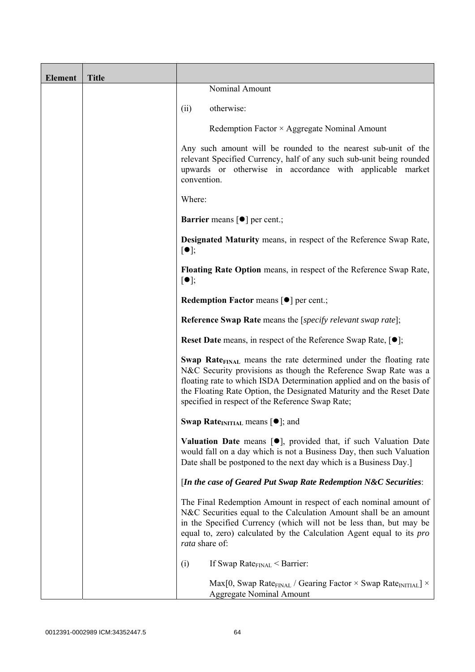| <b>Element</b> | <b>Title</b> |                                                                                                                                                                                                                                                                                                                                                      |
|----------------|--------------|------------------------------------------------------------------------------------------------------------------------------------------------------------------------------------------------------------------------------------------------------------------------------------------------------------------------------------------------------|
|                |              | Nominal Amount                                                                                                                                                                                                                                                                                                                                       |
|                |              | otherwise:<br>(ii)                                                                                                                                                                                                                                                                                                                                   |
|                |              | Redemption Factor $\times$ Aggregate Nominal Amount                                                                                                                                                                                                                                                                                                  |
|                |              | Any such amount will be rounded to the nearest sub-unit of the<br>relevant Specified Currency, half of any such sub-unit being rounded<br>upwards or otherwise in accordance with applicable market<br>convention.                                                                                                                                   |
|                |              | Where:                                                                                                                                                                                                                                                                                                                                               |
|                |              | <b>Barrier</b> means $\lceil \bullet \rceil$ per cent.;                                                                                                                                                                                                                                                                                              |
|                |              | <b>Designated Maturity means, in respect of the Reference Swap Rate,</b><br>$[\bullet]$ ;                                                                                                                                                                                                                                                            |
|                |              | <b>Floating Rate Option</b> means, in respect of the Reference Swap Rate,<br>$[\bullet]$ ;                                                                                                                                                                                                                                                           |
|                |              | Redemption Factor means [ $\bullet$ ] per cent.;                                                                                                                                                                                                                                                                                                     |
|                |              | <b>Reference Swap Rate</b> means the [ <i>specify relevant swap rate</i> ];                                                                                                                                                                                                                                                                          |
|                |              | <b>Reset Date</b> means, in respect of the Reference Swap Rate, $[•]$ ;                                                                                                                                                                                                                                                                              |
|                |              | Swap Rate <sub>FINAL</sub> means the rate determined under the floating rate<br>N&C Security provisions as though the Reference Swap Rate was a<br>floating rate to which ISDA Determination applied and on the basis of<br>the Floating Rate Option, the Designated Maturity and the Reset Date<br>specified in respect of the Reference Swap Rate; |
|                |              | Swap Rate <sub>INITIAL</sub> means $[\bullet]$ ; and                                                                                                                                                                                                                                                                                                 |
|                |              | Valuation Date means [.], provided that, if such Valuation Date<br>would fall on a day which is not a Business Day, then such Valuation<br>Date shall be postponed to the next day which is a Business Day.]                                                                                                                                         |
|                |              | [In the case of Geared Put Swap Rate Redemption N&C Securities:                                                                                                                                                                                                                                                                                      |
|                |              | The Final Redemption Amount in respect of each nominal amount of<br>N&C Securities equal to the Calculation Amount shall be an amount<br>in the Specified Currency (which will not be less than, but may be<br>equal to, zero) calculated by the Calculation Agent equal to its <i>pro</i><br>rata share of:                                         |
|                |              | If Swap Rate $_{\text{FINAL}}$ < Barrier:<br>(i)                                                                                                                                                                                                                                                                                                     |
|                |              | Max[0, Swap Rate <sub>FINAL</sub> / Gearing Factor $\times$ Swap Rate <sub>INITIAL</sub> ] $\times$<br><b>Aggregate Nominal Amount</b>                                                                                                                                                                                                               |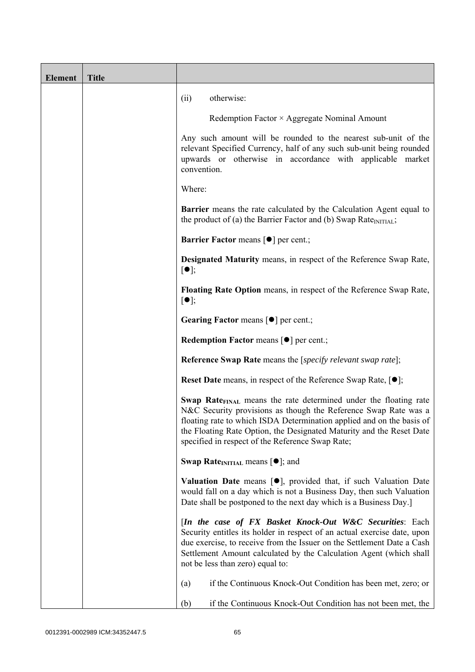| <b>Element</b> | <b>Title</b> |                                                                                                                                                                                                                                                                                                                                                             |
|----------------|--------------|-------------------------------------------------------------------------------------------------------------------------------------------------------------------------------------------------------------------------------------------------------------------------------------------------------------------------------------------------------------|
|                |              | otherwise:<br>(ii)                                                                                                                                                                                                                                                                                                                                          |
|                |              | Redemption Factor × Aggregate Nominal Amount                                                                                                                                                                                                                                                                                                                |
|                |              | Any such amount will be rounded to the nearest sub-unit of the<br>relevant Specified Currency, half of any such sub-unit being rounded<br>upwards or otherwise in accordance with applicable market<br>convention.                                                                                                                                          |
|                |              | Where:                                                                                                                                                                                                                                                                                                                                                      |
|                |              | <b>Barrier</b> means the rate calculated by the Calculation Agent equal to<br>the product of (a) the Barrier Factor and (b) Swap Rate $_{\text{INITIAL}}$ ;                                                                                                                                                                                                 |
|                |              | <b>Barrier Factor means [<math>\bullet</math>] per cent.;</b>                                                                                                                                                                                                                                                                                               |
|                |              | <b>Designated Maturity means, in respect of the Reference Swap Rate,</b><br>$[\bullet]$ ;                                                                                                                                                                                                                                                                   |
|                |              | Floating Rate Option means, in respect of the Reference Swap Rate,<br>$[\bullet]$ ;                                                                                                                                                                                                                                                                         |
|                |              | Gearing Factor means [ $\bullet$ ] per cent.;                                                                                                                                                                                                                                                                                                               |
|                |              | <b>Redemption Factor means <math>\lceil \bullet \rceil</math> per cent.;</b>                                                                                                                                                                                                                                                                                |
|                |              | <b>Reference Swap Rate</b> means the [specify relevant swap rate];                                                                                                                                                                                                                                                                                          |
|                |              | <b>Reset Date</b> means, in respect of the Reference Swap Rate, $[•]$ ;                                                                                                                                                                                                                                                                                     |
|                |              | <b>Swap Rate</b> <sub>FINAL</sub> means the rate determined under the floating rate<br>N&C Security provisions as though the Reference Swap Rate was a<br>floating rate to which ISDA Determination applied and on the basis of<br>the Floating Rate Option, the Designated Maturity and the Reset Date<br>specified in respect of the Reference Swap Rate; |
|                |              | <b>Swap Rate</b> <sub>INITIAL</sub> means $[\bullet]$ ; and                                                                                                                                                                                                                                                                                                 |
|                |              | <b>Valuation Date</b> means $[\bullet]$ , provided that, if such Valuation Date<br>would fall on a day which is not a Business Day, then such Valuation<br>Date shall be postponed to the next day which is a Business Day.]                                                                                                                                |
|                |              | [In the case of FX Basket Knock-Out W&C Securities: Each<br>Security entitles its holder in respect of an actual exercise date, upon<br>due exercise, to receive from the Issuer on the Settlement Date a Cash<br>Settlement Amount calculated by the Calculation Agent (which shall<br>not be less than zero) equal to:                                    |
|                |              | if the Continuous Knock-Out Condition has been met, zero; or<br>(a)                                                                                                                                                                                                                                                                                         |
|                |              | if the Continuous Knock-Out Condition has not been met, the<br>(b)                                                                                                                                                                                                                                                                                          |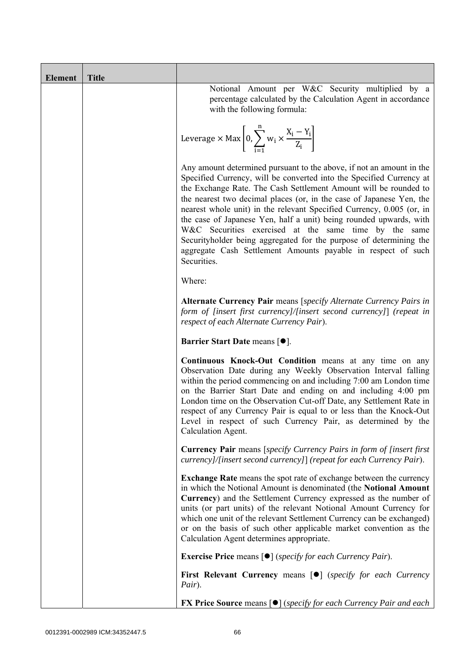| <b>Element</b> | <b>Title</b> |                                                                                                                                                                                                                                                                                                                                                                                                                                                                                                                                                                                                                                                       |
|----------------|--------------|-------------------------------------------------------------------------------------------------------------------------------------------------------------------------------------------------------------------------------------------------------------------------------------------------------------------------------------------------------------------------------------------------------------------------------------------------------------------------------------------------------------------------------------------------------------------------------------------------------------------------------------------------------|
|                |              | Notional Amount per W&C Security multiplied by a<br>percentage calculated by the Calculation Agent in accordance<br>with the following formula:                                                                                                                                                                                                                                                                                                                                                                                                                                                                                                       |
|                |              | Leverage $\times$ Max $\left[0, \sum_{i=1}^{n} w_i \times \frac{X_i - Y_i}{Z_i}\right]$                                                                                                                                                                                                                                                                                                                                                                                                                                                                                                                                                               |
|                |              | Any amount determined pursuant to the above, if not an amount in the<br>Specified Currency, will be converted into the Specified Currency at<br>the Exchange Rate. The Cash Settlement Amount will be rounded to<br>the nearest two decimal places (or, in the case of Japanese Yen, the<br>nearest whole unit) in the relevant Specified Currency, 0.005 (or, in<br>the case of Japanese Yen, half a unit) being rounded upwards, with<br>W&C Securities exercised at the same time by the same<br>Securityholder being aggregated for the purpose of determining the<br>aggregate Cash Settlement Amounts payable in respect of such<br>Securities. |
|                |              | Where:                                                                                                                                                                                                                                                                                                                                                                                                                                                                                                                                                                                                                                                |
|                |              | Alternate Currency Pair means [specify Alternate Currency Pairs in<br>form of [insert first currency]/[insert second currency]] (repeat in<br>respect of each Alternate Currency Pair).                                                                                                                                                                                                                                                                                                                                                                                                                                                               |
|                |              | Barrier Start Date means [ $\bullet$ ].                                                                                                                                                                                                                                                                                                                                                                                                                                                                                                                                                                                                               |
|                |              | Continuous Knock-Out Condition means at any time on any<br>Observation Date during any Weekly Observation Interval falling<br>within the period commencing on and including 7:00 am London time<br>on the Barrier Start Date and ending on and including 4:00 pm<br>London time on the Observation Cut-off Date, any Settlement Rate in<br>respect of any Currency Pair is equal to or less than the Knock-Out<br>Level in respect of such Currency Pair, as determined by the<br>Calculation Agent.                                                                                                                                                  |
|                |              | <b>Currency Pair</b> means [specify Currency Pairs in form of [insert first]<br>currency]/[insert second currency]] (repeat for each Currency Pair).                                                                                                                                                                                                                                                                                                                                                                                                                                                                                                  |
|                |              | <b>Exchange Rate</b> means the spot rate of exchange between the currency<br>in which the Notional Amount is denominated (the Notional Amount<br>Currency) and the Settlement Currency expressed as the number of<br>units (or part units) of the relevant Notional Amount Currency for<br>which one unit of the relevant Settlement Currency can be exchanged)<br>or on the basis of such other applicable market convention as the<br>Calculation Agent determines appropriate.                                                                                                                                                                     |
|                |              | <b>Exercise Price</b> means $\lceil \bullet \rceil$ ( <i>specify for each Currency Pair</i> ).                                                                                                                                                                                                                                                                                                                                                                                                                                                                                                                                                        |
|                |              | <b>First Relevant Currency means [O]</b> (specify for each Currency<br>Pair).                                                                                                                                                                                                                                                                                                                                                                                                                                                                                                                                                                         |
|                |              | <b>FX Price Source means [<math>\bullet</math>] (specify for each Currency Pair and each</b>                                                                                                                                                                                                                                                                                                                                                                                                                                                                                                                                                          |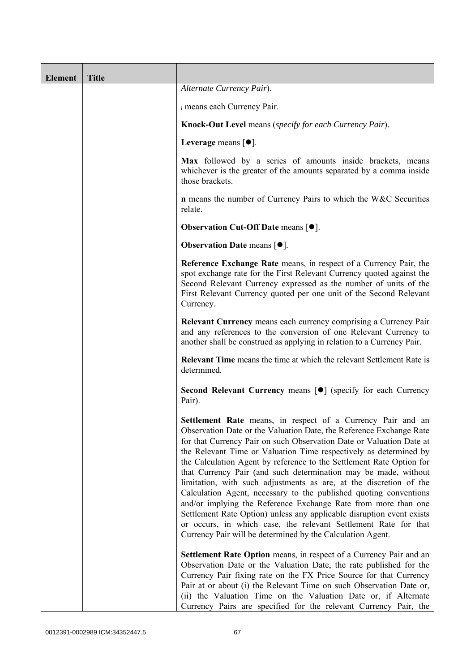| <b>Element</b> | <b>Title</b> |                                                                                                                                                                                                                                                                                                                                                                                                                                                                                                                                                                                                                                                                                                                                                                                                                                                   |
|----------------|--------------|---------------------------------------------------------------------------------------------------------------------------------------------------------------------------------------------------------------------------------------------------------------------------------------------------------------------------------------------------------------------------------------------------------------------------------------------------------------------------------------------------------------------------------------------------------------------------------------------------------------------------------------------------------------------------------------------------------------------------------------------------------------------------------------------------------------------------------------------------|
|                |              | Alternate Currency Pair).                                                                                                                                                                                                                                                                                                                                                                                                                                                                                                                                                                                                                                                                                                                                                                                                                         |
|                |              | i means each Currency Pair.                                                                                                                                                                                                                                                                                                                                                                                                                                                                                                                                                                                                                                                                                                                                                                                                                       |
|                |              | Knock-Out Level means (specify for each Currency Pair).                                                                                                                                                                                                                                                                                                                                                                                                                                                                                                                                                                                                                                                                                                                                                                                           |
|                |              | Leverage means $[•]$ .                                                                                                                                                                                                                                                                                                                                                                                                                                                                                                                                                                                                                                                                                                                                                                                                                            |
|                |              | Max followed by a series of amounts inside brackets, means<br>whichever is the greater of the amounts separated by a comma inside<br>those brackets.                                                                                                                                                                                                                                                                                                                                                                                                                                                                                                                                                                                                                                                                                              |
|                |              | <b>n</b> means the number of Currency Pairs to which the W&C Securities<br>relate.                                                                                                                                                                                                                                                                                                                                                                                                                                                                                                                                                                                                                                                                                                                                                                |
|                |              | Observation Cut-Off Date means [ $\bullet$ ].                                                                                                                                                                                                                                                                                                                                                                                                                                                                                                                                                                                                                                                                                                                                                                                                     |
|                |              | <b>Observation Date means <math>\lceil \bullet \rceil</math>.</b>                                                                                                                                                                                                                                                                                                                                                                                                                                                                                                                                                                                                                                                                                                                                                                                 |
|                |              | Reference Exchange Rate means, in respect of a Currency Pair, the<br>spot exchange rate for the First Relevant Currency quoted against the<br>Second Relevant Currency expressed as the number of units of the<br>First Relevant Currency quoted per one unit of the Second Relevant<br>Currency.                                                                                                                                                                                                                                                                                                                                                                                                                                                                                                                                                 |
|                |              | Relevant Currency means each currency comprising a Currency Pair<br>and any references to the conversion of one Relevant Currency to<br>another shall be construed as applying in relation to a Currency Pair.                                                                                                                                                                                                                                                                                                                                                                                                                                                                                                                                                                                                                                    |
|                |              | <b>Relevant Time</b> means the time at which the relevant Settlement Rate is<br>determined.                                                                                                                                                                                                                                                                                                                                                                                                                                                                                                                                                                                                                                                                                                                                                       |
|                |              | Second Relevant Currency means [ $\bullet$ ] (specify for each Currency<br>Pair).                                                                                                                                                                                                                                                                                                                                                                                                                                                                                                                                                                                                                                                                                                                                                                 |
|                |              | Settlement Rate means, in respect of a Currency Pair and an<br>Observation Date or the Valuation Date, the Reference Exchange Rate<br>for that Currency Pair on such Observation Date or Valuation Date at<br>the Relevant Time or Valuation Time respectively as determined by<br>the Calculation Agent by reference to the Settlement Rate Option for<br>that Currency Pair (and such determination may be made, without<br>limitation, with such adjustments as are, at the discretion of the<br>Calculation Agent, necessary to the published quoting conventions<br>and/or implying the Reference Exchange Rate from more than one<br>Settlement Rate Option) unless any applicable disruption event exists<br>or occurs, in which case, the relevant Settlement Rate for that<br>Currency Pair will be determined by the Calculation Agent. |
|                |              | <b>Settlement Rate Option</b> means, in respect of a Currency Pair and an<br>Observation Date or the Valuation Date, the rate published for the<br>Currency Pair fixing rate on the FX Price Source for that Currency<br>Pair at or about (i) the Relevant Time on such Observation Date or,<br>(ii) the Valuation Time on the Valuation Date or, if Alternate<br>Currency Pairs are specified for the relevant Currency Pair, the                                                                                                                                                                                                                                                                                                                                                                                                                |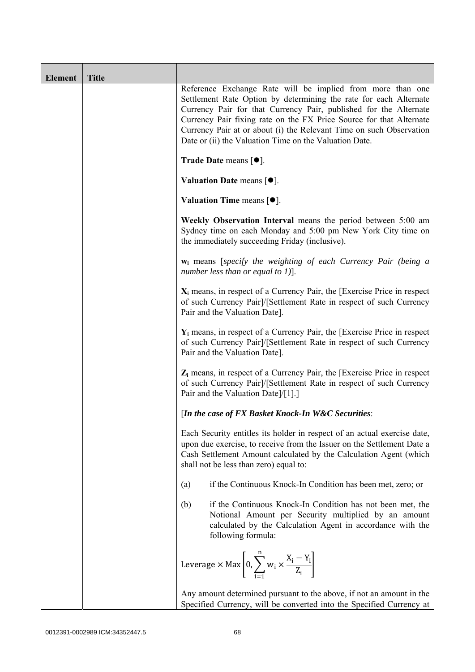| <b>Element</b> | <b>Title</b> |                                                                                                                                                                                                                                                                                                                                                                                                              |
|----------------|--------------|--------------------------------------------------------------------------------------------------------------------------------------------------------------------------------------------------------------------------------------------------------------------------------------------------------------------------------------------------------------------------------------------------------------|
|                |              | Reference Exchange Rate will be implied from more than one<br>Settlement Rate Option by determining the rate for each Alternate<br>Currency Pair for that Currency Pair, published for the Alternate<br>Currency Pair fixing rate on the FX Price Source for that Alternate<br>Currency Pair at or about (i) the Relevant Time on such Observation<br>Date or (ii) the Valuation Time on the Valuation Date. |
|                |              | Trade Date means $[•]$ .                                                                                                                                                                                                                                                                                                                                                                                     |
|                |              | Valuation Date means $[•]$ .                                                                                                                                                                                                                                                                                                                                                                                 |
|                |              | <b>Valuation Time means <math>[•]</math>.</b>                                                                                                                                                                                                                                                                                                                                                                |
|                |              | Weekly Observation Interval means the period between 5:00 am<br>Sydney time on each Monday and 5:00 pm New York City time on<br>the immediately succeeding Friday (inclusive).                                                                                                                                                                                                                               |
|                |              | w <sub>i</sub> means [specify the weighting of each Currency Pair (being a<br>number less than or equal to 1)].                                                                                                                                                                                                                                                                                              |
|                |              | $X_i$ means, in respect of a Currency Pair, the [Exercise Price in respect<br>of such Currency Pair]/[Settlement Rate in respect of such Currency<br>Pair and the Valuation Date].                                                                                                                                                                                                                           |
|                |              | $Y_i$ means, in respect of a Currency Pair, the [Exercise Price in respect<br>of such Currency Pair]/[Settlement Rate in respect of such Currency<br>Pair and the Valuation Date].                                                                                                                                                                                                                           |
|                |              | $Z_i$ means, in respect of a Currency Pair, the [Exercise Price in respect<br>of such Currency Pair]/[Settlement Rate in respect of such Currency<br>Pair and the Valuation Date]/[1].]                                                                                                                                                                                                                      |
|                |              | [In the case of FX Basket Knock-In W&C Securities:                                                                                                                                                                                                                                                                                                                                                           |
|                |              | Each Security entitles its holder in respect of an actual exercise date,<br>upon due exercise, to receive from the Issuer on the Settlement Date a<br>Cash Settlement Amount calculated by the Calculation Agent (which<br>shall not be less than zero) equal to:                                                                                                                                            |
|                |              | if the Continuous Knock-In Condition has been met, zero; or<br>(a)                                                                                                                                                                                                                                                                                                                                           |
|                |              | if the Continuous Knock-In Condition has not been met, the<br>(b)<br>Notional Amount per Security multiplied by an amount<br>calculated by the Calculation Agent in accordance with the<br>following formula:                                                                                                                                                                                                |
|                |              | Leverage $\times$ Max $\left[0, \sum_{i=1}^{n} w_i \times \frac{X_i - Y_i}{Z_i}\right]$                                                                                                                                                                                                                                                                                                                      |
|                |              | Any amount determined pursuant to the above, if not an amount in the<br>Specified Currency, will be converted into the Specified Currency at                                                                                                                                                                                                                                                                 |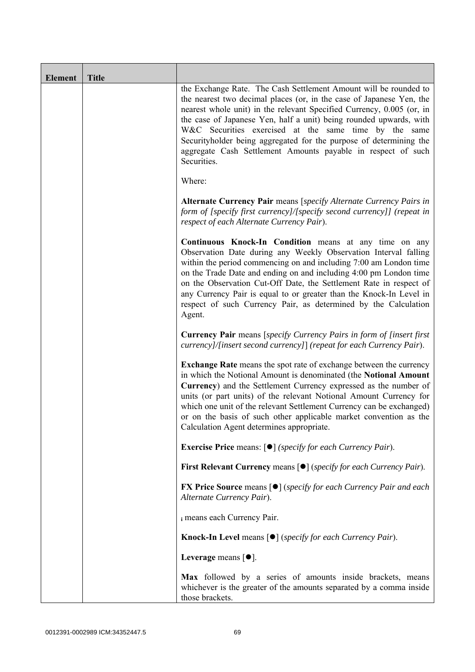| Element | <b>Title</b> |                                                                                                                                                                                                                                                                                                                                                                                                                                                                                                       |
|---------|--------------|-------------------------------------------------------------------------------------------------------------------------------------------------------------------------------------------------------------------------------------------------------------------------------------------------------------------------------------------------------------------------------------------------------------------------------------------------------------------------------------------------------|
|         |              | the Exchange Rate. The Cash Settlement Amount will be rounded to<br>the nearest two decimal places (or, in the case of Japanese Yen, the<br>nearest whole unit) in the relevant Specified Currency, 0.005 (or, in<br>the case of Japanese Yen, half a unit) being rounded upwards, with<br>W&C Securities exercised at the same time by the same<br>Securityholder being aggregated for the purpose of determining the<br>aggregate Cash Settlement Amounts payable in respect of such<br>Securities. |
|         |              | Where:                                                                                                                                                                                                                                                                                                                                                                                                                                                                                                |
|         |              | Alternate Currency Pair means [specify Alternate Currency Pairs in<br>form of [specify first currency]/[specify second currency]] (repeat in<br>respect of each Alternate Currency Pair).                                                                                                                                                                                                                                                                                                             |
|         |              | Continuous Knock-In Condition means at any time on any<br>Observation Date during any Weekly Observation Interval falling<br>within the period commencing on and including 7:00 am London time<br>on the Trade Date and ending on and including 4:00 pm London time<br>on the Observation Cut-Off Date, the Settlement Rate in respect of<br>any Currency Pair is equal to or greater than the Knock-In Level in<br>respect of such Currency Pair, as determined by the Calculation<br>Agent.         |
|         |              | Currency Pair means [specify Currency Pairs in form of [insert first<br>currency]/[insert second currency]] (repeat for each Currency Pair).                                                                                                                                                                                                                                                                                                                                                          |
|         |              | <b>Exchange Rate</b> means the spot rate of exchange between the currency<br>in which the Notional Amount is denominated (the Notional Amount<br>Currency) and the Settlement Currency expressed as the number of<br>units (or part units) of the relevant Notional Amount Currency for<br>which one unit of the relevant Settlement Currency can be exchanged)<br>or on the basis of such other applicable market convention as the<br>Calculation Agent determines appropriate.                     |
|         |              | <b>Exercise Price</b> means: $\lceil \bullet \rceil$ ( <i>specify for each Currency Pair</i> ).                                                                                                                                                                                                                                                                                                                                                                                                       |
|         |              | First Relevant Currency means [ $\bullet$ ] (specify for each Currency Pair).                                                                                                                                                                                                                                                                                                                                                                                                                         |
|         |              | <b>FX Price Source means [<math>\bullet</math>]</b> (specify for each Currency Pair and each<br>Alternate Currency Pair).                                                                                                                                                                                                                                                                                                                                                                             |
|         |              | i means each Currency Pair.                                                                                                                                                                                                                                                                                                                                                                                                                                                                           |
|         |              | <b>Knock-In Level means <math>\lceil \bullet \rceil</math> (specify for each Currency Pair).</b>                                                                                                                                                                                                                                                                                                                                                                                                      |
|         |              | Leverage means $[•]$ .                                                                                                                                                                                                                                                                                                                                                                                                                                                                                |
|         |              | Max followed by a series of amounts inside brackets, means<br>whichever is the greater of the amounts separated by a comma inside<br>those brackets.                                                                                                                                                                                                                                                                                                                                                  |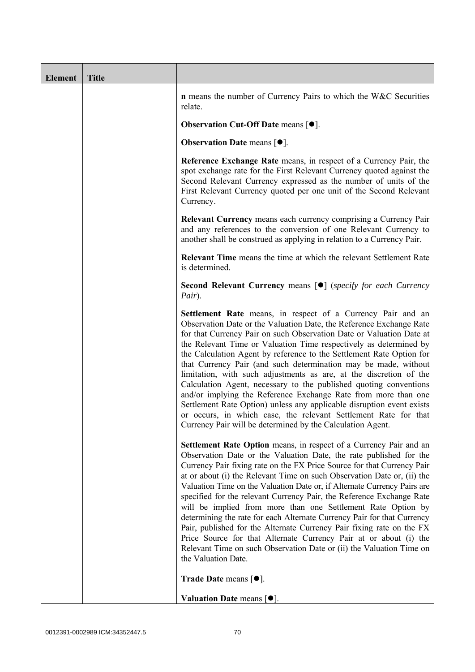| <b>Element</b> | <b>Title</b> |                                                                                                                                                                                                                                                                                                                                                                                                                                                                                                                                                                                                                                                                                                                                                                                                                                                   |
|----------------|--------------|---------------------------------------------------------------------------------------------------------------------------------------------------------------------------------------------------------------------------------------------------------------------------------------------------------------------------------------------------------------------------------------------------------------------------------------------------------------------------------------------------------------------------------------------------------------------------------------------------------------------------------------------------------------------------------------------------------------------------------------------------------------------------------------------------------------------------------------------------|
|                |              | <b>n</b> means the number of Currency Pairs to which the W&C Securities<br>relate.                                                                                                                                                                                                                                                                                                                                                                                                                                                                                                                                                                                                                                                                                                                                                                |
|                |              | <b>Observation Cut-Off Date means [<math>\bullet</math>].</b>                                                                                                                                                                                                                                                                                                                                                                                                                                                                                                                                                                                                                                                                                                                                                                                     |
|                |              | <b>Observation Date means <math>\lceil \bullet \rceil</math>.</b>                                                                                                                                                                                                                                                                                                                                                                                                                                                                                                                                                                                                                                                                                                                                                                                 |
|                |              | Reference Exchange Rate means, in respect of a Currency Pair, the<br>spot exchange rate for the First Relevant Currency quoted against the<br>Second Relevant Currency expressed as the number of units of the<br>First Relevant Currency quoted per one unit of the Second Relevant<br>Currency.                                                                                                                                                                                                                                                                                                                                                                                                                                                                                                                                                 |
|                |              | <b>Relevant Currency</b> means each currency comprising a Currency Pair<br>and any references to the conversion of one Relevant Currency to<br>another shall be construed as applying in relation to a Currency Pair.                                                                                                                                                                                                                                                                                                                                                                                                                                                                                                                                                                                                                             |
|                |              | <b>Relevant Time</b> means the time at which the relevant Settlement Rate<br>is determined.                                                                                                                                                                                                                                                                                                                                                                                                                                                                                                                                                                                                                                                                                                                                                       |
|                |              | <b>Second Relevant Currency means [O]</b> (specify for each Currency<br>Pair).                                                                                                                                                                                                                                                                                                                                                                                                                                                                                                                                                                                                                                                                                                                                                                    |
|                |              | Settlement Rate means, in respect of a Currency Pair and an<br>Observation Date or the Valuation Date, the Reference Exchange Rate<br>for that Currency Pair on such Observation Date or Valuation Date at<br>the Relevant Time or Valuation Time respectively as determined by<br>the Calculation Agent by reference to the Settlement Rate Option for<br>that Currency Pair (and such determination may be made, without<br>limitation, with such adjustments as are, at the discretion of the<br>Calculation Agent, necessary to the published quoting conventions<br>and/or implying the Reference Exchange Rate from more than one<br>Settlement Rate Option) unless any applicable disruption event exists<br>or occurs, in which case, the relevant Settlement Rate for that<br>Currency Pair will be determined by the Calculation Agent. |
|                |              | Settlement Rate Option means, in respect of a Currency Pair and an<br>Observation Date or the Valuation Date, the rate published for the<br>Currency Pair fixing rate on the FX Price Source for that Currency Pair<br>at or about (i) the Relevant Time on such Observation Date or, (ii) the<br>Valuation Time on the Valuation Date or, if Alternate Currency Pairs are<br>specified for the relevant Currency Pair, the Reference Exchange Rate<br>will be implied from more than one Settlement Rate Option by<br>determining the rate for each Alternate Currency Pair for that Currency<br>Pair, published for the Alternate Currency Pair fixing rate on the FX<br>Price Source for that Alternate Currency Pair at or about (i) the<br>Relevant Time on such Observation Date or (ii) the Valuation Time on<br>the Valuation Date.       |
|                |              | <b>Trade Date means <math>\lceil \bullet \rceil</math>.</b>                                                                                                                                                                                                                                                                                                                                                                                                                                                                                                                                                                                                                                                                                                                                                                                       |
|                |              | Valuation Date means $[•]$ .                                                                                                                                                                                                                                                                                                                                                                                                                                                                                                                                                                                                                                                                                                                                                                                                                      |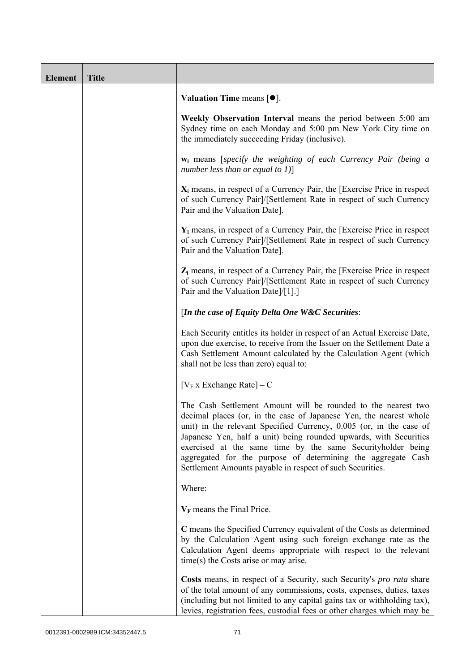| <b>Element</b> | <b>Title</b> |                                                                                                                                                                                                                                                                                                                                                                                                                                                                             |
|----------------|--------------|-----------------------------------------------------------------------------------------------------------------------------------------------------------------------------------------------------------------------------------------------------------------------------------------------------------------------------------------------------------------------------------------------------------------------------------------------------------------------------|
|                |              | Valuation Time means $[\bullet].$                                                                                                                                                                                                                                                                                                                                                                                                                                           |
|                |              | Weekly Observation Interval means the period between 5:00 am<br>Sydney time on each Monday and 5:00 pm New York City time on<br>the immediately succeeding Friday (inclusive).                                                                                                                                                                                                                                                                                              |
|                |              | $w_i$ means [specify the weighting of each Currency Pair (being a<br>number less than or equal to $1$ ]                                                                                                                                                                                                                                                                                                                                                                     |
|                |              | $X_i$ means, in respect of a Currency Pair, the [Exercise Price in respect<br>of such Currency Pair]/[Settlement Rate in respect of such Currency<br>Pair and the Valuation Date].                                                                                                                                                                                                                                                                                          |
|                |              | $Y_i$ means, in respect of a Currency Pair, the [Exercise Price in respect]<br>of such Currency Pair]/[Settlement Rate in respect of such Currency<br>Pair and the Valuation Date].                                                                                                                                                                                                                                                                                         |
|                |              | $Z_i$ means, in respect of a Currency Pair, the [Exercise Price in respect<br>of such Currency Pair]/[Settlement Rate in respect of such Currency<br>Pair and the Valuation Date]/[1].]                                                                                                                                                                                                                                                                                     |
|                |              | [In the case of Equity Delta One W&C Securities:                                                                                                                                                                                                                                                                                                                                                                                                                            |
|                |              | Each Security entitles its holder in respect of an Actual Exercise Date,<br>upon due exercise, to receive from the Issuer on the Settlement Date a<br>Cash Settlement Amount calculated by the Calculation Agent (which<br>shall not be less than zero) equal to:                                                                                                                                                                                                           |
|                |              | $[V_F x]$ Exchange Rate $] - C$                                                                                                                                                                                                                                                                                                                                                                                                                                             |
|                |              | The Cash Settlement Amount will be rounded to the nearest two<br>decimal places (or, in the case of Japanese Yen, the nearest whole<br>unit) in the relevant Specified Currency, 0.005 (or, in the case of<br>Japanese Yen, half a unit) being rounded upwards, with Securities<br>exercised at the same time by the same Securityholder being<br>aggregated for the purpose of determining the aggregate Cash<br>Settlement Amounts payable in respect of such Securities. |
|                |              | Where:                                                                                                                                                                                                                                                                                                                                                                                                                                                                      |
|                |              | $V_F$ means the Final Price.                                                                                                                                                                                                                                                                                                                                                                                                                                                |
|                |              | C means the Specified Currency equivalent of the Costs as determined<br>by the Calculation Agent using such foreign exchange rate as the<br>Calculation Agent deems appropriate with respect to the relevant<br>time(s) the Costs arise or may arise.                                                                                                                                                                                                                       |
|                |              | Costs means, in respect of a Security, such Security's <i>pro rata</i> share<br>of the total amount of any commissions, costs, expenses, duties, taxes<br>(including but not limited to any capital gains tax or withholding tax),<br>levies, registration fees, custodial fees or other charges which may be                                                                                                                                                               |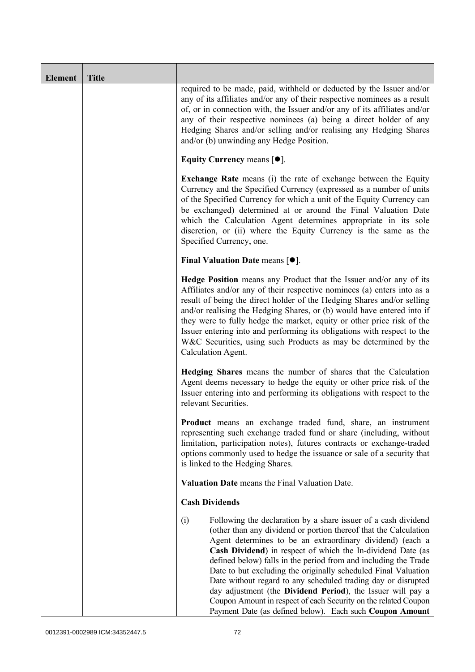| <b>Element</b> | <b>Title</b> |                                                                                                                                                                                                                                                                                                                                                                                                                                                                                                                                                                                                                                                                           |
|----------------|--------------|---------------------------------------------------------------------------------------------------------------------------------------------------------------------------------------------------------------------------------------------------------------------------------------------------------------------------------------------------------------------------------------------------------------------------------------------------------------------------------------------------------------------------------------------------------------------------------------------------------------------------------------------------------------------------|
|                |              | required to be made, paid, withheld or deducted by the Issuer and/or<br>any of its affiliates and/or any of their respective nominees as a result<br>of, or in connection with, the Issuer and/or any of its affiliates and/or<br>any of their respective nominees (a) being a direct holder of any<br>Hedging Shares and/or selling and/or realising any Hedging Shares<br>and/or (b) unwinding any Hedge Position.                                                                                                                                                                                                                                                      |
|                |              | Equity Currency means $[\bullet].$                                                                                                                                                                                                                                                                                                                                                                                                                                                                                                                                                                                                                                        |
|                |              | Exchange Rate means (i) the rate of exchange between the Equity<br>Currency and the Specified Currency (expressed as a number of units<br>of the Specified Currency for which a unit of the Equity Currency can<br>be exchanged) determined at or around the Final Valuation Date<br>which the Calculation Agent determines appropriate in its sole<br>discretion, or (ii) where the Equity Currency is the same as the<br>Specified Currency, one.                                                                                                                                                                                                                       |
|                |              | Final Valuation Date means $[•]$ .                                                                                                                                                                                                                                                                                                                                                                                                                                                                                                                                                                                                                                        |
|                |              | Hedge Position means any Product that the Issuer and/or any of its<br>Affiliates and/or any of their respective nominees (a) enters into as a<br>result of being the direct holder of the Hedging Shares and/or selling<br>and/or realising the Hedging Shares, or (b) would have entered into if<br>they were to fully hedge the market, equity or other price risk of the<br>Issuer entering into and performing its obligations with respect to the<br>W&C Securities, using such Products as may be determined by the<br>Calculation Agent.                                                                                                                           |
|                |              | Hedging Shares means the number of shares that the Calculation<br>Agent deems necessary to hedge the equity or other price risk of the<br>Issuer entering into and performing its obligations with respect to the<br>relevant Securities.                                                                                                                                                                                                                                                                                                                                                                                                                                 |
|                |              | Product means an exchange traded fund, share, an instrument<br>representing such exchange traded fund or share (including, without<br>limitation, participation notes), futures contracts or exchange-traded<br>options commonly used to hedge the issuance or sale of a security that<br>is linked to the Hedging Shares.                                                                                                                                                                                                                                                                                                                                                |
|                |              | Valuation Date means the Final Valuation Date.                                                                                                                                                                                                                                                                                                                                                                                                                                                                                                                                                                                                                            |
|                |              | <b>Cash Dividends</b>                                                                                                                                                                                                                                                                                                                                                                                                                                                                                                                                                                                                                                                     |
|                |              | Following the declaration by a share issuer of a cash dividend<br>(i)<br>(other than any dividend or portion thereof that the Calculation<br>Agent determines to be an extraordinary dividend) (each a<br>Cash Dividend) in respect of which the In-dividend Date (as<br>defined below) falls in the period from and including the Trade<br>Date to but excluding the originally scheduled Final Valuation<br>Date without regard to any scheduled trading day or disrupted<br>day adjustment (the Dividend Period), the Issuer will pay a<br>Coupon Amount in respect of each Security on the related Coupon<br>Payment Date (as defined below). Each such Coupon Amount |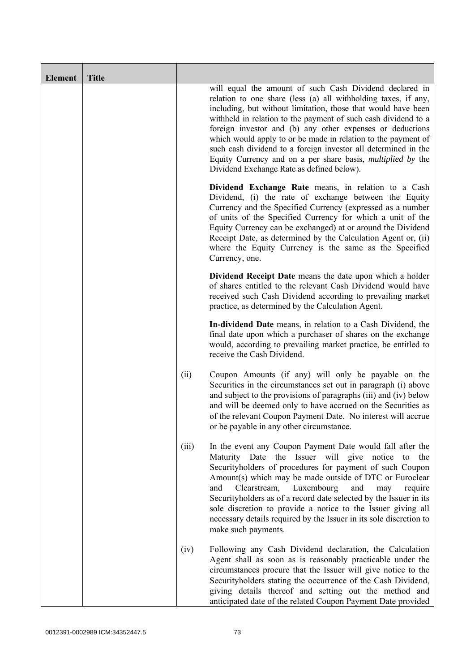| <b>Element</b> | <b>Title</b> |       |                                                                                                                                                                                                                                                                                                                                                                                                                                                                                                                                                                                 |
|----------------|--------------|-------|---------------------------------------------------------------------------------------------------------------------------------------------------------------------------------------------------------------------------------------------------------------------------------------------------------------------------------------------------------------------------------------------------------------------------------------------------------------------------------------------------------------------------------------------------------------------------------|
|                |              |       | will equal the amount of such Cash Dividend declared in<br>relation to one share (less (a) all withholding taxes, if any,<br>including, but without limitation, those that would have been<br>withheld in relation to the payment of such cash dividend to a<br>foreign investor and (b) any other expenses or deductions<br>which would apply to or be made in relation to the payment of<br>such cash dividend to a foreign investor all determined in the<br>Equity Currency and on a per share basis, <i>multiplied by</i> the<br>Dividend Exchange Rate as defined below). |
|                |              |       | Dividend Exchange Rate means, in relation to a Cash<br>Dividend, (i) the rate of exchange between the Equity<br>Currency and the Specified Currency (expressed as a number<br>of units of the Specified Currency for which a unit of the<br>Equity Currency can be exchanged) at or around the Dividend<br>Receipt Date, as determined by the Calculation Agent or, (ii)<br>where the Equity Currency is the same as the Specified<br>Currency, one.                                                                                                                            |
|                |              |       | <b>Dividend Receipt Date</b> means the date upon which a holder<br>of shares entitled to the relevant Cash Dividend would have<br>received such Cash Dividend according to prevailing market<br>practice, as determined by the Calculation Agent.                                                                                                                                                                                                                                                                                                                               |
|                |              |       | In-dividend Date means, in relation to a Cash Dividend, the<br>final date upon which a purchaser of shares on the exchange<br>would, according to prevailing market practice, be entitled to<br>receive the Cash Dividend.                                                                                                                                                                                                                                                                                                                                                      |
|                |              | (ii)  | Coupon Amounts (if any) will only be payable on the<br>Securities in the circumstances set out in paragraph (i) above<br>and subject to the provisions of paragraphs (iii) and (iv) below<br>and will be deemed only to have accrued on the Securities as<br>of the relevant Coupon Payment Date. No interest will accrue<br>or be payable in any other circumstance.                                                                                                                                                                                                           |
|                |              | (iii) | In the event any Coupon Payment Date would fall after the<br>Maturity Date the Issuer will give notice to<br>the<br>Securityholders of procedures for payment of such Coupon<br>Amount(s) which may be made outside of DTC or Euroclear<br>Luxembourg<br>and<br>Clearstream,<br>and<br>require<br>may<br>Securityholders as of a record date selected by the Issuer in its<br>sole discretion to provide a notice to the Issuer giving all<br>necessary details required by the Issuer in its sole discretion to<br>make such payments.                                         |
|                |              | (iv)  | Following any Cash Dividend declaration, the Calculation<br>Agent shall as soon as is reasonably practicable under the<br>circumstances procure that the Issuer will give notice to the<br>Securityholders stating the occurrence of the Cash Dividend,<br>giving details thereof and setting out the method and<br>anticipated date of the related Coupon Payment Date provided                                                                                                                                                                                                |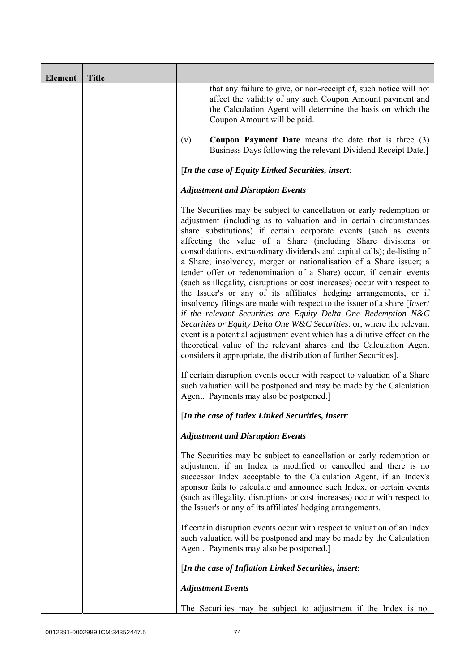| <b>Element</b> | <b>Title</b> |                                                                                                                                                                                                                                                                                                                                                                                                                                                                                                                                                                                                                                                                                                                                                                                                                                                                                                                                                                                                                                                                                                              |
|----------------|--------------|--------------------------------------------------------------------------------------------------------------------------------------------------------------------------------------------------------------------------------------------------------------------------------------------------------------------------------------------------------------------------------------------------------------------------------------------------------------------------------------------------------------------------------------------------------------------------------------------------------------------------------------------------------------------------------------------------------------------------------------------------------------------------------------------------------------------------------------------------------------------------------------------------------------------------------------------------------------------------------------------------------------------------------------------------------------------------------------------------------------|
|                |              | that any failure to give, or non-receipt of, such notice will not<br>affect the validity of any such Coupon Amount payment and<br>the Calculation Agent will determine the basis on which the<br>Coupon Amount will be paid.                                                                                                                                                                                                                                                                                                                                                                                                                                                                                                                                                                                                                                                                                                                                                                                                                                                                                 |
|                |              | <b>Coupon Payment Date</b> means the date that is three $(3)$<br>(v)<br>Business Days following the relevant Dividend Receipt Date.]                                                                                                                                                                                                                                                                                                                                                                                                                                                                                                                                                                                                                                                                                                                                                                                                                                                                                                                                                                         |
|                |              | [In the case of Equity Linked Securities, insert:                                                                                                                                                                                                                                                                                                                                                                                                                                                                                                                                                                                                                                                                                                                                                                                                                                                                                                                                                                                                                                                            |
|                |              | <b>Adjustment and Disruption Events</b>                                                                                                                                                                                                                                                                                                                                                                                                                                                                                                                                                                                                                                                                                                                                                                                                                                                                                                                                                                                                                                                                      |
|                |              | The Securities may be subject to cancellation or early redemption or<br>adjustment (including as to valuation and in certain circumstances<br>share substitutions) if certain corporate events (such as events<br>affecting the value of a Share (including Share divisions or<br>consolidations, extraordinary dividends and capital calls); de-listing of<br>a Share; insolvency, merger or nationalisation of a Share issuer; a<br>tender offer or redenomination of a Share) occur, if certain events<br>(such as illegality, disruptions or cost increases) occur with respect to<br>the Issuer's or any of its affiliates' hedging arrangements, or if<br>insolvency filings are made with respect to the issuer of a share [Insert<br>if the relevant Securities are Equity Delta One Redemption N&C<br>Securities or Equity Delta One W&C Securities: or, where the relevant<br>event is a potential adjustment event which has a dilutive effect on the<br>theoretical value of the relevant shares and the Calculation Agent<br>considers it appropriate, the distribution of further Securities]. |
|                |              | If certain disruption events occur with respect to valuation of a Share<br>such valuation will be postponed and may be made by the Calculation<br>Agent. Payments may also be postponed.]                                                                                                                                                                                                                                                                                                                                                                                                                                                                                                                                                                                                                                                                                                                                                                                                                                                                                                                    |
|                |              | [In the case of Index Linked Securities, insert:                                                                                                                                                                                                                                                                                                                                                                                                                                                                                                                                                                                                                                                                                                                                                                                                                                                                                                                                                                                                                                                             |
|                |              | <b>Adjustment and Disruption Events</b>                                                                                                                                                                                                                                                                                                                                                                                                                                                                                                                                                                                                                                                                                                                                                                                                                                                                                                                                                                                                                                                                      |
|                |              | The Securities may be subject to cancellation or early redemption or<br>adjustment if an Index is modified or cancelled and there is no<br>successor Index acceptable to the Calculation Agent, if an Index's<br>sponsor fails to calculate and announce such Index, or certain events<br>(such as illegality, disruptions or cost increases) occur with respect to<br>the Issuer's or any of its affiliates' hedging arrangements.                                                                                                                                                                                                                                                                                                                                                                                                                                                                                                                                                                                                                                                                          |
|                |              | If certain disruption events occur with respect to valuation of an Index<br>such valuation will be postponed and may be made by the Calculation<br>Agent. Payments may also be postponed.]                                                                                                                                                                                                                                                                                                                                                                                                                                                                                                                                                                                                                                                                                                                                                                                                                                                                                                                   |
|                |              | [In the case of Inflation Linked Securities, insert:                                                                                                                                                                                                                                                                                                                                                                                                                                                                                                                                                                                                                                                                                                                                                                                                                                                                                                                                                                                                                                                         |
|                |              | <b>Adjustment Events</b>                                                                                                                                                                                                                                                                                                                                                                                                                                                                                                                                                                                                                                                                                                                                                                                                                                                                                                                                                                                                                                                                                     |
|                |              | The Securities may be subject to adjustment if the Index is not                                                                                                                                                                                                                                                                                                                                                                                                                                                                                                                                                                                                                                                                                                                                                                                                                                                                                                                                                                                                                                              |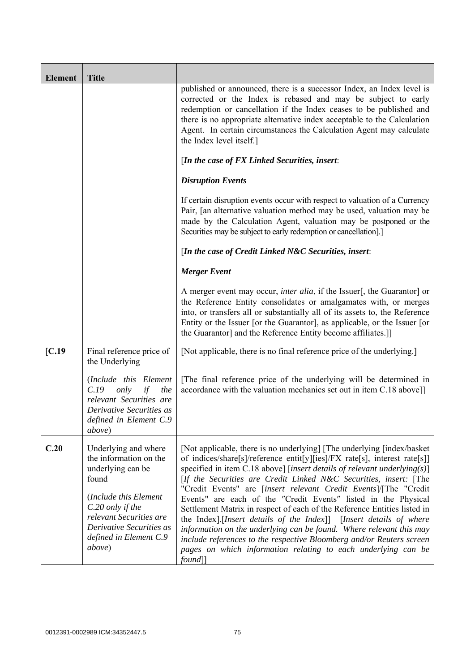| <b>Element</b>   | <b>Title</b>                                                                                                                                                                                                         |                                                                                                                                                                                                                                                                                                                                                                                                                                                                                                                                                                                                                                                                                                                                                                                                                            |
|------------------|----------------------------------------------------------------------------------------------------------------------------------------------------------------------------------------------------------------------|----------------------------------------------------------------------------------------------------------------------------------------------------------------------------------------------------------------------------------------------------------------------------------------------------------------------------------------------------------------------------------------------------------------------------------------------------------------------------------------------------------------------------------------------------------------------------------------------------------------------------------------------------------------------------------------------------------------------------------------------------------------------------------------------------------------------------|
|                  |                                                                                                                                                                                                                      | published or announced, there is a successor Index, an Index level is<br>corrected or the Index is rebased and may be subject to early<br>redemption or cancellation if the Index ceases to be published and<br>there is no appropriate alternative index acceptable to the Calculation<br>Agent. In certain circumstances the Calculation Agent may calculate<br>the Index level itself.]                                                                                                                                                                                                                                                                                                                                                                                                                                 |
|                  |                                                                                                                                                                                                                      | [In the case of FX Linked Securities, insert:                                                                                                                                                                                                                                                                                                                                                                                                                                                                                                                                                                                                                                                                                                                                                                              |
|                  |                                                                                                                                                                                                                      | <b>Disruption Events</b>                                                                                                                                                                                                                                                                                                                                                                                                                                                                                                                                                                                                                                                                                                                                                                                                   |
|                  |                                                                                                                                                                                                                      | If certain disruption events occur with respect to valuation of a Currency<br>Pair, [an alternative valuation method may be used, valuation may be<br>made by the Calculation Agent, valuation may be postponed or the<br>Securities may be subject to early redemption or cancellation].]                                                                                                                                                                                                                                                                                                                                                                                                                                                                                                                                 |
|                  |                                                                                                                                                                                                                      | [In the case of Credit Linked N&C Securities, insert:                                                                                                                                                                                                                                                                                                                                                                                                                                                                                                                                                                                                                                                                                                                                                                      |
|                  |                                                                                                                                                                                                                      | <b>Merger Event</b>                                                                                                                                                                                                                                                                                                                                                                                                                                                                                                                                                                                                                                                                                                                                                                                                        |
|                  |                                                                                                                                                                                                                      | A merger event may occur, <i>inter alia</i> , if the Issuer[, the Guarantor] or<br>the Reference Entity consolidates or amalgamates with, or merges<br>into, or transfers all or substantially all of its assets to, the Reference<br>Entity or the Issuer [or the Guarantor], as applicable, or the Issuer [or<br>the Guarantor] and the Reference Entity become affiliates.]                                                                                                                                                                                                                                                                                                                                                                                                                                             |
| $\mathcal{C}.19$ | Final reference price of<br>the Underlying                                                                                                                                                                           | [Not applicable, there is no final reference price of the underlying.]                                                                                                                                                                                                                                                                                                                                                                                                                                                                                                                                                                                                                                                                                                                                                     |
|                  | (Include this Element<br>only<br>C.19<br>the<br>if<br>relevant Securities are<br>Derivative Securities as<br>defined in Element C.9<br><i>above</i> )                                                                | [The final reference price of the underlying will be determined in<br>accordance with the valuation mechanics set out in item C.18 above]]                                                                                                                                                                                                                                                                                                                                                                                                                                                                                                                                                                                                                                                                                 |
| C.20             | Underlying and where<br>the information on the<br>underlying can be<br>found<br>(Include this Element<br>C.20 only if the<br>relevant Securities are<br>Derivative Securities as<br>defined in Element C.9<br>above) | [Not applicable, there is no underlying] [The underlying [index/basket]<br>of indices/share[s]/reference entit[y][ies]/FX rate[s], interest rate[s]]<br>specified in item C.18 above] [insert details of relevant underlying(s)]<br>[If the Securities are Credit Linked N&C Securities, insert: [The<br>"Credit Events" are [insert relevant Credit Events]/[The "Credit<br>Events" are each of the "Credit Events" listed in the Physical<br>Settlement Matrix in respect of each of the Reference Entities listed in<br>the Index].[Insert details of the Index]] [Insert details of where<br>information on the underlying can be found. Where relevant this may<br>include references to the respective Bloomberg and/or Reuters screen<br>pages on which information relating to each underlying can be<br>$found$ ] |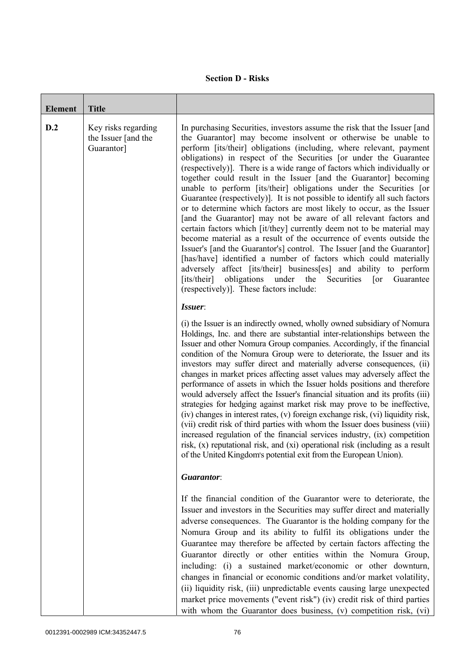## **Section D - Risks**

| <b>Element</b> | <b>Title</b>                                             |                                                                                                                                                                                                                                                                                                                                                                                                                                                                                                                                                                                                                                                                                                                                                                                                                                                                                                                                                                                                                                                                                                                                                                                                                                            |
|----------------|----------------------------------------------------------|--------------------------------------------------------------------------------------------------------------------------------------------------------------------------------------------------------------------------------------------------------------------------------------------------------------------------------------------------------------------------------------------------------------------------------------------------------------------------------------------------------------------------------------------------------------------------------------------------------------------------------------------------------------------------------------------------------------------------------------------------------------------------------------------------------------------------------------------------------------------------------------------------------------------------------------------------------------------------------------------------------------------------------------------------------------------------------------------------------------------------------------------------------------------------------------------------------------------------------------------|
| D.2            | Key risks regarding<br>the Issuer [and the<br>Guarantor] | In purchasing Securities, investors assume the risk that the Issuer [and<br>the Guarantor] may become insolvent or otherwise be unable to<br>perform [its/their] obligations (including, where relevant, payment<br>obligations) in respect of the Securities [or under the Guarantee<br>(respectively)]. There is a wide range of factors which individually or<br>together could result in the Issuer [and the Guarantor] becoming<br>unable to perform [its/their] obligations under the Securities [or<br>Guarantee (respectively)]. It is not possible to identify all such factors<br>or to determine which factors are most likely to occur, as the Issuer<br>[and the Guarantor] may not be aware of all relevant factors and<br>certain factors which [it/they] currently deem not to be material may<br>become material as a result of the occurrence of events outside the<br>Issuer's [and the Guarantor's] control. The Issuer [and the Guarantor]<br>[has/have] identified a number of factors which could materially<br>adversely affect [its/their] business[es] and ability to perform<br>obligations<br>[its/their]<br>under<br>Securities<br>Guarantee<br>the<br>$\lceil$ or<br>(respectively)]. These factors include: |
|                |                                                          | Issuer:<br>(i) the Issuer is an indirectly owned, wholly owned subsidiary of Nomura<br>Holdings, Inc. and there are substantial inter-relationships between the<br>Issuer and other Nomura Group companies. Accordingly, if the financial<br>condition of the Nomura Group were to deteriorate, the Issuer and its<br>investors may suffer direct and materially adverse consequences, (ii)<br>changes in market prices affecting asset values may adversely affect the<br>performance of assets in which the Issuer holds positions and therefore<br>would adversely affect the Issuer's financial situation and its profits (iii)<br>strategies for hedging against market risk may prove to be ineffective,<br>(iv) changes in interest rates, (v) foreign exchange risk, (vi) liquidity risk,<br>(vii) credit risk of third parties with whom the Issuer does business (viii)<br>increased regulation of the financial services industry, (ix) competition<br>risk, (x) reputational risk, and (xi) operational risk (including as a result<br>of the United Kingdom's potential exit from the European Union).                                                                                                                        |
|                |                                                          | Guarantor:                                                                                                                                                                                                                                                                                                                                                                                                                                                                                                                                                                                                                                                                                                                                                                                                                                                                                                                                                                                                                                                                                                                                                                                                                                 |
|                |                                                          | If the financial condition of the Guarantor were to deteriorate, the<br>Issuer and investors in the Securities may suffer direct and materially<br>adverse consequences. The Guarantor is the holding company for the<br>Nomura Group and its ability to fulfil its obligations under the<br>Guarantee may therefore be affected by certain factors affecting the<br>Guarantor directly or other entities within the Nomura Group,<br>including: (i) a sustained market/economic or other downturn,<br>changes in financial or economic conditions and/or market volatility,<br>(ii) liquidity risk, (iii) unpredictable events causing large unexpected<br>market price movements ("event risk") (iv) credit risk of third parties<br>with whom the Guarantor does business, (v) competition risk, (vi)                                                                                                                                                                                                                                                                                                                                                                                                                                   |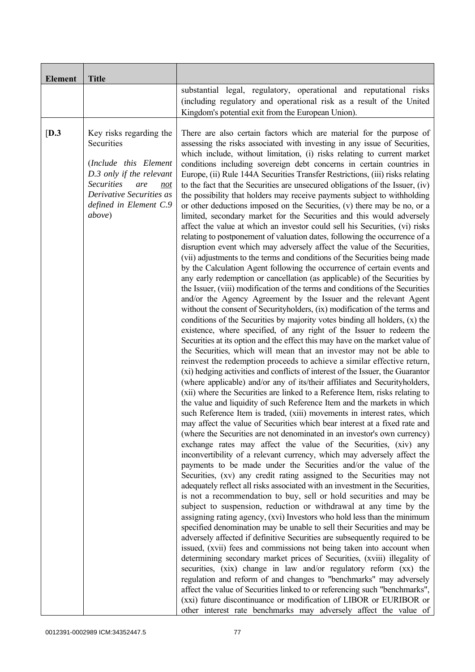| <b>Element</b> | <b>Title</b>                                                                                                                                                                                          |                                                                                                                                                                                                                                                                                                                                                                                                                                                                                                                                                                                                                                                                                                                                                                                                                                                                                                                                                                                                                                                                                                                                                                                                                                                                                                                                                                                                                                                                                                                                                                                                                                                                                                                                                                                                                                                                                                                                                                                                                                                                                                                                                                                                                                                                                                                                                                                                                                                                                                                                                                                                                                                                                                                                                                                                                                                                                                                                                                                                                                                                                                                                                                                                                                                                                                                                                                                                                                                                                                                                                                                                                                                                             |
|----------------|-------------------------------------------------------------------------------------------------------------------------------------------------------------------------------------------------------|-----------------------------------------------------------------------------------------------------------------------------------------------------------------------------------------------------------------------------------------------------------------------------------------------------------------------------------------------------------------------------------------------------------------------------------------------------------------------------------------------------------------------------------------------------------------------------------------------------------------------------------------------------------------------------------------------------------------------------------------------------------------------------------------------------------------------------------------------------------------------------------------------------------------------------------------------------------------------------------------------------------------------------------------------------------------------------------------------------------------------------------------------------------------------------------------------------------------------------------------------------------------------------------------------------------------------------------------------------------------------------------------------------------------------------------------------------------------------------------------------------------------------------------------------------------------------------------------------------------------------------------------------------------------------------------------------------------------------------------------------------------------------------------------------------------------------------------------------------------------------------------------------------------------------------------------------------------------------------------------------------------------------------------------------------------------------------------------------------------------------------------------------------------------------------------------------------------------------------------------------------------------------------------------------------------------------------------------------------------------------------------------------------------------------------------------------------------------------------------------------------------------------------------------------------------------------------------------------------------------------------------------------------------------------------------------------------------------------------------------------------------------------------------------------------------------------------------------------------------------------------------------------------------------------------------------------------------------------------------------------------------------------------------------------------------------------------------------------------------------------------------------------------------------------------------------------------------------------------------------------------------------------------------------------------------------------------------------------------------------------------------------------------------------------------------------------------------------------------------------------------------------------------------------------------------------------------------------------------------------------------------------------------------------------------|
|                |                                                                                                                                                                                                       | substantial legal, regulatory, operational and reputational risks<br>(including regulatory and operational risk as a result of the United<br>Kingdom's potential exit from the European Union).                                                                                                                                                                                                                                                                                                                                                                                                                                                                                                                                                                                                                                                                                                                                                                                                                                                                                                                                                                                                                                                                                                                                                                                                                                                                                                                                                                                                                                                                                                                                                                                                                                                                                                                                                                                                                                                                                                                                                                                                                                                                                                                                                                                                                                                                                                                                                                                                                                                                                                                                                                                                                                                                                                                                                                                                                                                                                                                                                                                                                                                                                                                                                                                                                                                                                                                                                                                                                                                                             |
| [D.3]          | Key risks regarding the<br>Securities<br>(Include this Element<br>D.3 only if the relevant<br><b>Securities</b><br>are<br>not<br>Derivative Securities as<br>defined in Element C.9<br><i>above</i> ) | There are also certain factors which are material for the purpose of<br>assessing the risks associated with investing in any issue of Securities,<br>which include, without limitation, (i) risks relating to current market<br>conditions including sovereign debt concerns in certain countries in<br>Europe, (ii) Rule 144A Securities Transfer Restrictions, (iii) risks relating<br>to the fact that the Securities are unsecured obligations of the Issuer, (iv)<br>the possibility that holders may receive payments subject to withholding<br>or other deductions imposed on the Securities, (v) there may be no, or a<br>limited, secondary market for the Securities and this would adversely<br>affect the value at which an investor could sell his Securities, (vi) risks<br>relating to postponement of valuation dates, following the occurrence of a<br>disruption event which may adversely affect the value of the Securities,<br>(vii) adjustments to the terms and conditions of the Securities being made<br>by the Calculation Agent following the occurrence of certain events and<br>any early redemption or cancellation (as applicable) of the Securities by<br>the Issuer, (viii) modification of the terms and conditions of the Securities<br>and/or the Agency Agreement by the Issuer and the relevant Agent<br>without the consent of Securityholders, (ix) modification of the terms and<br>conditions of the Securities by majority votes binding all holders, $(x)$ the<br>existence, where specified, of any right of the Issuer to redeem the<br>Securities at its option and the effect this may have on the market value of<br>the Securities, which will mean that an investor may not be able to<br>reinvest the redemption proceeds to achieve a similar effective return,<br>(xi) hedging activities and conflicts of interest of the Issuer, the Guarantor<br>(where applicable) and/or any of its/their affiliates and Securityholders,<br>(xii) where the Securities are linked to a Reference Item, risks relating to<br>the value and liquidity of such Reference Item and the markets in which<br>such Reference Item is traded, (xiii) movements in interest rates, which<br>may affect the value of Securities which bear interest at a fixed rate and<br>(where the Securities are not denominated in an investor's own currency)<br>exchange rates may affect the value of the Securities, (xiv) any<br>inconvertibility of a relevant currency, which may adversely affect the<br>payments to be made under the Securities and/or the value of the<br>Securities, (xv) any credit rating assigned to the Securities may not<br>adequately reflect all risks associated with an investment in the Securities,<br>is not a recommendation to buy, sell or hold securities and may be<br>subject to suspension, reduction or withdrawal at any time by the<br>assigning rating agency, (xvi) Investors who hold less than the minimum<br>specified denomination may be unable to sell their Securities and may be<br>adversely affected if definitive Securities are subsequently required to be<br>issued, (xvii) fees and commissions not being taken into account when<br>determining secondary market prices of Securities, (xviii) illegality of<br>securities, (xix) change in law and/or regulatory reform (xx) the<br>regulation and reform of and changes to "benchmarks" may adversely<br>affect the value of Securities linked to or referencing such "benchmarks",<br>(xxi) future discontinuance or modification of LIBOR or EURIBOR or<br>other interest rate benchmarks may adversely affect the value of |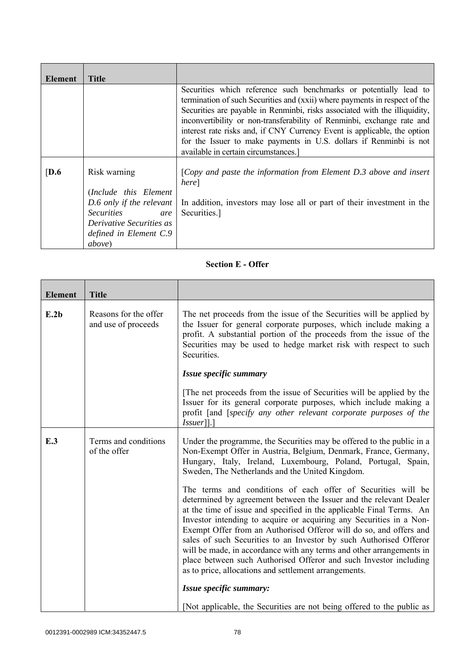| Element          | Title                                                                                                                                                                 |                                                                                                                                                                                                                                                                                                                                                                                                                                                                                                   |
|------------------|-----------------------------------------------------------------------------------------------------------------------------------------------------------------------|---------------------------------------------------------------------------------------------------------------------------------------------------------------------------------------------------------------------------------------------------------------------------------------------------------------------------------------------------------------------------------------------------------------------------------------------------------------------------------------------------|
|                  |                                                                                                                                                                       | Securities which reference such benchmarks or potentially lead to<br>termination of such Securities and (xxii) where payments in respect of the<br>Securities are payable in Renminbi, risks associated with the illiquidity,<br>inconvertibility or non-transferability of Renminbi, exchange rate and<br>interest rate risks and, if CNY Currency Event is applicable, the option<br>for the Issuer to make payments in U.S. dollars if Renminbi is not<br>available in certain circumstances.] |
| $\overline{D.6}$ | Risk warning<br>(Include this Element<br>D.6 only if the relevant<br><i>Securities</i><br>are<br>Derivative Securities as<br>defined in Element C.9<br><i>above</i> ) | [Copy and paste the information from Element $D.3$ above and insert<br>here<br>In addition, investors may lose all or part of their investment in the<br>Securities.]                                                                                                                                                                                                                                                                                                                             |

## **Section E - Offer**

| <b>Element</b> | <b>Title</b>                                 |                                                                                                                                                                                                                                                                                                                                                                                                                                                                                                                                                                                                                                     |
|----------------|----------------------------------------------|-------------------------------------------------------------------------------------------------------------------------------------------------------------------------------------------------------------------------------------------------------------------------------------------------------------------------------------------------------------------------------------------------------------------------------------------------------------------------------------------------------------------------------------------------------------------------------------------------------------------------------------|
| E.2b           | Reasons for the offer<br>and use of proceeds | The net proceeds from the issue of the Securities will be applied by<br>the Issuer for general corporate purposes, which include making a<br>profit. A substantial portion of the proceeds from the issue of the<br>Securities may be used to hedge market risk with respect to such<br>Securities.                                                                                                                                                                                                                                                                                                                                 |
|                |                                              | Issue specific summary                                                                                                                                                                                                                                                                                                                                                                                                                                                                                                                                                                                                              |
|                |                                              | The net proceeds from the issue of Securities will be applied by the<br>Issuer for its general corporate purposes, which include making a<br>profit [and [specify any other relevant corporate purposes of the<br>$Issuer$ [].]                                                                                                                                                                                                                                                                                                                                                                                                     |
| E.3            | Terms and conditions<br>of the offer         | Under the programme, the Securities may be offered to the public in a<br>Non-Exempt Offer in Austria, Belgium, Denmark, France, Germany,<br>Hungary, Italy, Ireland, Luxembourg, Poland, Portugal, Spain,<br>Sweden, The Netherlands and the United Kingdom.                                                                                                                                                                                                                                                                                                                                                                        |
|                |                                              | The terms and conditions of each offer of Securities will be<br>determined by agreement between the Issuer and the relevant Dealer<br>at the time of issue and specified in the applicable Final Terms. An<br>Investor intending to acquire or acquiring any Securities in a Non-<br>Exempt Offer from an Authorised Offeror will do so, and offers and<br>sales of such Securities to an Investor by such Authorised Offeror<br>will be made, in accordance with any terms and other arrangements in<br>place between such Authorised Offeror and such Investor including<br>as to price, allocations and settlement arrangements. |
|                |                                              | Issue specific summary:                                                                                                                                                                                                                                                                                                                                                                                                                                                                                                                                                                                                             |
|                |                                              | [Not applicable, the Securities are not being offered to the public as                                                                                                                                                                                                                                                                                                                                                                                                                                                                                                                                                              |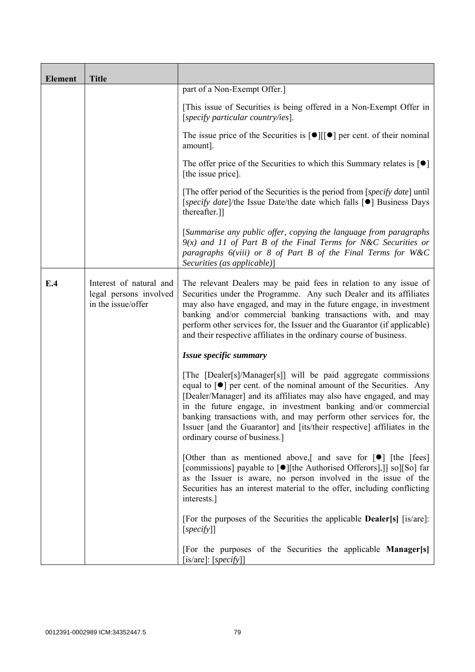| <b>Element</b> | <b>Title</b>                                                            |                                                                                                                                                                                                                                                                                                                                                                                                                                                                        |  |
|----------------|-------------------------------------------------------------------------|------------------------------------------------------------------------------------------------------------------------------------------------------------------------------------------------------------------------------------------------------------------------------------------------------------------------------------------------------------------------------------------------------------------------------------------------------------------------|--|
|                |                                                                         | part of a Non-Exempt Offer.]                                                                                                                                                                                                                                                                                                                                                                                                                                           |  |
|                |                                                                         | [This issue of Securities is being offered in a Non-Exempt Offer in<br>[specify particular country/ies].                                                                                                                                                                                                                                                                                                                                                               |  |
|                |                                                                         | The issue price of the Securities is $[\bullet]$ [ $[\bullet]$ ] per cent. of their nominal<br>amount].                                                                                                                                                                                                                                                                                                                                                                |  |
|                |                                                                         | The offer price of the Securities to which this Summary relates is $\lceil \bullet \rceil$<br>[the issue price].                                                                                                                                                                                                                                                                                                                                                       |  |
|                |                                                                         | [The offer period of the Securities is the period from [ <i>specify date</i> ] until<br>[specify date]/the Issue Date/the date which falls [●] Business Days<br>thereafter.]                                                                                                                                                                                                                                                                                           |  |
|                |                                                                         | [Summarise any public offer, copying the language from paragraphs<br>$9(x)$ and 11 of Part B of the Final Terms for N&C Securities or<br>paragraphs $6(viii)$ or 8 of Part B of the Final Terms for W&C<br>Securities (as applicable)]                                                                                                                                                                                                                                 |  |
| E.4            | Interest of natural and<br>legal persons involved<br>in the issue/offer | The relevant Dealers may be paid fees in relation to any issue of<br>Securities under the Programme. Any such Dealer and its affiliates<br>may also have engaged, and may in the future engage, in investment<br>banking and/or commercial banking transactions with, and may<br>perform other services for, the Issuer and the Guarantor (if applicable)<br>and their respective affiliates in the ordinary course of business.                                       |  |
|                |                                                                         | Issue specific summary                                                                                                                                                                                                                                                                                                                                                                                                                                                 |  |
|                |                                                                         | [The [Dealer[s]/Manager[s]] will be paid aggregate commissions<br>equal to $[\bullet]$ per cent. of the nominal amount of the Securities. Any<br>[Dealer/Manager] and its affiliates may also have engaged, and may<br>in the future engage, in investment banking and/or commercial<br>banking transactions with, and may perform other services for, the<br>Issuer [and the Guarantor] and [its/their respective] affiliates in the<br>ordinary course of business.] |  |
|                |                                                                         | [Other than as mentioned above,] and save for $[\bullet]$ [the [fees]<br>[commissions] payable to [●][the Authorised Offerors],]] so][So] far<br>as the Issuer is aware, no person involved in the issue of the<br>Securities has an interest material to the offer, including conflicting<br>interests.]                                                                                                                                                              |  |
|                |                                                                         | [For the purposes of the Securities the applicable <b>Dealer</b> [s] [is/are]:<br>[specify]                                                                                                                                                                                                                                                                                                                                                                            |  |
|                |                                                                         | [For the purposes of the Securities the applicable Manager[s]<br>[is/are]: $[specify]$ ]                                                                                                                                                                                                                                                                                                                                                                               |  |